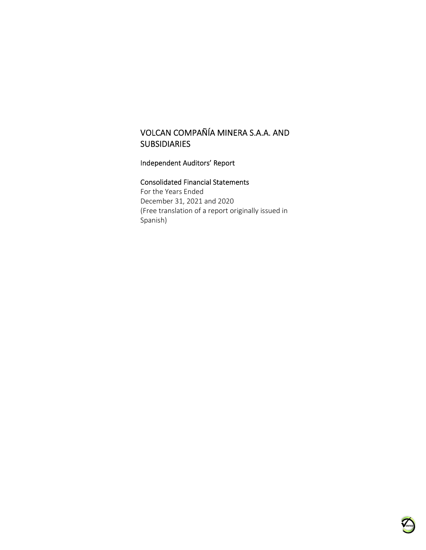## Independent Auditors' Report

#### Consolidated Financial Statements

For the Years Ended December 31, 2021 and 2020 (Free translation of a report originally issued in Spanish)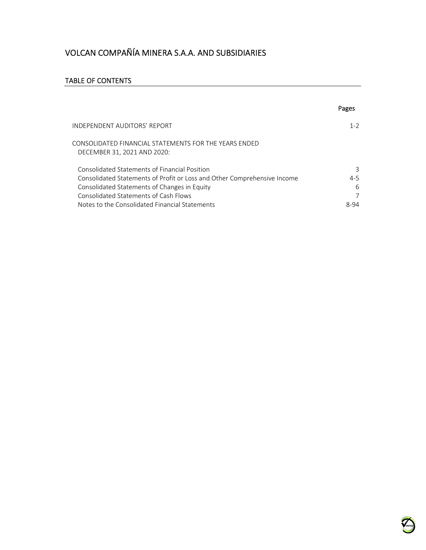## TABLE OF CONTENTS

|                                                                                      | Pages   |
|--------------------------------------------------------------------------------------|---------|
| INDEPENDENT AUDITORS' REPORT                                                         | $1 - 2$ |
| CONSOLIDATED FINANCIAL STATEMENTS FOR THE YEARS ENDED<br>DECEMBER 31, 2021 AND 2020: |         |
| Consolidated Statements of Financial Position                                        | 3       |
| Consolidated Statements of Profit or Loss and Other Comprehensive Income             | $4 - 5$ |
| Consolidated Statements of Changes in Equity                                         | 6       |
| Consolidated Statements of Cash Flows                                                |         |
| Notes to the Consolidated Financial Statements                                       | 8-94    |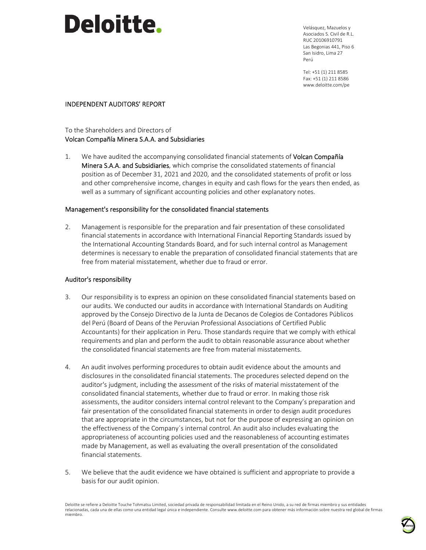# **Deloitte.**

Velásquez, Mazuelos y Asociados S. Civil de R.L. RUC 20106910791 Las Begonias 441, Piso 6 San Isidro, Lima 27 Perú

Tel: +51 (1) 211 8585 Fax: +51 (1) 211 8586 www.deloitte.com/pe

#### INDEPENDENT AUDITORS' REPORT

#### To the Shareholders and Directors of Volcan Compañía Minera S.A.A. and Subsidiaries

1. We have audited the accompanying consolidated financial statements of Volcan Compañía Minera S.A.A. and Subsidiaries, which comprise the consolidated statements of financial position as of December 31, 2021 and 2020, and the consolidated statements of profit or loss and other comprehensive income, changes in equity and cash flows for the years then ended, as well as a summary of significant accounting policies and other explanatory notes.

#### Management's responsibility for the consolidated financial statements

2. Management is responsible for the preparation and fair presentation of these consolidated financial statements in accordance with International Financial Reporting Standards issued by the International Accounting Standards Board, and for such internal control as Management determines is necessary to enable the preparation of consolidated financial statements that are free from material misstatement, whether due to fraud or error.

#### Auditor's responsibility

- 3. Our responsibility is to express an opinion on these consolidated financial statements based on our audits. We conducted our audits in accordance with International Standards on Auditing approved by the Consejo Directivo de la Junta de Decanos de Colegios de Contadores Públicos del Perú (Board of Deans of the Peruvian Professional Associations of Certified Public Accountants) for their application in Peru. Those standards require that we comply with ethical requirements and plan and perform the audit to obtain reasonable assurance about whether the consolidated financial statements are free from material misstatements.
- 4. An audit involves performing procedures to obtain audit evidence about the amounts and disclosures in the consolidated financial statements. The procedures selected depend on the auditor's judgment, including the assessment of the risks of material misstatement of the consolidated financial statements, whether due to fraud or error. In making those risk assessments, the auditor considers internal control relevant to the Company's preparation and fair presentation of the consolidated financial statements in order to design audit procedures that are appropriate in the circumstances, but not for the purpose of expressing an opinion on the effectiveness of the Company´s internal control. An audit also includes evaluating the appropriateness of accounting policies used and the reasonableness of accounting estimates made by Management, as well as evaluating the overall presentation of the consolidated financial statements.
- 5. We believe that the audit evidence we have obtained is sufficient and appropriate to provide a basis for our audit opinion.

Deloitte se refiere a Deloitte Touche Tohmatsu Limited, sociedad privada de responsabilidad limitada en el Reino Unido, a su red de firmas miembro y sus entidades relacionadas, cada una de ellas como una entidad legal única e independiente. Consulte www.deloitte.com para obtener más información sobre nuestra red global de firmas miembro.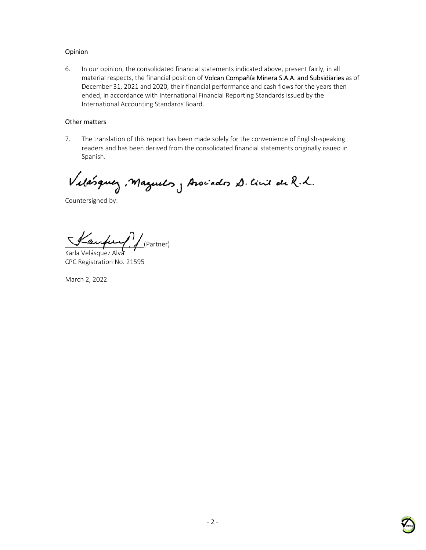## Opinion

6. In our opinion, the consolidated financial statements indicated above, present fairly, in all material respects, the financial position of Volcan Compañía Minera S.A.A. and Subsidiaries as of December 31, 2021 and 2020, their financial performance and cash flows for the years then ended, in accordance with International Financial Reporting Standards issued by the International Accounting Standards Board.

#### Other matters

7. The translation of this report has been made solely for the convenience of English-speaking readers and has been derived from the consolidated financial statements originally issued in Spanish.

Vilásquez, Maguelos, Arocados D. Civil de R.L.

Countersigned by:

 $\frac{1}{2}$  autres /  $\frac{1}{2}$  (Partner)

Karla Velásquez Alva CPC Registration No. 21595

March 2, 2022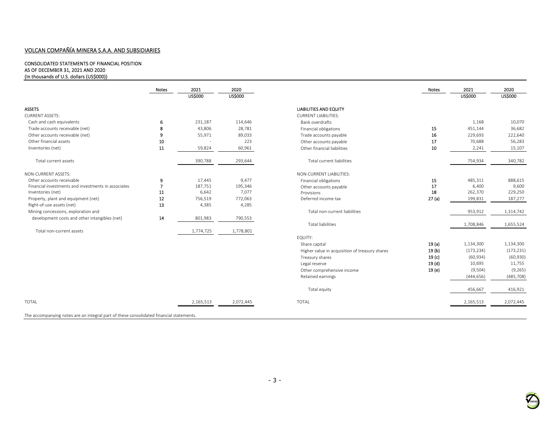#### CONSOLIDATED STATEMENTS OF FINANCIAL POSITION AS OF DECEMBER 31, 2021 AND 2020 (In thousands of U.S. dollars (US\$000))

|                                                     | Notes          | 2021           | 2020           |                                                | Notes             | 2021           | 2020           |
|-----------------------------------------------------|----------------|----------------|----------------|------------------------------------------------|-------------------|----------------|----------------|
|                                                     |                | <b>US\$000</b> | <b>US\$000</b> |                                                |                   | <b>US\$000</b> | <b>US\$000</b> |
| <b>ASSETS</b>                                       |                |                |                | <b>LIABILITIES AND EQUITY</b>                  |                   |                |                |
| <b>CURRENT ASSETS:</b>                              |                |                |                | <b>CURRENT LIABILITIES:</b>                    |                   |                |                |
| Cash and cash equivalents                           | 6              | 231,187        | 114,646        | Bank overdrafts                                |                   | 1,168          | 10,070         |
| Trade accounts receivable (net)                     | 8              | 43,806         | 28,781         | Financial obligations                          | 15                | 451,144        | 36,682         |
| Other accounts receivable (net)                     | 9              | 55,971         | 89,033         | Trade accounts payable                         | 16                | 229,693        | 222,640        |
| Other financial assets                              | 10             |                | 223            | Other accounts payable                         | 17                | 70,688         | 56,283         |
| Inventories (net)                                   | 11             | 59,824         | 60,961         | Other financial liabilities                    | 10                | 2,241          | 15,107         |
| Total current assets                                |                | 390,788        | 293,644        | Total current liabilities                      |                   | 754,934        | 340,782        |
| NON-CURRENT ASSETS:                                 |                |                |                | NON-CURRENT LIABILITIES:                       |                   |                |                |
| Other accounts receivable                           | 9              | 17,445         | 9,477          | Financial obligations                          | 15                | 485,311        | 888,615        |
| Financial investments and investments in associates | $\overline{7}$ | 187,751        | 195,346        | Other accounts payable                         | 17                | 6,400          | 9,600          |
| Inventories (net)                                   | 11             | 6,642          | 7,077          | Provisions                                     | 18                | 262,370        | 229,250        |
| Property, plant and equipment (net)                 | 12             | 756,519        | 772,063        | Deferred income tax                            | 27(a)             | 199,831        | 187,277        |
| Right-of-use assets (net)                           | 13             | 4,385          | 4,285          |                                                |                   |                |                |
| Mining concessions, exploration and                 |                |                |                | Total non-current liabilities                  |                   | 953,912        | 1,314,742      |
| development costs and other intangibles (net)       | 14             | 801,983        | 790,553        |                                                |                   |                |                |
|                                                     |                |                |                | <b>Total liabilities</b>                       |                   | 1,708,846      | 1,655,524      |
| Total non-current assets                            |                | 1,774,725      | 1,778,801      |                                                |                   |                |                |
|                                                     |                |                |                | EQUITY:                                        |                   |                |                |
|                                                     |                |                |                | Share capital                                  | 19(a)             | 1,134,300      | 1,134,300      |
|                                                     |                |                |                | Higher value in acquisition of treasury shares | 19(b)             | (173, 234)     | (173, 231)     |
|                                                     |                |                |                | Treasury shares                                | 19 <sub>(c)</sub> | (60, 934)      | (60, 930)      |
|                                                     |                |                |                | Legal reserve                                  | 19 <sub>(d)</sub> | 10,695         | 11,755         |
|                                                     |                |                |                | Other comprehensive income                     | 19(e)             | (9,504)        | (9,265)        |
|                                                     |                |                |                | Retained earnings                              |                   | (444, 656)     | (485, 708)     |
|                                                     |                |                |                | Total equity                                   |                   | 456,667        | 416,921        |
| <b>TOTAL</b>                                        |                | 2,165,513      | 2,072,445      | <b>TOTAL</b>                                   |                   | 2,165,513      | 2,072,445      |
|                                                     |                |                |                |                                                |                   |                |                |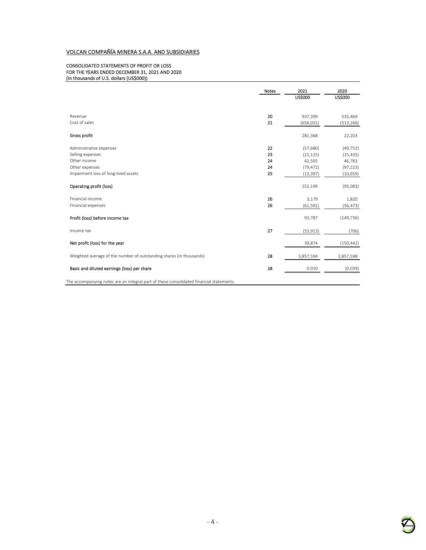#### CONSOLIDATED STATEMENTS OF PROFIT OR LOSS FOR THE YEARS ENDED DECEMBER 31, 2021 AND 2020 (In thousands of U.S. dollars (US\$000))

|                                                                                         | <b>Notes</b> | 2021<br><b>US\$000</b> | 2020<br><b>US\$000</b> |
|-----------------------------------------------------------------------------------------|--------------|------------------------|------------------------|
|                                                                                         |              |                        |                        |
| Revenue                                                                                 | 20           | 937,399                | 535,469                |
| Cost of sales                                                                           | 21           | (656, 031)             | (513, 266)             |
| Gross profit                                                                            |              | 281,368                | 22,203                 |
| Administrative expenses                                                                 | 22           | (57,680)               | (40, 752)              |
| Selling expenses                                                                        | 23           | (21, 125)              | (15, 435)              |
| Other income                                                                            | 24           | 42,505                 | 46,783                 |
| Other expenses                                                                          | 24           | (79, 472)              | (97, 223)              |
| Impairment loss of long-lived assets                                                    | 25           | (13, 397)              | (10, 659)              |
| Operating profit (loss)                                                                 |              | 152,199                | (95,083)               |
| Financial income                                                                        | 26           | 3,179                  | 1,820                  |
| Financial expenses                                                                      | 26           | (61, 591)              | (56, 473)              |
| Profit (loss) before income tax                                                         |              | 93,787                 | (149, 736)             |
| Income tax                                                                              | 27           | (53, 913)              | (706)                  |
| Net profit (loss) for the year                                                          |              | 39,874                 | (150, 442)             |
| Weighted average of the number of outstanding shares (in thousands)                     | 28           | 3,857,594              | 3,857,598              |
| Basic and diluted earnings (loss) per share                                             | 28           | 0.010                  | (0.039)                |
| The accompanying notes are an integral part of these consolidated financial statements. |              |                        |                        |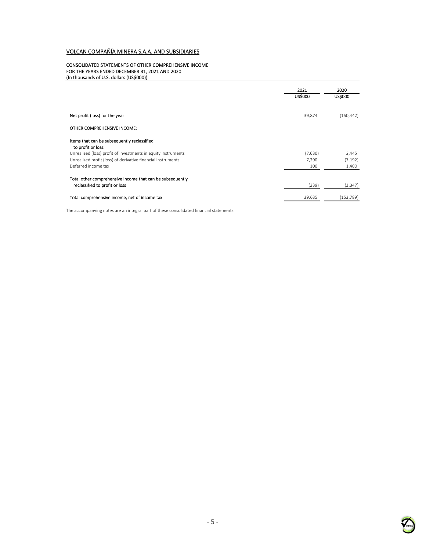#### CONSOLIDATED STATEMENTS OF OTHER COMPREHENSIVE INCOME FOR THE YEARS ENDED DECEMBER 31, 2021 AND 2020 (In thousands of U.S. dollars (US\$000))

|                                                                   | 2021           | 2020       |
|-------------------------------------------------------------------|----------------|------------|
|                                                                   | <b>US\$000</b> | US\$000    |
|                                                                   |                |            |
| Net profit (loss) for the year                                    | 39,874         | (150, 442) |
| OTHER COMPREHENSIVE INCOME:                                       |                |            |
| Items that can be subsequently reclassified<br>to profit or loss: |                |            |
| Unrealized (loss) profit of investments in equity instruments     | (7,630)        | 2,445      |
| Unrealized profit (loss) of derivative financial instruments      | 7,290          | (7, 192)   |
| Deferred income tax                                               | 100            | 1,400      |
| Total other comprehensive income that can be subsequently         |                |            |
| reclassified to profit or loss                                    | (239)          | (3, 347)   |
| Total comprehensive income, net of income tax                     | 39,635         | (153, 789) |
|                                                                   |                |            |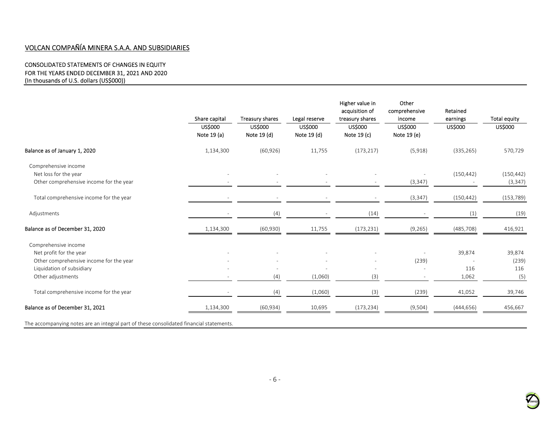#### CONSOLIDATED STATEMENTS OF CHANGES IN EQUITY FOR THE YEARS ENDED DECEMBER 31, 2021 AND 2020 (In thousands of U.S. dollars (US\$000))

|                                         | Share capital                 | Treasury shares               | Legal reserve                 | Higher value in<br>acquisition of<br>treasury shares | Other<br>comprehensive<br>income | Retained<br>earnings | <b>Total equity</b> |
|-----------------------------------------|-------------------------------|-------------------------------|-------------------------------|------------------------------------------------------|----------------------------------|----------------------|---------------------|
|                                         | <b>US\$000</b><br>Note 19 (a) | <b>US\$000</b><br>Note 19 (d) | <b>US\$000</b><br>Note 19 (d) | <b>US\$000</b><br>Note 19 (c)                        | US\$000<br>Note 19 (e)           | US\$000              | <b>US\$000</b>      |
| Balance as of January 1, 2020           | 1,134,300                     | (60, 926)                     | 11,755                        | (173, 217)                                           | (5,918)                          | (335, 265)           | 570,729             |
| Comprehensive income                    |                               |                               |                               |                                                      |                                  |                      |                     |
| Net loss for the year                   |                               |                               |                               |                                                      |                                  | (150, 442)           | (150, 442)          |
| Other comprehensive income for the year |                               |                               |                               |                                                      | (3, 347)                         |                      | (3, 347)            |
| Total comprehensive income for the year |                               |                               |                               |                                                      | (3, 347)                         | (150, 442)           | (153, 789)          |
| Adjustments                             |                               | (4)                           |                               | (14)                                                 |                                  | (1)                  | (19)                |
| Balance as of December 31, 2020         | 1,134,300                     | (60, 930)                     | 11,755                        | (173, 231)                                           | (9, 265)                         | (485, 708)           | 416,921             |
| Comprehensive income                    |                               |                               |                               |                                                      |                                  |                      |                     |
| Net profit for the year                 |                               |                               |                               |                                                      |                                  | 39,874               | 39,874              |
| Other comprehensive income for the year |                               |                               |                               |                                                      | (239)                            |                      | (239)               |
| Liquidation of subsidiary               |                               |                               |                               |                                                      |                                  | 116                  | 116                 |
| Other adjustments                       |                               | (4)                           | (1,060)                       | (3)                                                  |                                  | 1,062                | (5)                 |
| Total comprehensive income for the year |                               | (4)                           | (1,060)                       | (3)                                                  | (239)                            | 41,052               | 39,746              |
| Balance as of December 31, 2021         | 1,134,300                     | (60, 934)                     | 10,695                        | (173, 234)                                           | (9,504)                          | (444, 656)           | 456,667             |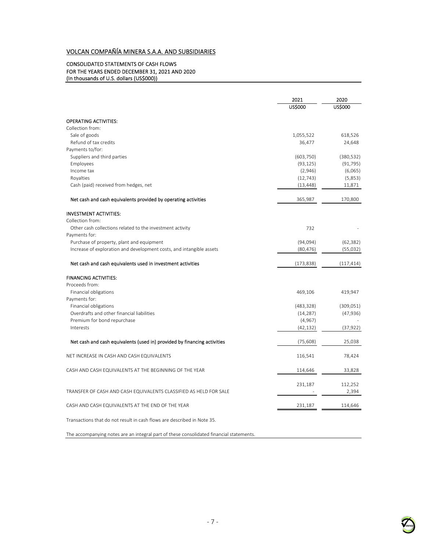#### CONSOLIDATED STATEMENTS OF CASH FLOWS FOR THE YEARS ENDED DECEMBER 31, 2021 AND 2020 (In thousands of U.S. dollars (US\$000))

|                                                                          | 2021          | 2020           |
|--------------------------------------------------------------------------|---------------|----------------|
|                                                                          | <b>USS000</b> | <b>US\$000</b> |
| <b>OPERATING ACTIVITIES:</b>                                             |               |                |
| Collection from:                                                         |               |                |
| Sale of goods                                                            | 1,055,522     | 618,526        |
| Refund of tax credits                                                    | 36,477        | 24,648         |
| Payments to/for:                                                         |               |                |
| Suppliers and third parties                                              | (603, 750)    | (380, 532)     |
| Employees                                                                | (93, 125)     | (91, 795)      |
| Income tax                                                               | (2,946)       | (6,065)        |
| Royalties                                                                | (12, 743)     | (5,853)        |
| Cash (paid) received from hedges, net                                    | (13, 448)     | 11,871         |
| Net cash and cash equivalents provided by operating activities           | 365,987       | 170,800        |
| <b>INVESTMENT ACTIVITIES:</b>                                            |               |                |
| Collection from:                                                         |               |                |
| Other cash collections related to the investment activity                | 732           |                |
| Payments for:                                                            |               |                |
| Purchase of property, plant and equipment                                | (94,094)      | (62, 382)      |
| Increase of exploration and development costs, and intangible assets     | (80, 476)     | (55,032)       |
| Net cash and cash equivalents used in investment activities              | (173, 838)    | (117, 414)     |
| <b>FINANCING ACTIVITIES:</b>                                             |               |                |
| Proceeds from:                                                           |               |                |
| Financial obligations                                                    | 469,106       | 419,947        |
| Payments for:                                                            |               |                |
| Financial obligations                                                    | (483, 328)    | (309, 051)     |
| Overdrafts and other financial liabilities                               | (14, 287)     | (47, 936)      |
| Premium for bond repurchase<br>Interests                                 | (4, 967)      |                |
|                                                                          | (42, 132)     | (37, 922)      |
| Net cash and cash equivalents (used in) provided by financing activities | (75, 608)     | 25,038         |
| NET INCREASE IN CASH AND CASH EQUIVALENTS                                | 116,541       | 78,424         |
| CASH AND CASH EQUIVALENTS AT THE BEGINNING OF THE YEAR                   | 114,646       | 33,828         |
|                                                                          | 231,187       | 112,252        |
| TRANSFER OF CASH AND CASH EQUIVALENTS CLASSIFIED AS HELD FOR SALE        |               | 2,394          |
| CASH AND CASH EQUIVALENTS AT THE END OF THE YEAR                         | 231,187       | 114,646        |
| Transactions that do not result in cash flows are described in Note 35.  |               |                |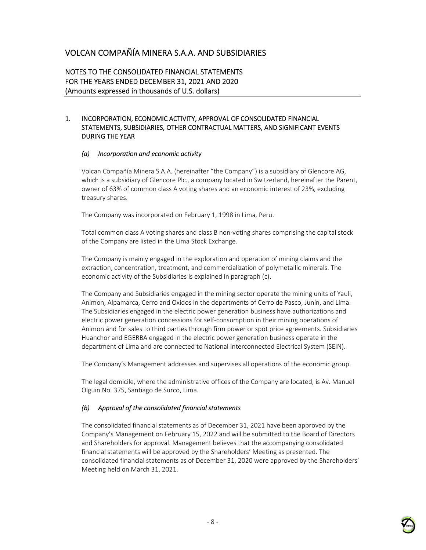NOTES TO THE CONSOLIDATED FINANCIAL STATEMENTS FOR THE YEARS ENDED DECEMBER 31, 2021 AND 2020 (Amounts expressed in thousands of U.S. dollars)

#### 1. INCORPORATION, ECONOMIC ACTIVITY, APPROVAL OF CONSOLIDATED FINANCIAL STATEMENTS, SUBSIDIARIES, OTHER CONTRACTUAL MATTERS, AND SIGNIFICANT EVENTS DURING THE YEAR

#### *(a) Incorporation and economic activity*

Volcan Compañía Minera S.A.A. (hereinafter "the Company") is a subsidiary of Glencore AG, which is a subsidiary of Glencore Plc., a company located in Switzerland, hereinafter the Parent, owner of 63% of common class A voting shares and an economic interest of 23%, excluding treasury shares.

The Company was incorporated on February 1, 1998 in Lima, Peru.

Total common class A voting shares and class B non-voting shares comprising the capital stock of the Company are listed in the Lima Stock Exchange.

The Company is mainly engaged in the exploration and operation of mining claims and the extraction, concentration, treatment, and commercialization of polymetallic minerals. The economic activity of the Subsidiaries is explained in paragraph (c).

The Company and Subsidiaries engaged in the mining sector operate the mining units of Yauli, Animon, Alpamarca, Cerro and Oxidos in the departments of Cerro de Pasco, Junín, and Lima. The Subsidiaries engaged in the electric power generation business have authorizations and electric power generation concessions for self-consumption in their mining operations of Animon and for sales to third parties through firm power or spot price agreements. Subsidiaries Huanchor and EGERBA engaged in the electric power generation business operate in the department of Lima and are connected to National Interconnected Electrical System (SEIN).

The Company's Management addresses and supervises all operations of the economic group.

The legal domicile, where the administrative offices of the Company are located, is Av. Manuel Olguin No. 375, Santiago de Surco, Lima.

#### *(b) Approval of the consolidated financial statements*

The consolidated financial statements as of December 31, 2021 have been approved by the Company's Management on February 15, 2022 and will be submitted to the Board of Directors and Shareholders for approval. Management believes that the accompanying consolidated financial statements will be approved by the Shareholders' Meeting as presented. The consolidated financial statements as of December 31, 2020 were approved by the Shareholders' Meeting held on March 31, 2021.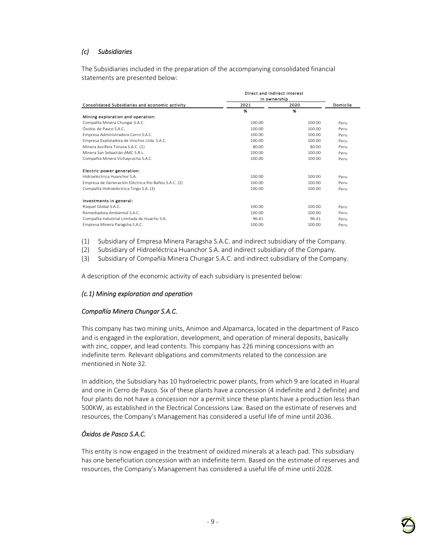## *(c) Subsidiaries*

The Subsidiaries included in the preparation of the accompanying consolidated financial statements are presented below:

|                                                      | Direct and indirect interest |        |          |
|------------------------------------------------------|------------------------------|--------|----------|
|                                                      | in ownership                 |        |          |
| Consolidated Subsidiaries and economic activity      | 2021                         | 2020   | Domicile |
|                                                      | %                            | %      |          |
| Mining exploration and operation:                    |                              |        |          |
| Compañía Minera Chungar S.A.C.                       | 100.00                       | 100.00 | Peru     |
| O A 2 onese ah zobixÒ                                | 100.00                       | 100.00 | Peru     |
| Empresa Administradora Cerro S.A.C.                  | 100.00                       | 100.00 | Peru     |
| Empresa Explotadora de Vinchos Ltda. S.A.C.          | 100.00                       | 100.00 | Peru     |
| Minera Aurífera Toruna S.A.C. (1)                    | 80.00                        | 80.00  | Peru     |
| Minera San Sebastián AMC S.R.L.                      | 100.00                       | 100.00 | Peru     |
| Compañía Minera Vichaycocha S.A.C.                   | 100.00                       | 100.00 | Peru     |
| Electric power generation:                           |                              |        |          |
| Hidroeléctrica Huanchor S.A.                         | 100.00                       | 100.00 | Peru     |
| Empresa de Generación Eléctrica Río Baños S.A.C. (2) | 100.00                       | 100.00 | Peru     |
| Compañía Hidroeléctrica Tingo S.A. (3)               | 100.00                       | 100.00 | Peru     |
| Investments in general:                              |                              |        |          |
| Roquel Global S.A.C.                                 | 100.00                       | 100.00 | Peru     |
| Remediadora Ambiental S.A.C.                         | 100.00                       | 100.00 | Peru     |
| Compañía Industrial Limitada de Huacho S.A.          | 96.41                        | 96.41  | Peru     |
| Empresa Minera Paragsha S.A.C.                       | 100.00                       | 100.00 | Peru     |

(1) Subsidiary of Empresa Minera Paragsha S.A.C. and indirect subsidiary of the Company.

(2) Subsidiary of Hidroeléctrica Huanchor S.A. and indirect subsidiary of the Company.

(3) Subsidiary of Compañía Minera Chungar S.A.C. and indirect subsidiary of the Company.

A description of the economic activity of each subsidiary is presented below:

#### *(c.1) Mining exploration and operation*

#### *Compañía Minera Chungar S.A.C.*

This company has two mining units, Animon and Alpamarca, located in the department of Pasco and is engaged in the exploration, development, and operation of mineral deposits, basically with zinc, copper, and lead contents. This company has 226 mining concessions with an indefinite term. Relevant obligations and commitments related to the concession are mentioned in Note 32.

In addition, the Subsidiary has 10 hydroelectric power plants, from which 9 are located in Huaral and one in Cerro de Pasco. Six of these plants have a concession (4 indefinite and 2 definite) and four plants do not have a concession nor a permit since these plants have a production less than 500KW, as established in the Electrical Concessions Law. Based on the estimate of reserves and resources, the Company's Management has considered a useful life of mine until 2036.

#### *Óxidos de Pasco S.A.C.*

This entity is now engaged in the treatment of oxidized minerals at a leach pad. This subsidiary has one beneficiation concession with an indefinite term. Based on the estimate of reserves and resources, the Company's Management has considered a useful life of mine until 2028.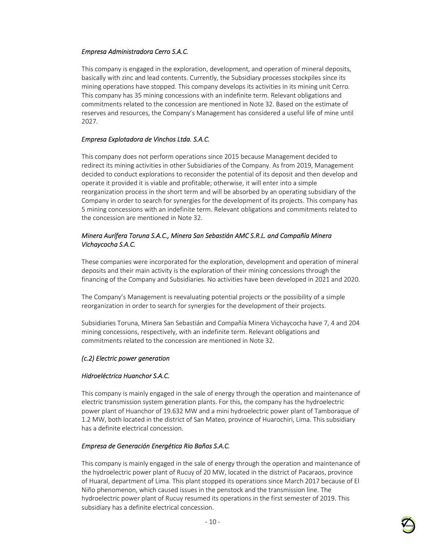## *Empresa Administradora Cerro S.A.C.*

This company is engaged in the exploration, development, and operation of mineral deposits, basically with zinc and lead contents. Currently, the Subsidiary processes stockpiles since its mining operations have stopped. This company develops its activities in its mining unit Cerro. This company has 35 mining concessions with an indefinite term. Relevant obligations and commitments related to the concession are mentioned in Note 32. Based on the estimate of reserves and resources, the Company's Management has considered a useful life of mine until 2027.

#### *Empresa Explotadora de Vinchos Ltda. S.A.C.*

This company does not perform operations since 2015 because Management decided to redirect its mining activities in other Subsidiaries of the Company. As from 2019, Management decided to conduct explorations to reconsider the potential of its deposit and then develop and operate it provided it is viable and profitable; otherwise, it will enter into a simple reorganization process in the short term and will be absorbed by an operating subsidiary of the Company in order to search for synergies for the development of its projects. This company has 5 mining concessions with an indefinite term. Relevant obligations and commitments related to the concession are mentioned in Note 32.

#### *Minera Aurífera Toruna S.A.C., Minera San Sebastián AMC S.R.L. and Compañía Minera Vichaycocha S.A.C.*

These companies were incorporated for the exploration, development and operation of mineral deposits and their main activity is the exploration of their mining concessions through the financing of the Company and Subsidiaries. No activities have been developed in 2021 and 2020.

The Company's Management is reevaluating potential projects or the possibility of a simple reorganization in order to search for synergies for the development of their projects.

Subsidiaries Toruna, Minera San Sebastián and Compañía Minera Vichaycocha have 7, 4 and 204 mining concessions, respectively, with an indefinite term. Relevant obligations and commitments related to the concession are mentioned in Note 32.

## *(c.2) Electric power generation*

#### *Hidroeléctrica Huanchor S.A.C.*

This company is mainly engaged in the sale of energy through the operation and maintenance of electric transmission system generation plants. For this, the company has the hydroelectric power plant of Huanchor of 19.632 MW and a mini hydroelectric power plant of Tamboraque of 1.2 MW, both located in the district of San Mateo, province of Huarochiri, Lima. This subsidiary has a definite electrical concession.

#### *Empresa de Generación Energética Rio Baños S.A.C.*

This company is mainly engaged in the sale of energy through the operation and maintenance of the hydroelectric power plant of Rucuy of 20 MW, located in the district of Pacaraos, province of Huaral, department of Lima. This plant stopped its operations since March 2017 because of El Niño phenomenon, which caused issues in the penstock and the transmission line. The hydroelectric power plant of Rucuy resumed its operations in the first semester of 2019. This subsidiary has a definite electrical concession.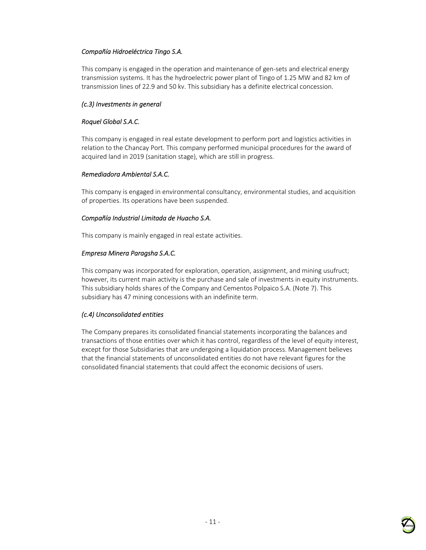## *Compañía Hidroeléctrica Tingo S.A.*

This company is engaged in the operation and maintenance of gen-sets and electrical energy transmission systems. It has the hydroelectric power plant of Tingo of 1.25 MW and 82 km of transmission lines of 22.9 and 50 kv. This subsidiary has a definite electrical concession.

## *(c.3) Investments in general*

#### *Roquel Global S.A.C.*

This company is engaged in real estate development to perform port and logistics activities in relation to the Chancay Port. This company performed municipal procedures for the award of acquired land in 2019 (sanitation stage), which are still in progress.

#### *Remediadora Ambiental S.A.C.*

This company is engaged in environmental consultancy, environmental studies, and acquisition of properties. Its operations have been suspended.

#### *Compañía Industrial Limitada de Huacho S.A.*

This company is mainly engaged in real estate activities.

#### *Empresa Minera Paragsha S.A.C.*

This company was incorporated for exploration, operation, assignment, and mining usufruct; however, its current main activity is the purchase and sale of investments in equity instruments. This subsidiary holds shares of the Company and Cementos Polpaico S.A. (Note 7). This subsidiary has 47 mining concessions with an indefinite term.

## *(c.4) Unconsolidated entities*

The Company prepares its consolidated financial statements incorporating the balances and transactions of those entities over which it has control, regardless of the level of equity interest, except for those Subsidiaries that are undergoing a liquidation process. Management believes that the financial statements of unconsolidated entities do not have relevant figures for the consolidated financial statements that could affect the economic decisions of users.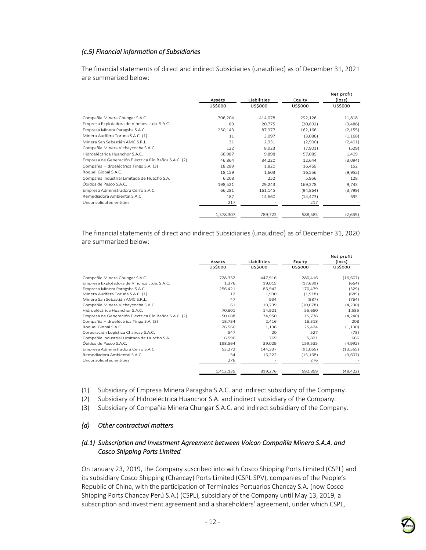## *(c.5) Financial information of Subsidiaries*

The financial statements of direct and indirect Subsidiaries (unaudited) as of December 31, 2021 are summarized below:

|                                                      | Assets         | Liabilities    | Equity         | Net profit<br>(loss) |
|------------------------------------------------------|----------------|----------------|----------------|----------------------|
|                                                      | <b>US\$000</b> | <b>US\$000</b> | <b>US\$000</b> | <b>US\$000</b>       |
| Compañía Minera Chungar S.A.C.                       | 706,204        | 414,078        | 292,126        | 11,818               |
| Empresa Explotadora de Vinchos Ltda. S.A.C.          | 83             | 20,775         | (20, 692)      | (3,486)              |
| Empresa Minera Paragsha S.A.C.                       | 250,143        | 87,977         | 162,166        | (2, 155)             |
| Minera Aurífera Toruna S.A.C. (1)                    | 11             | 3,097          | (3,086)        | (1, 168)             |
| Minera San Sebastián AMC S.R.L.                      | 31             | 2,931          | (2,900)        | (2,401)              |
| Compañía Minera Vichaycocha S.A.C.                   | 122            | 8,023          | (7,901)        | (529)                |
| Hidroeléctrica Huanchor S.A.C.                       | 66,987         | 9,898          | 57,089         | 1,409                |
| Empresa de Generación Eléctrica Río Baños S.A.C. (2) | 46,864         | 34,220         | 12,644         | (3,094)              |
| Compañía Hidroeléctrica Tingo S.A. (3)               | 18,289         | 1,820          | 16,469         | 152                  |
| Roquel Global S.A.C.                                 | 18,159         | 1,603          | 16,556         | (9,952)              |
| Compañía Industrial Limitada de Huacho S.A.          | 6,208          | 252            | 5,956          | 128                  |
| Óxidos de Pasco S.A.C.                               | 198,521        | 29,243         | 169,278        | 9,743                |
| Empresa Administradora Cerro S.A.C.                  | 66,281         | 161,145        | (94, 864)      | (3,799)              |
| Remediadora Ambiental S.A.C.                         | 187            | 14,660         | (14, 473)      | 695                  |
| Unconsolidated entities                              | 217            |                | 217            |                      |
|                                                      | 1,378,307      | 789,722        | 588,585        | (2,639)              |

The financial statements of direct and indirect Subsidiaries (unaudited) as of December 31, 2020 are summarized below:

|                                                      |                |                |                | Net profit     |
|------------------------------------------------------|----------------|----------------|----------------|----------------|
|                                                      | Assets         | Liabilities    | Equity         | (loss)         |
|                                                      | <b>US\$000</b> | <b>US\$000</b> | <b>US\$000</b> | <b>US\$000</b> |
| Compañía Minera Chungar S.A.C.                       | 728,332        | 447,916        | 280,416        | (16, 607)      |
| Empresa Explotadora de Vinchos Ltda. S.A.C.          | 1,376          | 19,015         | (17, 639)      | (664)          |
| Empresa Minera Paragsha S.A.C.                       | 256,421        | 85,942         | 170,479        | (329)          |
| Minera Aurífera Toruna S.A.C. (1)                    | 12             | 1,930          | (1,918)        | (685)          |
| Minera San Sebastián AMC S.R.L.                      | 47             | 934            | (887)          | (764)          |
| Compañía Minera Vichaycocha S.A.C.                   | 61             | 10,739         | (10, 678)      | (4,230)        |
| Hidroeléctrica Huanchor S.A.C.                       | 70,601         | 14,921         | 55,680         | 1,585          |
| Empresa de Generación Eléctrica Río Baños S.A.C. (2) | 50,688         | 34,950         | 15,738         | (4,240)        |
| Compañía Hidroeléctrica Tingo S.A. (3)               | 18,734         | 2,416          | 16,318         | 208            |
| Roquel Global S.A.C.                                 | 26,560         | 1,136          | 25,424         | (1, 130)       |
| Corporación Logística Chancay S.A.C.                 | 547            | 20             | 527            | (78)           |
| Compañía Industrial Limitada de Huacho S.A.          | 6,590          | 769            | 5,821          | 666            |
| Óxidos de Pasco S.A.C.                               | 198,564        | 39,029         | 159,535        | (4,992)        |
| Empresa Administradora Cerro S.A.C.                  | 53,272         | 144,337        | (91,065)       | (13, 555)      |
| Remediadora Ambiental S.A.C.                         | 54             | 15,222         | (15, 168)      | (3,607)        |
| Unconsolidated entities                              | 276            |                | 276            |                |
|                                                      | 1,412,135      | 819,276        | 592,859        | (48, 422)      |

(1) Subsidiary of Empresa Minera Paragsha S.A.C. and indirect subsidiary of the Company.

(2) Subsidiary of Hidroeléctrica Huanchor S.A. and indirect subsidiary of the Company.

(3) Subsidiary of Compañía Minera Chungar S.A.C. and indirect subsidiary of the Company.

#### *(d) Other contractual matters*

#### *(d.1) Subscription and Investment Agreement between Volcan Compañía Minera S.A.A. and Cosco Shipping Ports Limited*

On January 23, 2019, the Company suscribed into with Cosco Shipping Ports Limited (CSPL) and its subsidiary Cosco Shipping (Chancay) Ports Limited (CSPL SPV), companies of the People's Republic of China, with the participation of Terminales Portuarios Chancay S.A. (now Cosco Shipping Ports Chancay Perú S.A.) (CSPL), subsidiary of the Company until May 13, 2019, a subscription and investment agreement and a shareholders' agreement, under which CSPL,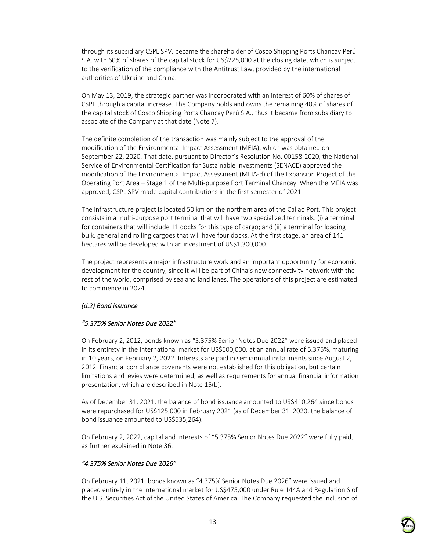through its subsidiary CSPL SPV, became the shareholder of Cosco Shipping Ports Chancay Perú S.A. with 60% of shares of the capital stock for US\$225,000 at the closing date, which is subject to the verification of the compliance with the Antitrust Law, provided by the international authorities of Ukraine and China.

On May 13, 2019, the strategic partner was incorporated with an interest of 60% of shares of CSPL through a capital increase. The Company holds and owns the remaining 40% of shares of the capital stock of Cosco Shipping Ports Chancay Perú S.A., thus it became from subsidiary to associate of the Company at that date (Note 7).

The definite completion of the transaction was mainly subject to the approval of the modification of the Environmental Impact Assessment (MEIA), which was obtained on September 22, 2020. That date, pursuant to Director's Resolution No. 00158-2020, the National Service of Environmental Certification for Sustainable Investments (SENACE) approved the modification of the Environmental Impact Assessment (MEIA-d) of the Expansion Project of the Operating Port Area – Stage 1 of the Multi-purpose Port Terminal Chancay. When the MEIA was approved, CSPL SPV made capital contributions in the first semester of 2021.

The infrastructure project is located 50 km on the northern area of the Callao Port. This project consists in a multi-purpose port terminal that will have two specialized terminals: (i) a terminal for containers that will include 11 docks for this type of cargo; and (ii) a terminal for loading bulk, general and rolling cargoes that will have four docks. At the first stage, an area of 141 hectares will be developed with an investment of US\$1,300,000.

The project represents a major infrastructure work and an important opportunity for economic development for the country, since it will be part of China's new connectivity network with the rest of the world, comprised by sea and land lanes. The operations of this project are estimated to commence in 2024.

#### *(d.2) Bond issuance*

#### *"5.375% Senior Notes Due 2022"*

On February 2, 2012, bonds known as "5.375% Senior Notes Due 2022" were issued and placed in its entirety in the international market for US\$600,000, at an annual rate of 5.375%, maturing in 10 years, on February 2, 2022. Interests are paid in semiannual installments since August 2, 2012. Financial compliance covenants were not established for this obligation, but certain limitations and levies were determined, as well as requirements for annual financial information presentation, which are described in Note 15(b).

As of December 31, 2021, the balance of bond issuance amounted to US\$410,264 since bonds were repurchased for US\$125,000 in February 2021 (as of December 31, 2020, the balance of bond issuance amounted to US\$535,264).

On February 2, 2022, capital and interests of "5.375% Senior Notes Due 2022" were fully paid, as further explained in Note 36.

#### *"4.375% Senior Notes Due 2026"*

On February 11, 2021, bonds known as "4.375% Senior Notes Due 2026" were issued and placed entirely in the international market for US\$475,000 under Rule 144A and Regulation S of the U.S. Securities Act of the United States of America. The Company requested the inclusion of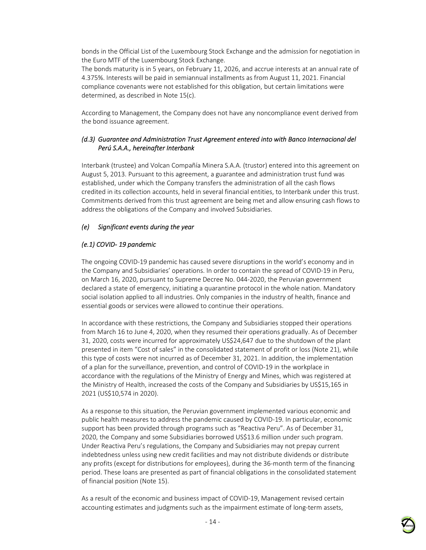bonds in the Official List of the Luxembourg Stock Exchange and the admission for negotiation in the Euro MTF of the Luxembourg Stock Exchange.

The bonds maturity is in 5 years, on February 11, 2026, and accrue interests at an annual rate of 4.375%. Interests will be paid in semiannual installments as from August 11, 2021. Financial compliance covenants were not established for this obligation, but certain limitations were determined, as described in Note 15(c).

According to Management, the Company does not have any noncompliance event derived from the bond issuance agreement.

#### *(d.3) Guarantee and Administration Trust Agreement entered into with Banco Internacional del Perú S.A.A., hereinafter Interbank*

Interbank (trustee) and Volcan Compañía Minera S.A.A. (trustor) entered into this agreement on August 5, 2013. Pursuant to this agreement, a guarantee and administration trust fund was established, under which the Company transfers the administration of all the cash flows credited in its collection accounts, held in several financial entities, to Interbank under this trust. Commitments derived from this trust agreement are being met and allow ensuring cash flows to address the obligations of the Company and involved Subsidiaries.

#### *(e) Significant events during the year*

#### *(e.1) COVID- 19 pandemic*

The ongoing COVID-19 pandemic has caused severe disruptions in the world's economy and in the Company and Subsidiaries' operations. In order to contain the spread of COVID-19 in Peru, on March 16, 2020, pursuant to Supreme Decree No. 044-2020, the Peruvian government declared a state of emergency, initiating a quarantine protocol in the whole nation. Mandatory social isolation applied to all industries. Only companies in the industry of health, finance and essential goods or services were allowed to continue their operations.

In accordance with these restrictions, the Company and Subsidiaries stopped their operations from March 16 to June 4, 2020, when they resumed their operations gradually. As of December 31, 2020, costs were incurred for approximately US\$24,647 due to the shutdown of the plant presented in item "Cost of sales" in the consolidated statement of profit or loss (Note 21), while this type of costs were not incurred as of December 31, 2021. In addition, the implementation of a plan for the surveillance, prevention, and control of COVID-19 in the workplace in accordance with the regulations of the Ministry of Energy and Mines, which was registered at the Ministry of Health, increased the costs of the Company and Subsidiaries by US\$15,165 in 2021 (US\$10,574 in 2020).

As a response to this situation, the Peruvian government implemented various economic and public health measures to address the pandemic caused by COVID-19. In particular, economic support has been provided through programs such as "Reactiva Peru". As of December 31, 2020, the Company and some Subsidiaries borrowed US\$13.6 million under such program. Under Reactiva Peru's regulations, the Company and Subsidiaries may not prepay current indebtedness unless using new credit facilities and may not distribute dividends or distribute any profits (except for distributions for employees), during the 36-month term of the financing period. These loans are presented as part of financial obligations in the consolidated statement of financial position (Note 15).

As a result of the economic and business impact of COVID-19, Management revised certain accounting estimates and judgments such as the impairment estimate of long-term assets,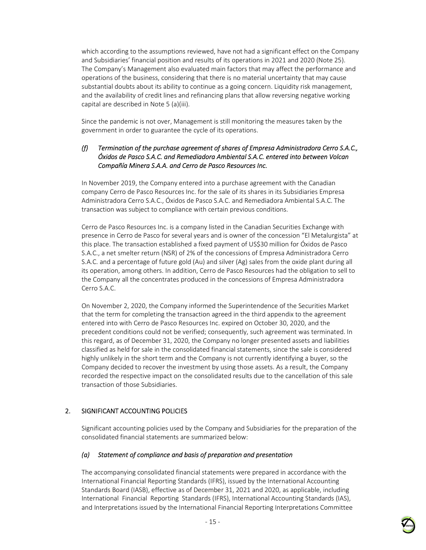which according to the assumptions reviewed, have not had a significant effect on the Company and Subsidiaries' financial position and results of its operations in 2021 and 2020 (Note 25). The Company's Management also evaluated main factors that may affect the performance and operations of the business, considering that there is no material uncertainty that may cause substantial doubts about its ability to continue as a going concern. Liquidity risk management, and the availability of credit lines and refinancing plans that allow reversing negative working capital are described in Note 5 (a)(iii).

Since the pandemic is not over, Management is still monitoring the measures taken by the government in order to guarantee the cycle of its operations.

#### *(f) Termination of the purchase agreement of shares of Empresa Administradora Cerro S.A.C., Óxidos de Pasco S.A.C. and Remediadora Ambiental S.A.C. entered into between Volcan Compañía Minera S.A.A. and Cerro de Pasco Resources Inc.*

In November 2019, the Company entered into a purchase agreement with the Canadian company Cerro de Pasco Resources Inc. for the sale of its shares in its Subsidiaries Empresa Administradora Cerro S.A.C., Óxidos de Pasco S.A.C. and Remediadora Ambiental S.A.C. The transaction was subject to compliance with certain previous conditions.

Cerro de Pasco Resources Inc. is a company listed in the Canadian Securities Exchange with presence in Cerro de Pasco for several years and is owner of the concession "El Metalurgista" at this place. The transaction established a fixed payment of US\$30 million for Óxidos de Pasco S.A.C., a net smelter return (NSR) of 2% of the concessions of Empresa Administradora Cerro S.A.C. and a percentage of future gold (Au) and silver (Ag) sales from the oxide plant during all its operation, among others. In addition, Cerro de Pasco Resources had the obligation to sell to the Company all the concentrates produced in the concessions of Empresa Administradora Cerro S.A.C.

On November 2, 2020, the Company informed the Superintendence of the Securities Market that the term for completing the transaction agreed in the third appendix to the agreement entered into with Cerro de Pasco Resources Inc. expired on October 30, 2020, and the precedent conditions could not be verified; consequently, such agreement was terminated. In this regard, as of December 31, 2020, the Company no longer presented assets and liabilities classified as held for sale in the consolidated financial statements, since the sale is considered highly unlikely in the short term and the Company is not currently identifying a buyer, so the Company decided to recover the investment by using those assets. As a result, the Company recorded the respective impact on the consolidated results due to the cancellation of this sale transaction of those Subsidiaries.

#### 2. SIGNIFICANT ACCOUNTING POLICIES

Significant accounting policies used by the Company and Subsidiaries for the preparation of the consolidated financial statements are summarized below:

#### *(a) Statement of compliance and basis of preparation and presentation*

The accompanying consolidated financial statements were prepared in accordance with the International Financial Reporting Standards (IFRS), issued by the International Accounting Standards Board (IASB), effective as of December 31, 2021 and 2020, as applicable, including International Financial Reporting Standards (IFRS), International Accounting Standards (IAS), and Interpretations issued by the International Financial Reporting Interpretations Committee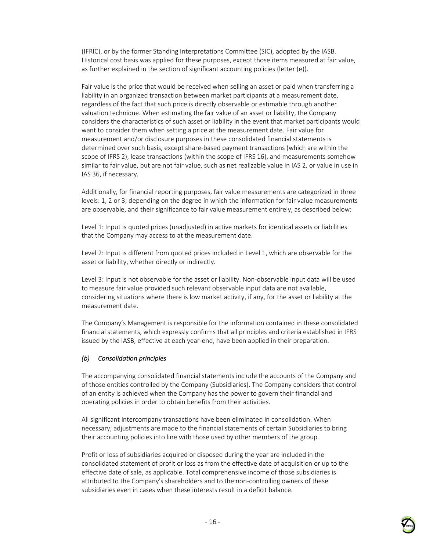(IFRIC), or by the former Standing Interpretations Committee (SIC), adopted by the IASB. Historical cost basis was applied for these purposes, except those items measured at fair value, as further explained in the section of significant accounting policies (letter (e)).

Fair value is the price that would be received when selling an asset or paid when transferring a liability in an organized transaction between market participants at a measurement date, regardless of the fact that such price is directly observable or estimable through another valuation technique. When estimating the fair value of an asset or liability, the Company considers the characteristics of such asset or liability in the event that market participants would want to consider them when setting a price at the measurement date. Fair value for measurement and/or disclosure purposes in these consolidated financial statements is determined over such basis, except share-based payment transactions (which are within the scope of IFRS 2), lease transactions (within the scope of IFRS 16), and measurements somehow similar to fair value, but are not fair value, such as net realizable value in IAS 2, or value in use in IAS 36, if necessary.

Additionally, for financial reporting purposes, fair value measurements are categorized in three levels: 1, 2 or 3; depending on the degree in which the information for fair value measurements are observable, and their significance to fair value measurement entirely, as described below:

Level 1: Input is quoted prices (unadjusted) in active markets for identical assets or liabilities that the Company may access to at the measurement date.

Level 2: Input is different from quoted prices included in Level 1, which are observable for the asset or liability, whether directly or indirectly.

Level 3: Input is not observable for the asset or liability. Non-observable input data will be used to measure fair value provided such relevant observable input data are not available, considering situations where there is low market activity, if any, for the asset or liability at the measurement date.

The Company's Management is responsible for the information contained in these consolidated financial statements, which expressly confirms that all principles and criteria established in IFRS issued by the IASB, effective at each year-end, have been applied in their preparation.

#### *(b) Consolidation principles*

The accompanying consolidated financial statements include the accounts of the Company and of those entities controlled by the Company (Subsidiaries). The Company considers that control of an entity is achieved when the Company has the power to govern their financial and operating policies in order to obtain benefits from their activities.

All significant intercompany transactions have been eliminated in consolidation. When necessary, adjustments are made to the financial statements of certain Subsidiaries to bring their accounting policies into line with those used by other members of the group.

Profit or loss of subsidiaries acquired or disposed during the year are included in the consolidated statement of profit or loss as from the effective date of acquisition or up to the effective date of sale, as applicable. Total comprehensive income of those subsidiaries is attributed to the Company's shareholders and to the non-controlling owners of these subsidiaries even in cases when these interests result in a deficit balance.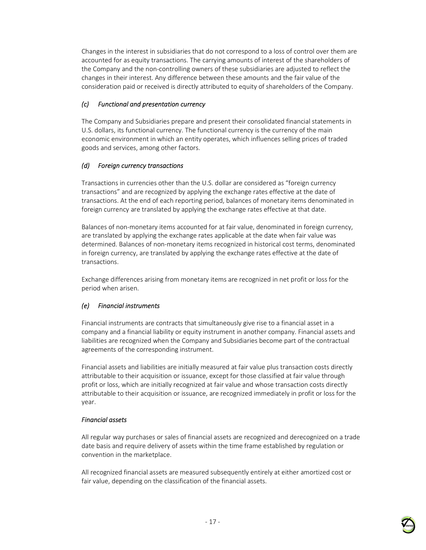Changes in the interest in subsidiaries that do not correspond to a loss of control over them are accounted for as equity transactions. The carrying amounts of interest of the shareholders of the Company and the non-controlling owners of these subsidiaries are adjusted to reflect the changes in their interest. Any difference between these amounts and the fair value of the consideration paid or received is directly attributed to equity of shareholders of the Company.

## *(c) Functional and presentation currency*

The Company and Subsidiaries prepare and present their consolidated financial statements in U.S. dollars, its functional currency. The functional currency is the currency of the main economic environment in which an entity operates, which influences selling prices of traded goods and services, among other factors.

## *(d) Foreign currency transactions*

Transactions in currencies other than the U.S. dollar are considered as "foreign currency transactions" and are recognized by applying the exchange rates effective at the date of transactions. At the end of each reporting period, balances of monetary items denominated in foreign currency are translated by applying the exchange rates effective at that date.

Balances of non-monetary items accounted for at fair value, denominated in foreign currency, are translated by applying the exchange rates applicable at the date when fair value was determined. Balances of non-monetary items recognized in historical cost terms, denominated in foreign currency, are translated by applying the exchange rates effective at the date of transactions.

Exchange differences arising from monetary items are recognized in net profit or loss for the period when arisen.

## *(e) Financial instruments*

Financial instruments are contracts that simultaneously give rise to a financial asset in a company and a financial liability or equity instrument in another company. Financial assets and liabilities are recognized when the Company and Subsidiaries become part of the contractual agreements of the corresponding instrument.

Financial assets and liabilities are initially measured at fair value plus transaction costs directly attributable to their acquisition or issuance, except for those classified at fair value through profit or loss, which are initially recognized at fair value and whose transaction costs directly attributable to their acquisition or issuance, are recognized immediately in profit or loss for the year.

#### *Financial assets*

All regular way purchases or sales of financial assets are recognized and derecognized on a trade date basis and require delivery of assets within the time frame established by regulation or convention in the marketplace.

All recognized financial assets are measured subsequently entirely at either amortized cost or fair value, depending on the classification of the financial assets.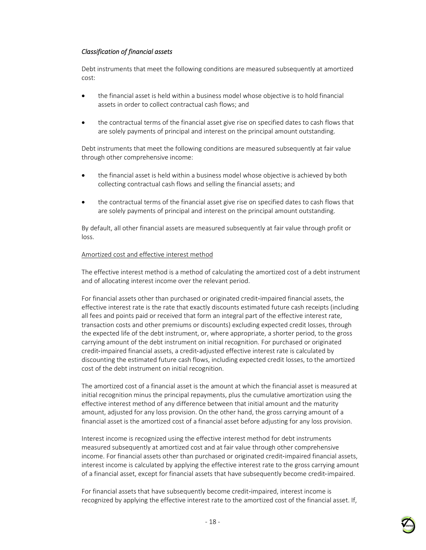#### *Classification of financial assets*

Debt instruments that meet the following conditions are measured subsequently at amortized cost:

- the financial asset is held within a business model whose objective is to hold financial assets in order to collect contractual cash flows; and
- the contractual terms of the financial asset give rise on specified dates to cash flows that are solely payments of principal and interest on the principal amount outstanding.

Debt instruments that meet the following conditions are measured subsequently at fair value through other comprehensive income:

- the financial asset is held within a business model whose objective is achieved by both collecting contractual cash flows and selling the financial assets; and
- the contractual terms of the financial asset give rise on specified dates to cash flows that are solely payments of principal and interest on the principal amount outstanding.

By default, all other financial assets are measured subsequently at fair value through profit or loss.

#### Amortized cost and effective interest method

The effective interest method is a method of calculating the amortized cost of a debt instrument and of allocating interest income over the relevant period.

For financial assets other than purchased or originated credit‑impaired financial assets, the effective interest rate is the rate that exactly discounts estimated future cash receipts (including all fees and points paid or received that form an integral part of the effective interest rate, transaction costs and other premiums or discounts) excluding expected credit losses, through the expected life of the debt instrument, or, where appropriate, a shorter period, to the gross carrying amount of the debt instrument on initial recognition. For purchased or originated credit-impaired financial assets, a credit-adjusted effective interest rate is calculated by discounting the estimated future cash flows, including expected credit losses, to the amortized cost of the debt instrument on initial recognition.

The amortized cost of a financial asset is the amount at which the financial asset is measured at initial recognition minus the principal repayments, plus the cumulative amortization using the effective interest method of any difference between that initial amount and the maturity amount, adjusted for any loss provision. On the other hand, the gross carrying amount of a financial asset is the amortized cost of a financial asset before adjusting for any loss provision.

Interest income is recognized using the effective interest method for debt instruments measured subsequently at amortized cost and at fair value through other comprehensive income. For financial assets other than purchased or originated credit-impaired financial assets, interest income is calculated by applying the effective interest rate to the gross carrying amount of a financial asset, except for financial assets that have subsequently become credit‑impaired.

For financial assets that have subsequently become credit-impaired, interest income is recognized by applying the effective interest rate to the amortized cost of the financial asset. If,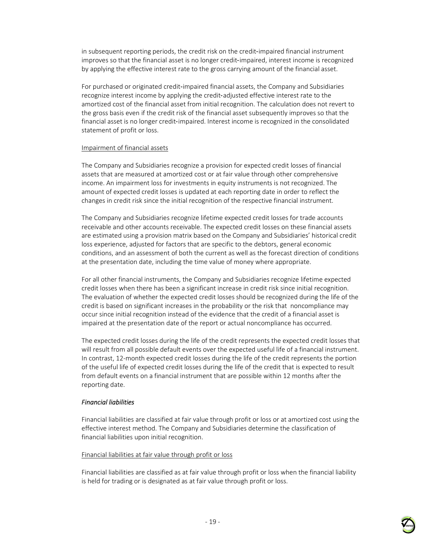in subsequent reporting periods, the credit risk on the credit-impaired financial instrument improves so that the financial asset is no longer credit-impaired, interest income is recognized by applying the effective interest rate to the gross carrying amount of the financial asset.

For purchased or originated credit-impaired financial assets, the Company and Subsidiaries recognize interest income by applying the credit‑adjusted effective interest rate to the amortized cost of the financial asset from initial recognition. The calculation does not revert to the gross basis even if the credit risk of the financial asset subsequently improves so that the financial asset is no longer credit-impaired. Interest income is recognized in the consolidated statement of profit or loss.

#### Impairment of financial assets

The Company and Subsidiaries recognize a provision for expected credit losses of financial assets that are measured at amortized cost or at fair value through other comprehensive income. An impairment loss for investments in equity instruments is not recognized. The amount of expected credit losses is updated at each reporting date in order to reflect the changes in credit risk since the initial recognition of the respective financial instrument.

The Company and Subsidiaries recognize lifetime expected credit losses for trade accounts receivable and other accounts receivable. The expected credit losses on these financial assets are estimated using a provision matrix based on the Company and Subsidiaries' historical credit loss experience, adjusted for factors that are specific to the debtors, general economic conditions, and an assessment of both the current as well as the forecast direction of conditions at the presentation date, including the time value of money where appropriate.

For all other financial instruments, the Company and Subsidiaries recognize lifetime expected credit losses when there has been a significant increase in credit risk since initial recognition. The evaluation of whether the expected credit losses should be recognized during the life of the credit is based on significant increases in the probability or the risk that noncompliance may occur since initial recognition instead of the evidence that the credit of a financial asset is impaired at the presentation date of the report or actual noncompliance has occurred.

The expected credit losses during the life of the credit represents the expected credit losses that will result from all possible default events over the expected useful life of a financial instrument. In contrast, 12-month expected credit losses during the life of the credit represents the portion of the useful life of expected credit losses during the life of the credit that is expected to result from default events on a financial instrument that are possible within 12 months after the reporting date.

#### *Financial liabilities*

Financial liabilities are classified at fair value through profit or loss or at amortized cost using the effective interest method. The Company and Subsidiaries determine the classification of financial liabilities upon initial recognition.

#### Financial liabilities at fair value through profit or loss

Financial liabilities are classified as at fair value through profit or loss when the financial liability is held for trading or is designated as at fair value through profit or loss.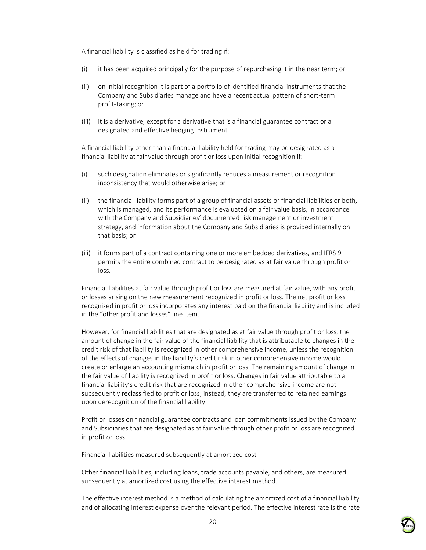A financial liability is classified as held for trading if:

- (i) it has been acquired principally for the purpose of repurchasing it in the near term; or
- (ii) on initial recognition it is part of a portfolio of identified financial instruments that the Company and Subsidiaries manage and have a recent actual pattern of short‑term profit-taking; or
- (iii) it is a derivative, except for a derivative that is a financial guarantee contract or a designated and effective hedging instrument.

A financial liability other than a financial liability held for trading may be designated as a financial liability at fair value through profit or loss upon initial recognition if:

- (i) such designation eliminates or significantly reduces a measurement or recognition inconsistency that would otherwise arise; or
- (ii) the financial liability forms part of a group of financial assets or financial liabilities or both, which is managed, and its performance is evaluated on a fair value basis, in accordance with the Company and Subsidiaries' documented risk management or investment strategy, and information about the Company and Subsidiaries is provided internally on that basis; or
- (iii) it forms part of a contract containing one or more embedded derivatives, and IFRS 9 permits the entire combined contract to be designated as at fair value through profit or loss.

Financial liabilities at fair value through profit or loss are measured at fair value, with any profit or losses arising on the new measurement recognized in profit or loss. The net profit or loss recognized in profit or loss incorporates any interest paid on the financial liability and is included in the "other profit and losses" line item.

However, for financial liabilities that are designated as at fair value through profit or loss, the amount of change in the fair value of the financial liability that is attributable to changes in the credit risk of that liability is recognized in other comprehensive income, unless the recognition of the effects of changes in the liability's credit risk in other comprehensive income would create or enlarge an accounting mismatch in profit or loss. The remaining amount of change in the fair value of liability is recognized in profit or loss. Changes in fair value attributable to a financial liability's credit risk that are recognized in other comprehensive income are not subsequently reclassified to profit or loss; instead, they are transferred to retained earnings upon derecognition of the financial liability.

Profit or losses on financial guarantee contracts and loan commitments issued by the Company and Subsidiaries that are designated as at fair value through other profit or loss are recognized in profit or loss.

#### Financial liabilities measured subsequently at amortized cost

Other financial liabilities, including loans, trade accounts payable, and others, are measured subsequently at amortized cost using the effective interest method.

The effective interest method is a method of calculating the amortized cost of a financial liability and of allocating interest expense over the relevant period. The effective interest rate is the rate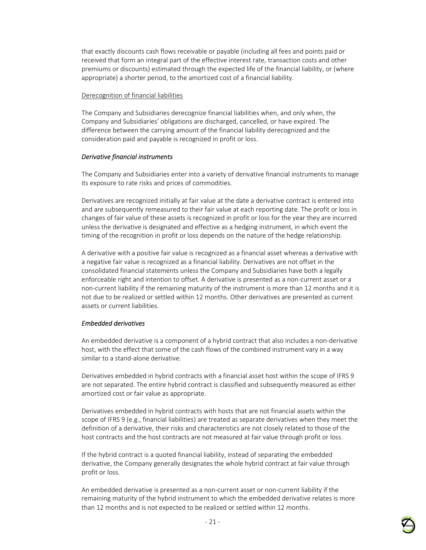that exactly discounts cash flows receivable or payable (including all fees and points paid or received that form an integral part of the effective interest rate, transaction costs and other premiums or discounts) estimated through the expected life of the financial liability, or (where appropriate) a shorter period, to the amortized cost of a financial liability.

#### Derecognition of financial liabilities

The Company and Subsidiaries derecognize financial liabilities when, and only when, the Company and Subsidiaries' obligations are discharged, cancelled, or have expired. The difference between the carrying amount of the financial liability derecognized and the consideration paid and payable is recognized in profit or loss.

#### *Derivative financial instruments*

The Company and Subsidiaries enter into a variety of derivative financial instruments to manage its exposure to rate risks and prices of commodities.

Derivatives are recognized initially at fair value at the date a derivative contract is entered into and are subsequently remeasured to their fair value at each reporting date. The profit or loss in changes of fair value of these assets is recognized in profit or loss for the year they are incurred unless the derivative is designated and effective as a hedging instrument, in which event the timing of the recognition in profit or loss depends on the nature of the hedge relationship.

A derivative with a positive fair value is recognized as a financial asset whereas a derivative with a negative fair value is recognized as a financial liability. Derivatives are not offset in the consolidated financial statements unless the Company and Subsidiaries have both a legally enforceable right and intention to offset. A derivative is presented as a non-current asset or a non-current liability if the remaining maturity of the instrument is more than 12 months and it is not due to be realized or settled within 12 months. Other derivatives are presented as current assets or current liabilities.

#### *Embedded derivatives*

An embedded derivative is a component of a hybrid contract that also includes a non-derivative host, with the effect that some of the cash flows of the combined instrument vary in a way similar to a stand-alone derivative.

Derivatives embedded in hybrid contracts with a financial asset host within the scope of IFRS 9 are not separated. The entire hybrid contract is classified and subsequently measured as either amortized cost or fair value as appropriate.

Derivatives embedded in hybrid contracts with hosts that are not financial assets within the scope of IFRS 9 (e.g., financial liabilities) are treated as separate derivatives when they meet the definition of a derivative, their risks and characteristics are not closely related to those of the host contracts and the host contracts are not measured at fair value through profit or loss.

If the hybrid contract is a quoted financial liability, instead of separating the embedded derivative, the Company generally designates the whole hybrid contract at fair value through profit or loss.

An embedded derivative is presented as a non-current asset or non-current liability if the remaining maturity of the hybrid instrument to which the embedded derivative relates is more than 12 months and is not expected to be realized or settled within 12 months.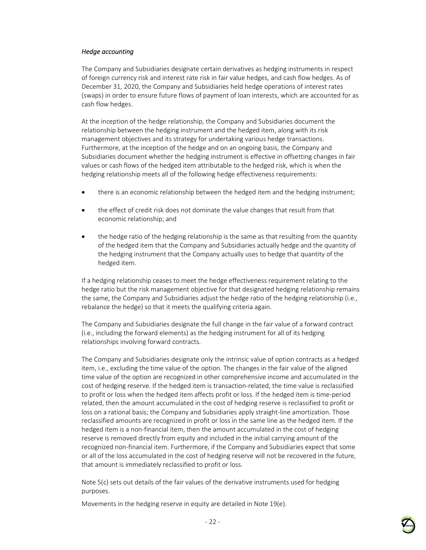#### *Hedge accounting*

The Company and Subsidiaries designate certain derivatives as hedging instruments in respect of foreign currency risk and interest rate risk in fair value hedges, and cash flow hedges. As of December 31, 2020, the Company and Subsidiaries held hedge operations of interest rates (swaps) in order to ensure future flows of payment of loan interests, which are accounted for as cash flow hedges.

At the inception of the hedge relationship, the Company and Subsidiaries document the relationship between the hedging instrument and the hedged item, along with its risk management objectives and its strategy for undertaking various hedge transactions. Furthermore, at the inception of the hedge and on an ongoing basis, the Company and Subsidiaries document whether the hedging instrument is effective in offsetting changes in fair values or cash flows of the hedged item attributable to the hedged risk, which is when the hedging relationship meets all of the following hedge effectiveness requirements:

- there is an economic relationship between the hedged item and the hedging instrument;
- the effect of credit risk does not dominate the value changes that result from that economic relationship; and
- the hedge ratio of the hedging relationship is the same as that resulting from the quantity of the hedged item that the Company and Subsidiaries actually hedge and the quantity of the hedging instrument that the Company actually uses to hedge that quantity of the hedged item.

If a hedging relationship ceases to meet the hedge effectiveness requirement relating to the hedge ratio but the risk management objective for that designated hedging relationship remains the same, the Company and Subsidiaries adjust the hedge ratio of the hedging relationship (i.e., rebalance the hedge) so that it meets the qualifying criteria again.

The Company and Subsidiaries designate the full change in the fair value of a forward contract (i.e., including the forward elements) as the hedging instrument for all of its hedging relationships involving forward contracts.

The Company and Subsidiaries designate only the intrinsic value of option contracts as a hedged item, i.e., excluding the time value of the option. The changes in the fair value of the aligned time value of the option are recognized in other comprehensive income and accumulated in the cost of hedging reserve. If the hedged item is transaction-related, the time value is reclassified to profit or loss when the hedged item affects profit or loss. If the hedged item is time-period related, then the amount accumulated in the cost of hedging reserve is reclassified to profit or loss on a rational basis; the Company and Subsidiaries apply straight-line amortization. Those reclassified amounts are recognized in profit or loss in the same line as the hedged item. If the hedged item is a non-financial item, then the amount accumulated in the cost of hedging reserve is removed directly from equity and included in the initial carrying amount of the recognized non-financial item. Furthermore, if the Company and Subsidiaries expect that some or all of the loss accumulated in the cost of hedging reserve will not be recovered in the future, that amount is immediately reclassified to profit or loss.

Note 5(c) sets out details of the fair values of the derivative instruments used for hedging purposes.

Movements in the hedging reserve in equity are detailed in Note 19(e).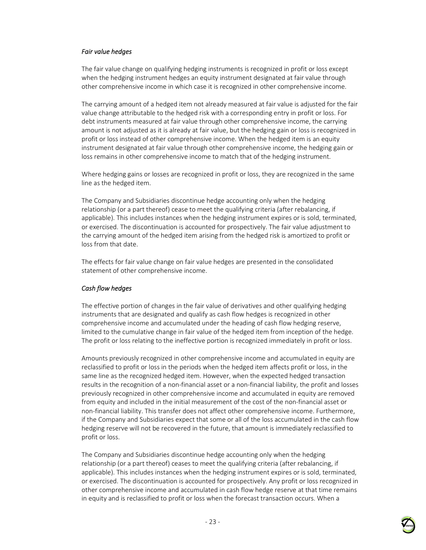#### *Fair value hedges*

The fair value change on qualifying hedging instruments is recognized in profit or loss except when the hedging instrument hedges an equity instrument designated at fair value through other comprehensive income in which case it is recognized in other comprehensive income.

The carrying amount of a hedged item not already measured at fair value is adjusted for the fair value change attributable to the hedged risk with a corresponding entry in profit or loss. For debt instruments measured at fair value through other comprehensive income, the carrying amount is not adjusted as it is already at fair value, but the hedging gain or loss is recognized in profit or loss instead of other comprehensive income. When the hedged item is an equity instrument designated at fair value through other comprehensive income, the hedging gain or loss remains in other comprehensive income to match that of the hedging instrument.

Where hedging gains or losses are recognized in profit or loss, they are recognized in the same line as the hedged item.

The Company and Subsidiaries discontinue hedge accounting only when the hedging relationship (or a part thereof) cease to meet the qualifying criteria (after rebalancing, if applicable). This includes instances when the hedging instrument expires or is sold, terminated, or exercised. The discontinuation is accounted for prospectively. The fair value adjustment to the carrying amount of the hedged item arising from the hedged risk is amortized to profit or loss from that date.

The effects for fair value change on fair value hedges are presented in the consolidated statement of other comprehensive income.

#### *Cash flow hedges*

The effective portion of changes in the fair value of derivatives and other qualifying hedging instruments that are designated and qualify as cash flow hedges is recognized in other comprehensive income and accumulated under the heading of cash flow hedging reserve, limited to the cumulative change in fair value of the hedged item from inception of the hedge. The profit or loss relating to the ineffective portion is recognized immediately in profit or loss.

Amounts previously recognized in other comprehensive income and accumulated in equity are reclassified to profit or loss in the periods when the hedged item affects profit or loss, in the same line as the recognized hedged item. However, when the expected hedged transaction results in the recognition of a non-financial asset or a non-financial liability, the profit and losses previously recognized in other comprehensive income and accumulated in equity are removed from equity and included in the initial measurement of the cost of the non-financial asset or non-financial liability. This transfer does not affect other comprehensive income. Furthermore, if the Company and Subsidiaries expect that some or all of the loss accumulated in the cash flow hedging reserve will not be recovered in the future, that amount is immediately reclassified to profit or loss.

The Company and Subsidiaries discontinue hedge accounting only when the hedging relationship (or a part thereof) ceases to meet the qualifying criteria (after rebalancing, if applicable). This includes instances when the hedging instrument expires or is sold, terminated, or exercised. The discontinuation is accounted for prospectively. Any profit or loss recognized in other comprehensive income and accumulated in cash flow hedge reserve at that time remains in equity and is reclassified to profit or loss when the forecast transaction occurs. When a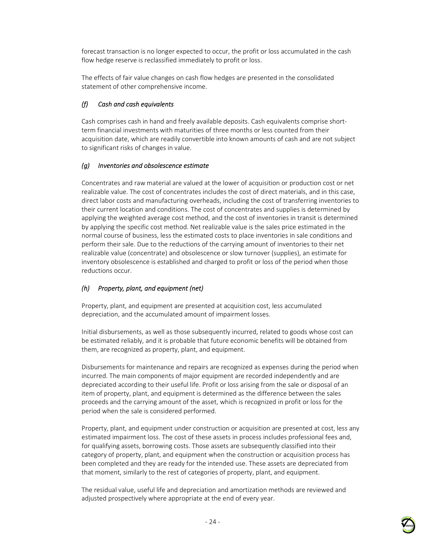forecast transaction is no longer expected to occur, the profit or loss accumulated in the cash flow hedge reserve is reclassified immediately to profit or loss.

The effects of fair value changes on cash flow hedges are presented in the consolidated statement of other comprehensive income.

## *(f) Cash and cash equivalents*

Cash comprises cash in hand and freely available deposits. Cash equivalents comprise shortterm financial investments with maturities of three months or less counted from their acquisition date, which are readily convertible into known amounts of cash and are not subject to significant risks of changes in value.

#### *(g) Inventories and obsolescence estimate*

Concentrates and raw material are valued at the lower of acquisition or production cost or net realizable value. The cost of concentrates includes the cost of direct materials, and in this case, direct labor costs and manufacturing overheads, including the cost of transferring inventories to their current location and conditions. The cost of concentrates and supplies is determined by applying the weighted average cost method, and the cost of inventories in transit is determined by applying the specific cost method. Net realizable value is the sales price estimated in the normal course of business, less the estimated costs to place inventories in sale conditions and perform their sale. Due to the reductions of the carrying amount of inventories to their net realizable value (concentrate) and obsolescence or slow turnover (supplies), an estimate for inventory obsolescence is established and charged to profit or loss of the period when those reductions occur.

#### *(h) Property, plant, and equipment (net)*

Property, plant, and equipment are presented at acquisition cost, less accumulated depreciation, and the accumulated amount of impairment losses.

Initial disbursements, as well as those subsequently incurred, related to goods whose cost can be estimated reliably, and it is probable that future economic benefits will be obtained from them, are recognized as property, plant, and equipment.

Disbursements for maintenance and repairs are recognized as expenses during the period when incurred. The main components of major equipment are recorded independently and are depreciated according to their useful life. Profit or loss arising from the sale or disposal of an item of property, plant, and equipment is determined as the difference between the sales proceeds and the carrying amount of the asset, which is recognized in profit or loss for the period when the sale is considered performed.

Property, plant, and equipment under construction or acquisition are presented at cost, less any estimated impairment loss. The cost of these assets in process includes professional fees and, for qualifying assets, borrowing costs. Those assets are subsequently classified into their category of property, plant, and equipment when the construction or acquisition process has been completed and they are ready for the intended use. These assets are depreciated from that moment, similarly to the rest of categories of property, plant, and equipment.

The residual value, useful life and depreciation and amortization methods are reviewed and adjusted prospectively where appropriate at the end of every year.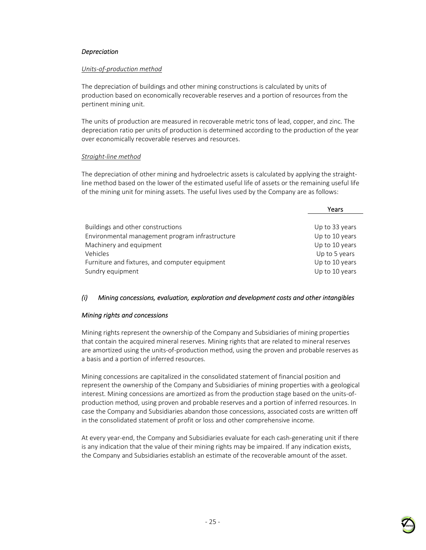#### *Depreciation*

#### *Units-of-production method*

The depreciation of buildings and other mining constructions is calculated by units of production based on economically recoverable reserves and a portion of resources from the pertinent mining unit.

The units of production are measured in recoverable metric tons of lead, copper, and zinc. The depreciation ratio per units of production is determined according to the production of the year over economically recoverable reserves and resources.

#### *Straight-line method*

The depreciation of other mining and hydroelectric assets is calculated by applying the straightline method based on the lower of the estimated useful life of assets or the remaining useful life of the mining unit for mining assets. The useful lives used by the Company are as follows:

| Years          |
|----------------|
|                |
| Up to 33 years |
| Up to 10 years |
| Up to 10 years |
| Up to 5 years  |
| Up to 10 years |
| Up to 10 years |
|                |

#### *(i) Mining concessions, evaluation, exploration and development costs and other intangibles*

#### *Mining rights and concessions*

Mining rights represent the ownership of the Company and Subsidiaries of mining properties that contain the acquired mineral reserves. Mining rights that are related to mineral reserves are amortized using the units-of-production method, using the proven and probable reserves as a basis and a portion of inferred resources.

Mining concessions are capitalized in the consolidated statement of financial position and represent the ownership of the Company and Subsidiaries of mining properties with a geological interest. Mining concessions are amortized as from the production stage based on the units-ofproduction method, using proven and probable reserves and a portion of inferred resources. In case the Company and Subsidiaries abandon those concessions, associated costs are written off in the consolidated statement of profit or loss and other comprehensive income.

At every year-end, the Company and Subsidiaries evaluate for each cash-generating unit if there is any indication that the value of their mining rights may be impaired. If any indication exists, the Company and Subsidiaries establish an estimate of the recoverable amount of the asset.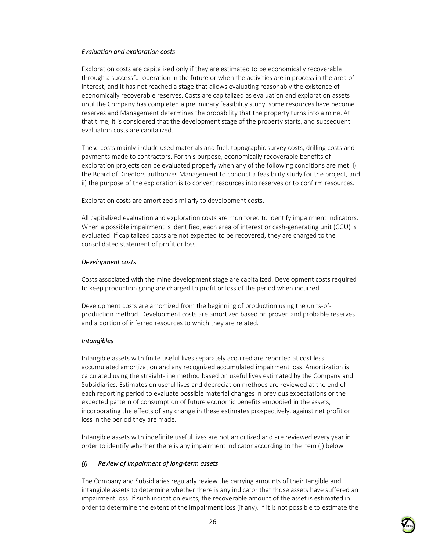#### *Evaluation and exploration costs*

Exploration costs are capitalized only if they are estimated to be economically recoverable through a successful operation in the future or when the activities are in process in the area of interest, and it has not reached a stage that allows evaluating reasonably the existence of economically recoverable reserves. Costs are capitalized as evaluation and exploration assets until the Company has completed a preliminary feasibility study, some resources have become reserves and Management determines the probability that the property turns into a mine. At that time, it is considered that the development stage of the property starts, and subsequent evaluation costs are capitalized.

These costs mainly include used materials and fuel, topographic survey costs, drilling costs and payments made to contractors. For this purpose, economically recoverable benefits of exploration projects can be evaluated properly when any of the following conditions are met: i) the Board of Directors authorizes Management to conduct a feasibility study for the project, and ii) the purpose of the exploration is to convert resources into reserves or to confirm resources.

Exploration costs are amortized similarly to development costs.

All capitalized evaluation and exploration costs are monitored to identify impairment indicators. When a possible impairment is identified, each area of interest or cash-generating unit (CGU) is evaluated. If capitalized costs are not expected to be recovered, they are charged to the consolidated statement of profit or loss.

#### *Development costs*

Costs associated with the mine development stage are capitalized. Development costs required to keep production going are charged to profit or loss of the period when incurred.

Development costs are amortized from the beginning of production using the units-ofproduction method. Development costs are amortized based on proven and probable reserves and a portion of inferred resources to which they are related.

#### *Intangibles*

Intangible assets with finite useful lives separately acquired are reported at cost less accumulated amortization and any recognized accumulated impairment loss. Amortization is calculated using the straight-line method based on useful lives estimated by the Company and Subsidiaries. Estimates on useful lives and depreciation methods are reviewed at the end of each reporting period to evaluate possible material changes in previous expectations or the expected pattern of consumption of future economic benefits embodied in the assets, incorporating the effects of any change in these estimates prospectively, against net profit or loss in the period they are made.

Intangible assets with indefinite useful lives are not amortized and are reviewed every year in order to identify whether there is any impairment indicator according to the item (j) below.

#### *(j) Review of impairment of long-term assets*

The Company and Subsidiaries regularly review the carrying amounts of their tangible and intangible assets to determine whether there is any indicator that those assets have suffered an impairment loss. If such indication exists, the recoverable amount of the asset is estimated in order to determine the extent of the impairment loss (if any). If it is not possible to estimate the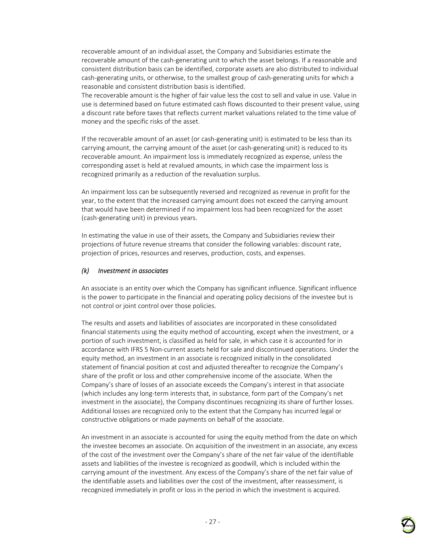recoverable amount of an individual asset, the Company and Subsidiaries estimate the recoverable amount of the cash-generating unit to which the asset belongs. If a reasonable and consistent distribution basis can be identified, corporate assets are also distributed to individual cash-generating units, or otherwise, to the smallest group of cash-generating units for which a reasonable and consistent distribution basis is identified.

The recoverable amount is the higher of fair value less the cost to sell and value in use. Value in use is determined based on future estimated cash flows discounted to their present value, using a discount rate before taxes that reflects current market valuations related to the time value of money and the specific risks of the asset.

If the recoverable amount of an asset (or cash-generating unit) is estimated to be less than its carrying amount, the carrying amount of the asset (or cash-generating unit) is reduced to its recoverable amount. An impairment loss is immediately recognized as expense, unless the corresponding asset is held at revalued amounts, in which case the impairment loss is recognized primarily as a reduction of the revaluation surplus.

An impairment loss can be subsequently reversed and recognized as revenue in profit for the year, to the extent that the increased carrying amount does not exceed the carrying amount that would have been determined if no impairment loss had been recognized for the asset (cash-generating unit) in previous years.

In estimating the value in use of their assets, the Company and Subsidiaries review their projections of future revenue streams that consider the following variables: discount rate, projection of prices, resources and reserves, production, costs, and expenses.

#### *(k) Investment in associates*

An associate is an entity over which the Company has significant influence. Significant influence is the power to participate in the financial and operating policy decisions of the investee but is not control or joint control over those policies.

The results and assets and liabilities of associates are incorporated in these consolidated financial statements using the equity method of accounting, except when the investment, or a portion of such investment, is classified as held for sale, in which case it is accounted for in accordance with IFRS 5 Non-current assets held for sale and discontinued operations. Under the equity method, an investment in an associate is recognized initially in the consolidated statement of financial position at cost and adjusted thereafter to recognize the Company's share of the profit or loss and other comprehensive income of the associate. When the Company's share of losses of an associate exceeds the Company's interest in that associate (which includes any long-term interests that, in substance, form part of the Company's net investment in the associate), the Company discontinues recognizing its share of further losses. Additional losses are recognized only to the extent that the Company has incurred legal or constructive obligations or made payments on behalf of the associate.

An investment in an associate is accounted for using the equity method from the date on which the investee becomes an associate. On acquisition of the investment in an associate, any excess of the cost of the investment over the Company's share of the net fair value of the identifiable assets and liabilities of the investee is recognized as goodwill, which is included within the carrying amount of the investment. Any excess of the Company's share of the net fair value of the identifiable assets and liabilities over the cost of the investment, after reassessment, is recognized immediately in profit or loss in the period in which the investment is acquired.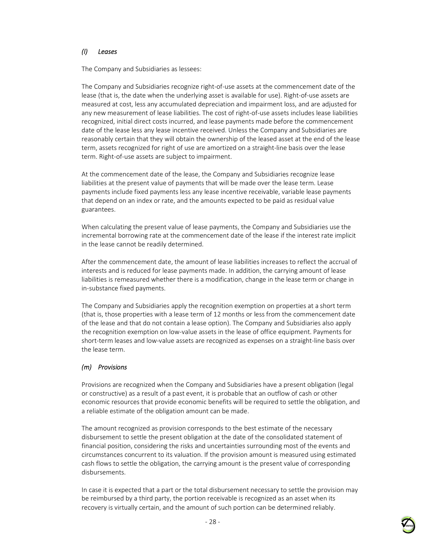## *(l) Leases*

The Company and Subsidiaries as lessees:

The Company and Subsidiaries recognize right-of-use assets at the commencement date of the lease (that is, the date when the underlying asset is available for use). Right-of-use assets are measured at cost, less any accumulated depreciation and impairment loss, and are adjusted for any new measurement of lease liabilities. The cost of right-of-use assets includes lease liabilities recognized, initial direct costs incurred, and lease payments made before the commencement date of the lease less any lease incentive received. Unless the Company and Subsidiaries are reasonably certain that they will obtain the ownership of the leased asset at the end of the lease term, assets recognized for right of use are amortized on a straight-line basis over the lease term. Right-of-use assets are subject to impairment.

At the commencement date of the lease, the Company and Subsidiaries recognize lease liabilities at the present value of payments that will be made over the lease term. Lease payments include fixed payments less any lease incentive receivable, variable lease payments that depend on an index or rate, and the amounts expected to be paid as residual value guarantees.

When calculating the present value of lease payments, the Company and Subsidiaries use the incremental borrowing rate at the commencement date of the lease if the interest rate implicit in the lease cannot be readily determined.

After the commencement date, the amount of lease liabilities increases to reflect the accrual of interests and is reduced for lease payments made. In addition, the carrying amount of lease liabilities is remeasured whether there is a modification, change in the lease term or change in in-substance fixed payments.

The Company and Subsidiaries apply the recognition exemption on properties at a short term (that is, those properties with a lease term of 12 months or less from the commencement date of the lease and that do not contain a lease option). The Company and Subsidiaries also apply the recognition exemption on low-value assets in the lease of office equipment. Payments for short-term leases and low-value assets are recognized as expenses on a straight-line basis over the lease term.

## *(m) Provisions*

Provisions are recognized when the Company and Subsidiaries have a present obligation (legal or constructive) as a result of a past event, it is probable that an outflow of cash or other economic resources that provide economic benefits will be required to settle the obligation, and a reliable estimate of the obligation amount can be made.

The amount recognized as provision corresponds to the best estimate of the necessary disbursement to settle the present obligation at the date of the consolidated statement of financial position, considering the risks and uncertainties surrounding most of the events and circumstances concurrent to its valuation. If the provision amount is measured using estimated cash flows to settle the obligation, the carrying amount is the present value of corresponding disbursements.

In case it is expected that a part or the total disbursement necessary to settle the provision may be reimbursed by a third party, the portion receivable is recognized as an asset when its recovery is virtually certain, and the amount of such portion can be determined reliably.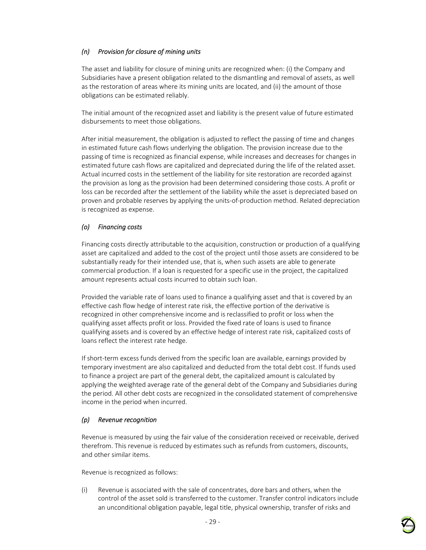## *(n) Provision for closure of mining units*

The asset and liability for closure of mining units are recognized when: (i) the Company and Subsidiaries have a present obligation related to the dismantling and removal of assets, as well as the restoration of areas where its mining units are located, and (ii) the amount of those obligations can be estimated reliably.

The initial amount of the recognized asset and liability is the present value of future estimated disbursements to meet those obligations.

After initial measurement, the obligation is adjusted to reflect the passing of time and changes in estimated future cash flows underlying the obligation. The provision increase due to the passing of time is recognized as financial expense, while increases and decreases for changes in estimated future cash flows are capitalized and depreciated during the life of the related asset. Actual incurred costs in the settlement of the liability for site restoration are recorded against the provision as long as the provision had been determined considering those costs. A profit or loss can be recorded after the settlement of the liability while the asset is depreciated based on proven and probable reserves by applying the units-of-production method. Related depreciation is recognized as expense.

## *(o) Financing costs*

Financing costs directly attributable to the acquisition, construction or production of a qualifying asset are capitalized and added to the cost of the project until those assets are considered to be substantially ready for their intended use, that is, when such assets are able to generate commercial production. If a loan is requested for a specific use in the project, the capitalized amount represents actual costs incurred to obtain such loan.

Provided the variable rate of loans used to finance a qualifying asset and that is covered by an effective cash flow hedge of interest rate risk, the effective portion of the derivative is recognized in other comprehensive income and is reclassified to profit or loss when the qualifying asset affects profit or loss. Provided the fixed rate of loans is used to finance qualifying assets and is covered by an effective hedge of interest rate risk, capitalized costs of loans reflect the interest rate hedge.

If short-term excess funds derived from the specific loan are available, earnings provided by temporary investment are also capitalized and deducted from the total debt cost. If funds used to finance a project are part of the general debt, the capitalized amount is calculated by applying the weighted average rate of the general debt of the Company and Subsidiaries during the period. All other debt costs are recognized in the consolidated statement of comprehensive income in the period when incurred.

#### *(p) Revenue recognition*

Revenue is measured by using the fair value of the consideration received or receivable, derived therefrom. This revenue is reduced by estimates such as refunds from customers, discounts, and other similar items.

Revenue is recognized as follows:

(i) Revenue is associated with the sale of concentrates, dore bars and others, when the control of the asset sold is transferred to the customer. Transfer control indicators include an unconditional obligation payable, legal title, physical ownership, transfer of risks and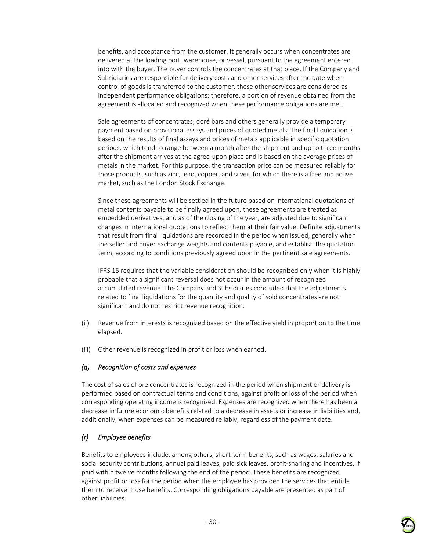benefits, and acceptance from the customer. It generally occurs when concentrates are delivered at the loading port, warehouse, or vessel, pursuant to the agreement entered into with the buyer. The buyer controls the concentrates at that place. If the Company and Subsidiaries are responsible for delivery costs and other services after the date when control of goods is transferred to the customer, these other services are considered as independent performance obligations; therefore, a portion of revenue obtained from the agreement is allocated and recognized when these performance obligations are met.

Sale agreements of concentrates, doré bars and others generally provide a temporary payment based on provisional assays and prices of quoted metals. The final liquidation is based on the results of final assays and prices of metals applicable in specific quotation periods, which tend to range between a month after the shipment and up to three months after the shipment arrives at the agree-upon place and is based on the average prices of metals in the market. For this purpose, the transaction price can be measured reliably for those products, such as zinc, lead, copper, and silver, for which there is a free and active market, such as the London Stock Exchange.

Since these agreements will be settled in the future based on international quotations of metal contents payable to be finally agreed upon, these agreements are treated as embedded derivatives, and as of the closing of the year, are adjusted due to significant changes in international quotations to reflect them at their fair value. Definite adjustments that result from final liquidations are recorded in the period when issued, generally when the seller and buyer exchange weights and contents payable, and establish the quotation term, according to conditions previously agreed upon in the pertinent sale agreements.

IFRS 15 requires that the variable consideration should be recognized only when it is highly probable that a significant reversal does not occur in the amount of recognized accumulated revenue. The Company and Subsidiaries concluded that the adjustments related to final liquidations for the quantity and quality of sold concentrates are not significant and do not restrict revenue recognition.

- (ii) Revenue from interests is recognized based on the effective yield in proportion to the time elapsed.
- (iii) Other revenue is recognized in profit or loss when earned.

## *(q) Recognition of costs and expenses*

The cost of sales of ore concentrates is recognized in the period when shipment or delivery is performed based on contractual terms and conditions, against profit or loss of the period when corresponding operating income is recognized. Expenses are recognized when there has been a decrease in future economic benefits related to a decrease in assets or increase in liabilities and, additionally, when expenses can be measured reliably, regardless of the payment date.

## *(r) Employee benefits*

Benefits to employees include, among others, short-term benefits, such as wages, salaries and social security contributions, annual paid leaves, paid sick leaves, profit-sharing and incentives, if paid within twelve months following the end of the period. These benefits are recognized against profit or loss for the period when the employee has provided the services that entitle them to receive those benefits. Corresponding obligations payable are presented as part of other liabilities.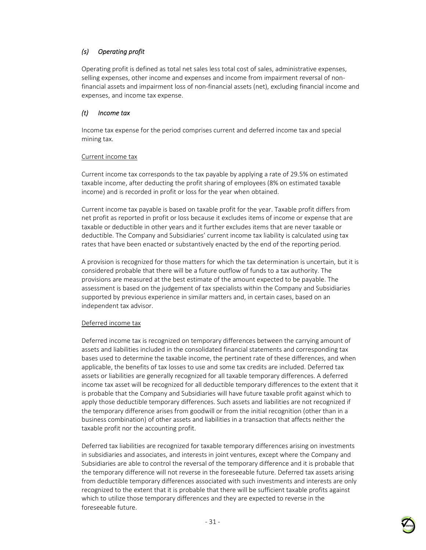## *(s) Operating profit*

Operating profit is defined as total net sales less total cost of sales, administrative expenses, selling expenses, other income and expenses and income from impairment reversal of nonfinancial assets and impairment loss of non-financial assets (net), excluding financial income and expenses, and income tax expense.

## *(t) Income tax*

Income tax expense for the period comprises current and deferred income tax and special mining tax.

#### Current income tax

Current income tax corresponds to the tax payable by applying a rate of 29.5% on estimated taxable income, after deducting the profit sharing of employees (8% on estimated taxable income) and is recorded in profit or loss for the year when obtained.

Current income tax payable is based on taxable profit for the year. Taxable profit differs from net profit as reported in profit or loss because it excludes items of income or expense that are taxable or deductible in other years and it further excludes items that are never taxable or deductible. The Company and Subsidiaries' current income tax liability is calculated using tax rates that have been enacted or substantively enacted by the end of the reporting period.

A provision is recognized for those matters for which the tax determination is uncertain, but it is considered probable that there will be a future outflow of funds to a tax authority. The provisions are measured at the best estimate of the amount expected to be payable. The assessment is based on the judgement of tax specialists within the Company and Subsidiaries supported by previous experience in similar matters and, in certain cases, based on an independent tax advisor.

## Deferred income tax

Deferred income tax is recognized on temporary differences between the carrying amount of assets and liabilities included in the consolidated financial statements and corresponding tax bases used to determine the taxable income, the pertinent rate of these differences, and when applicable, the benefits of tax losses to use and some tax credits are included. Deferred tax assets or liabilities are generally recognized for all taxable temporary differences. A deferred income tax asset will be recognized for all deductible temporary differences to the extent that it is probable that the Company and Subsidiaries will have future taxable profit against which to apply those deductible temporary differences. Such assets and liabilities are not recognized if the temporary difference arises from goodwill or from the initial recognition (other than in a business combination) of other assets and liabilities in a transaction that affects neither the taxable profit nor the accounting profit.

Deferred tax liabilities are recognized for taxable temporary differences arising on investments in subsidiaries and associates, and interests in joint ventures, except where the Company and Subsidiaries are able to control the reversal of the temporary difference and it is probable that the temporary difference will not reverse in the foreseeable future. Deferred tax assets arising from deductible temporary differences associated with such investments and interests are only recognized to the extent that it is probable that there will be sufficient taxable profits against which to utilize those temporary differences and they are expected to reverse in the foreseeable future.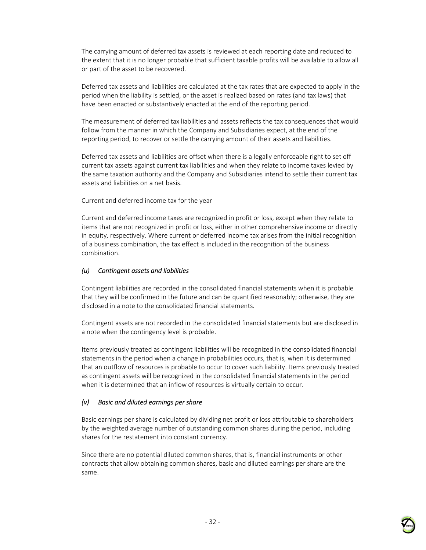The carrying amount of deferred tax assets is reviewed at each reporting date and reduced to the extent that it is no longer probable that sufficient taxable profits will be available to allow all or part of the asset to be recovered.

Deferred tax assets and liabilities are calculated at the tax rates that are expected to apply in the period when the liability is settled, or the asset is realized based on rates (and tax laws) that have been enacted or substantively enacted at the end of the reporting period.

The measurement of deferred tax liabilities and assets reflects the tax consequences that would follow from the manner in which the Company and Subsidiaries expect, at the end of the reporting period, to recover or settle the carrying amount of their assets and liabilities.

Deferred tax assets and liabilities are offset when there is a legally enforceable right to set off current tax assets against current tax liabilities and when they relate to income taxes levied by the same taxation authority and the Company and Subsidiaries intend to settle their current tax assets and liabilities on a net basis.

#### Current and deferred income tax for the year

Current and deferred income taxes are recognized in profit or loss, except when they relate to items that are not recognized in profit or loss, either in other comprehensive income or directly in equity, respectively. Where current or deferred income tax arises from the initial recognition of a business combination, the tax effect is included in the recognition of the business combination.

#### *(u) Contingent assets and liabilities*

Contingent liabilities are recorded in the consolidated financial statements when it is probable that they will be confirmed in the future and can be quantified reasonably; otherwise, they are disclosed in a note to the consolidated financial statements.

Contingent assets are not recorded in the consolidated financial statements but are disclosed in a note when the contingency level is probable.

Items previously treated as contingent liabilities will be recognized in the consolidated financial statements in the period when a change in probabilities occurs, that is, when it is determined that an outflow of resources is probable to occur to cover such liability. Items previously treated as contingent assets will be recognized in the consolidated financial statements in the period when it is determined that an inflow of resources is virtually certain to occur.

#### *(v) Basic and diluted earnings per share*

Basic earnings per share is calculated by dividing net profit or loss attributable to shareholders by the weighted average number of outstanding common shares during the period, including shares for the restatement into constant currency.

Since there are no potential diluted common shares, that is, financial instruments or other contracts that allow obtaining common shares, basic and diluted earnings per share are the same.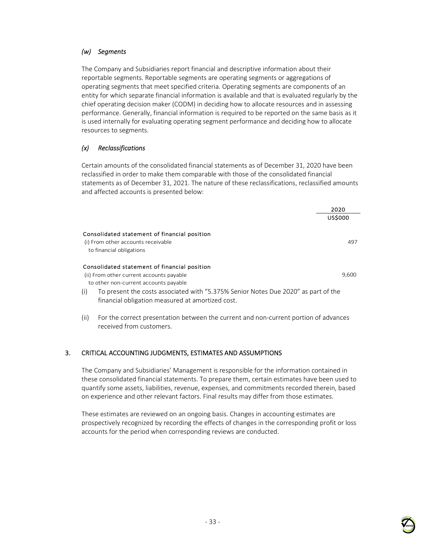#### *(w) Segments*

The Company and Subsidiaries report financial and descriptive information about their reportable segments. Reportable segments are operating segments or aggregations of operating segments that meet specified criteria. Operating segments are components of an entity for which separate financial information is available and that is evaluated regularly by the chief operating decision maker (CODM) in deciding how to allocate resources and in assessing performance. Generally, financial information is required to be reported on the same basis as it is used internally for evaluating operating segment performance and deciding how to allocate resources to segments.

## *(x) Reclassifications*

Certain amounts of the consolidated financial statements as of December 31, 2020 have been reclassified in order to make them comparable with those of the consolidated financial statements as of December 31, 2021. The nature of these reclassifications, reclassified amounts and affected accounts is presented below:

|      |                                                                                                                 | 2020           |
|------|-----------------------------------------------------------------------------------------------------------------|----------------|
|      |                                                                                                                 | <b>US\$000</b> |
|      | Consolidated statement of financial position                                                                    |                |
|      | (i) From other accounts receivable                                                                              | 497            |
|      | to financial obligations                                                                                        |                |
|      | Consolidated statement of financial position                                                                    |                |
|      | (ii) From other current accounts payable                                                                        | 9,600          |
|      | to other non-current accounts payable                                                                           |                |
| (i)  | To present the costs associated with "5.375% Senior Notes Due 2020" as part of the                              |                |
|      | financial obligation measured at amortized cost.                                                                |                |
| (ii) | For the correct presentation between the current and non-current portion of advances<br>received from customers |                |

## 3. CRITICAL ACCOUNTING JUDGMENTS, ESTIMATES AND ASSUMPTIONS

The Company and Subsidiaries' Management is responsible for the information contained in these consolidated financial statements. To prepare them, certain estimates have been used to quantify some assets, liabilities, revenue, expenses, and commitments recorded therein, based on experience and other relevant factors. Final results may differ from those estimates.

These estimates are reviewed on an ongoing basis. Changes in accounting estimates are prospectively recognized by recording the effects of changes in the corresponding profit or loss accounts for the period when corresponding reviews are conducted.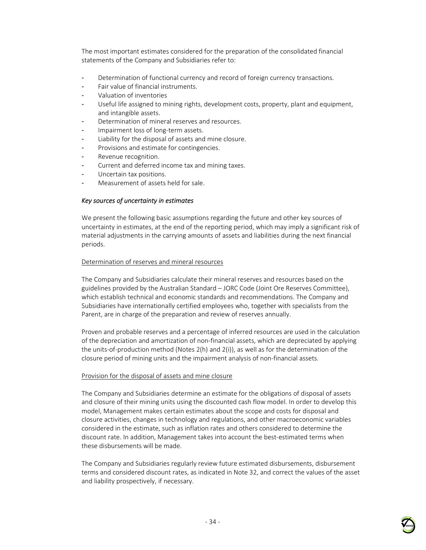The most important estimates considered for the preparation of the consolidated financial statements of the Company and Subsidiaries refer to:

- Determination of functional currency and record of foreign currency transactions.
- Fair value of financial instruments.
- Valuation of inventories
- Useful life assigned to mining rights, development costs, property, plant and equipment, and intangible assets.
- Determination of mineral reserves and resources.
- Impairment loss of long-term assets.
- Liability for the disposal of assets and mine closure.
- Provisions and estimate for contingencies.
- Revenue recognition.
- Current and deferred income tax and mining taxes.
- Uncertain tax positions.
- Measurement of assets held for sale.

#### *Key sources of uncertainty in estimates*

We present the following basic assumptions regarding the future and other key sources of uncertainty in estimates, at the end of the reporting period, which may imply a significant risk of material adjustments in the carrying amounts of assets and liabilities during the next financial periods.

#### Determination of reserves and mineral resources

The Company and Subsidiaries calculate their mineral reserves and resources based on the guidelines provided by the Australian Standard – JORC Code (Joint Ore Reserves Committee), which establish technical and economic standards and recommendations. The Company and Subsidiaries have internationally certified employees who, together with specialists from the Parent, are in charge of the preparation and review of reserves annually.

Proven and probable reserves and a percentage of inferred resources are used in the calculation of the depreciation and amortization of non-financial assets, which are depreciated by applying the units-of-production method (Notes 2(h) and 2(i)), as well as for the determination of the closure period of mining units and the impairment analysis of non-financial assets.

#### Provision for the disposal of assets and mine closure

The Company and Subsidiaries determine an estimate for the obligations of disposal of assets and closure of their mining units using the discounted cash flow model. In order to develop this model, Management makes certain estimates about the scope and costs for disposal and closure activities, changes in technology and regulations, and other macroeconomic variables considered in the estimate, such as inflation rates and others considered to determine the discount rate. In addition, Management takes into account the best-estimated terms when these disbursements will be made.

The Company and Subsidiaries regularly review future estimated disbursements, disbursement terms and considered discount rates, as indicated in Note 32, and correct the values of the asset and liability prospectively, if necessary.

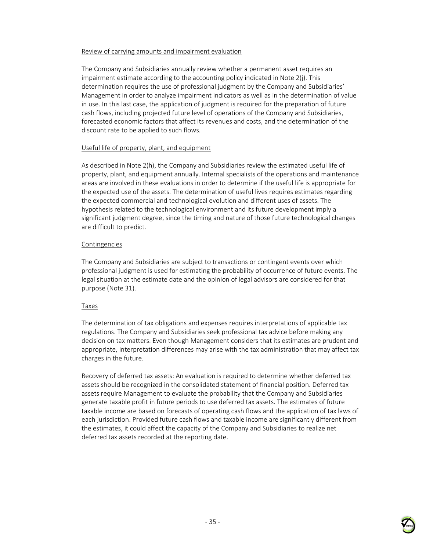### Review of carrying amounts and impairment evaluation

The Company and Subsidiaries annually review whether a permanent asset requires an impairment estimate according to the accounting policy indicated in Note 2(j). This determination requires the use of professional judgment by the Company and Subsidiaries' Management in order to analyze impairment indicators as well as in the determination of value in use. In this last case, the application of judgment is required for the preparation of future cash flows, including projected future level of operations of the Company and Subsidiaries, forecasted economic factors that affect its revenues and costs, and the determination of the discount rate to be applied to such flows.

#### Useful life of property, plant, and equipment

As described in Note 2(h), the Company and Subsidiaries review the estimated useful life of property, plant, and equipment annually. Internal specialists of the operations and maintenance areas are involved in these evaluations in order to determine if the useful life is appropriate for the expected use of the assets. The determination of useful lives requires estimates regarding the expected commercial and technological evolution and different uses of assets. The hypothesis related to the technological environment and its future development imply a significant judgment degree, since the timing and nature of those future technological changes are difficult to predict.

#### Contingencies

The Company and Subsidiaries are subject to transactions or contingent events over which professional judgment is used for estimating the probability of occurrence of future events. The legal situation at the estimate date and the opinion of legal advisors are considered for that purpose (Note 31).

### Taxes

The determination of tax obligations and expenses requires interpretations of applicable tax regulations. The Company and Subsidiaries seek professional tax advice before making any decision on tax matters. Even though Management considers that its estimates are prudent and appropriate, interpretation differences may arise with the tax administration that may affect tax charges in the future.

Recovery of deferred tax assets: An evaluation is required to determine whether deferred tax assets should be recognized in the consolidated statement of financial position. Deferred tax assets require Management to evaluate the probability that the Company and Subsidiaries generate taxable profit in future periods to use deferred tax assets. The estimates of future taxable income are based on forecasts of operating cash flows and the application of tax laws of each jurisdiction. Provided future cash flows and taxable income are significantly different from the estimates, it could affect the capacity of the Company and Subsidiaries to realize net deferred tax assets recorded at the reporting date.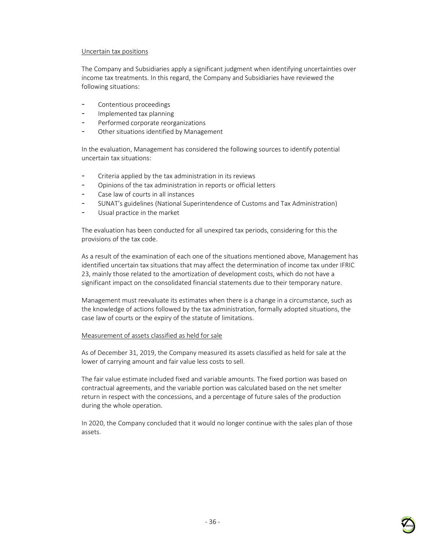#### Uncertain tax positions

The Company and Subsidiaries apply a significant judgment when identifying uncertainties over income tax treatments. In this regard, the Company and Subsidiaries have reviewed the following situations:

- Contentious proceedings
- Implemented tax planning
- Performed corporate reorganizations
- Other situations identified by Management

In the evaluation, Management has considered the following sources to identify potential uncertain tax situations:

- Criteria applied by the tax administration in its reviews
- Opinions of the tax administration in reports or official letters
- Case law of courts in all instances
- SUNAT's guidelines (National Superintendence of Customs and Tax Administration)
- Usual practice in the market

The evaluation has been conducted for all unexpired tax periods, considering for this the provisions of the tax code.

As a result of the examination of each one of the situations mentioned above, Management has identified uncertain tax situations that may affect the determination of income tax under IFRIC 23, mainly those related to the amortization of development costs, which do not have a significant impact on the consolidated financial statements due to their temporary nature.

Management must reevaluate its estimates when there is a change in a circumstance, such as the knowledge of actions followed by the tax administration, formally adopted situations, the case law of courts or the expiry of the statute of limitations.

### Measurement of assets classified as held for sale

As of December 31, 2019, the Company measured its assets classified as held for sale at the lower of carrying amount and fair value less costs to sell.

The fair value estimate included fixed and variable amounts. The fixed portion was based on contractual agreements, and the variable portion was calculated based on the net smelter return in respect with the concessions, and a percentage of future sales of the production during the whole operation.

In 2020, the Company concluded that it would no longer continue with the sales plan of those assets.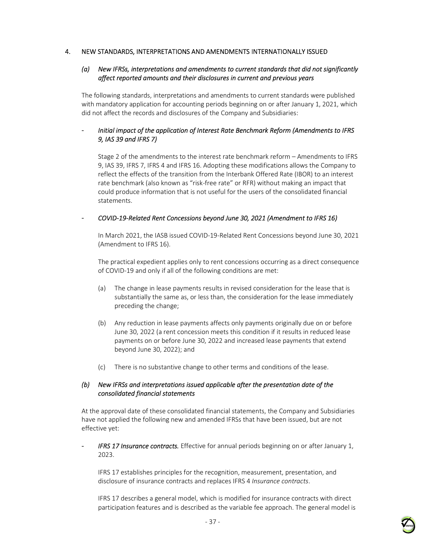## 4. NEW STANDARDS, INTERPRETATIONS AND AMENDMENTS INTERNATIONALLY ISSUED

### *(a) New IFRSs, interpretations and amendments to current standards that did not significantly affect reported amounts and their disclosures in current and previous years*

The following standards, interpretations and amendments to current standards were published with mandatory application for accounting periods beginning on or after January 1, 2021, which did not affect the records and disclosures of the Company and Subsidiaries:

## - *Initial impact of the application of Interest Rate Benchmark Reform (Amendments to IFRS 9, IAS 39 and IFRS 7)*

Stage 2 of the amendments to the interest rate benchmark reform – Amendments to IFRS 9, IAS 39, IFRS 7, IFRS 4 and IFRS 16. Adopting these modifications allows the Company to reflect the effects of the transition from the Interbank Offered Rate (IBOR) to an interest rate benchmark (also known as "risk-free rate" or RFR) without making an impact that could produce information that is not useful for the users of the consolidated financial statements.

### - *COVID-19-Related Rent Concessions beyond June 30, 2021 (Amendment to IFRS 16)*

In March 2021, the IASB issued COVID-19-Related Rent Concessions beyond June 30, 2021 (Amendment to IFRS 16).

The practical expedient applies only to rent concessions occurring as a direct consequence of COVID-19 and only if all of the following conditions are met:

- (a) The change in lease payments results in revised consideration for the lease that is substantially the same as, or less than, the consideration for the lease immediately preceding the change;
- (b) Any reduction in lease payments affects only payments originally due on or before June 30, 2022 (a rent concession meets this condition if it results in reduced lease payments on or before June 30, 2022 and increased lease payments that extend beyond June 30, 2022); and
- (c) There is no substantive change to other terms and conditions of the lease.

## *(b) New IFRSs and interpretations issued applicable after the presentation date of the consolidated financial statements*

At the approval date of these consolidated financial statements, the Company and Subsidiaries have not applied the following new and amended IFRSs that have been issued, but are not effective yet:

- *IFRS 17 Insurance contracts.* Effective for annual periods beginning on or after January 1, 2023.

IFRS 17 establishes principles for the recognition, measurement, presentation, and disclosure of insurance contracts and replaces IFRS 4 *Insurance contracts*.

IFRS 17 describes a general model, which is modified for insurance contracts with direct participation features and is described as the variable fee approach. The general model is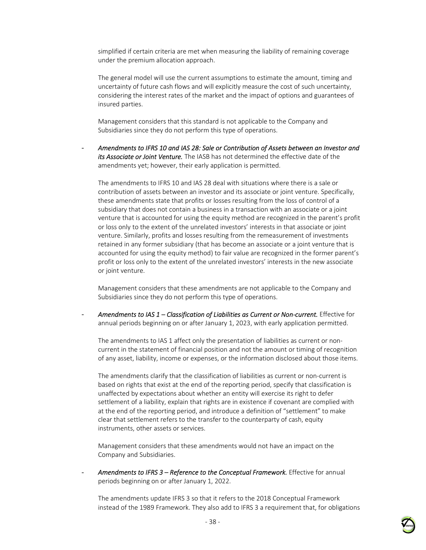simplified if certain criteria are met when measuring the liability of remaining coverage under the premium allocation approach.

The general model will use the current assumptions to estimate the amount, timing and uncertainty of future cash flows and will explicitly measure the cost of such uncertainty, considering the interest rates of the market and the impact of options and guarantees of insured parties.

Management considers that this standard is not applicable to the Company and Subsidiaries since they do not perform this type of operations.

- *Amendments to IFRS 10 and IAS 28: Sale or Contribution of Assets between an Investor and its Associate or Joint Venture.* The IASB has not determined the effective date of the amendments yet; however, their early application is permitted.

The amendments to IFRS 10 and IAS 28 deal with situations where there is a sale or contribution of assets between an investor and its associate or joint venture. Specifically, these amendments state that profits or losses resulting from the loss of control of a subsidiary that does not contain a business in a transaction with an associate or a joint venture that is accounted for using the equity method are recognized in the parent's profit or loss only to the extent of the unrelated investors' interests in that associate or joint venture. Similarly, profits and losses resulting from the remeasurement of investments retained in any former subsidiary (that has become an associate or a joint venture that is accounted for using the equity method) to fair value are recognized in the former parent's profit or loss only to the extent of the unrelated investors' interests in the new associate or joint venture.

Management considers that these amendments are not applicable to the Company and Subsidiaries since they do not perform this type of operations.

Amendments to IAS 1 – Classification of Liabilities as Current or Non-current. Effective for annual periods beginning on or after January 1, 2023, with early application permitted.

The amendments to IAS 1 affect only the presentation of liabilities as current or noncurrent in the statement of financial position and not the amount or timing of recognition of any asset, liability, income or expenses, or the information disclosed about those items.

The amendments clarify that the classification of liabilities as current or non-current is based on rights that exist at the end of the reporting period, specify that classification is unaffected by expectations about whether an entity will exercise its right to defer settlement of a liability, explain that rights are in existence if covenant are complied with at the end of the reporting period, and introduce a definition of "settlement" to make clear that settlement refers to the transfer to the counterparty of cash, equity instruments, other assets or services.

Management considers that these amendments would not have an impact on the Company and Subsidiaries.

Amendments to IFRS 3 - Reference to the Conceptual Framework. Effective for annual periods beginning on or after January 1, 2022.

The amendments update IFRS 3 so that it refers to the 2018 Conceptual Framework instead of the 1989 Framework. They also add to IFRS 3 a requirement that, for obligations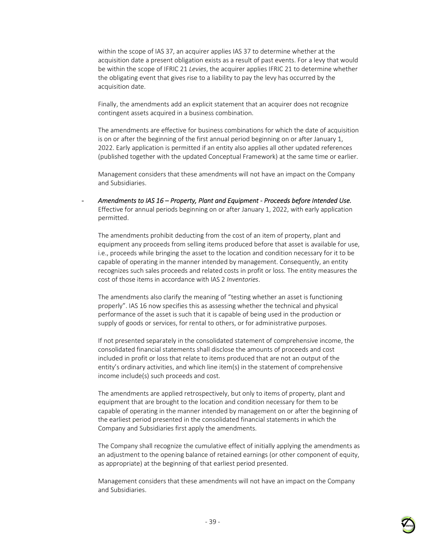within the scope of IAS 37, an acquirer applies IAS 37 to determine whether at the acquisition date a present obligation exists as a result of past events. For a levy that would be within the scope of IFRIC 21 *Levies*, the acquirer applies IFRIC 21 to determine whether the obligating event that gives rise to a liability to pay the levy has occurred by the acquisition date.

Finally, the amendments add an explicit statement that an acquirer does not recognize contingent assets acquired in a business combination.

The amendments are effective for business combinations for which the date of acquisition is on or after the beginning of the first annual period beginning on or after January 1, 2022. Early application is permitted if an entity also applies all other updated references (published together with the updated Conceptual Framework) at the same time or earlier.

Management considers that these amendments will not have an impact on the Company and Subsidiaries.

- *Amendments to IAS 16 – Property, Plant and Equipment - Proceeds before Intended Use.*  Effective for annual periods beginning on or after January 1, 2022, with early application permitted.

The amendments prohibit deducting from the cost of an item of property, plant and equipment any proceeds from selling items produced before that asset is available for use, i.e., proceeds while bringing the asset to the location and condition necessary for it to be capable of operating in the manner intended by management. Consequently, an entity recognizes such sales proceeds and related costs in profit or loss. The entity measures the cost of those items in accordance with IAS 2 *Inventories*.

The amendments also clarify the meaning of "testing whether an asset is functioning properly". IAS 16 now specifies this as assessing whether the technical and physical performance of the asset is such that it is capable of being used in the production or supply of goods or services, for rental to others, or for administrative purposes.

If not presented separately in the consolidated statement of comprehensive income, the consolidated financial statements shall disclose the amounts of proceeds and cost included in profit or loss that relate to items produced that are not an output of the entity's ordinary activities, and which line item(s) in the statement of comprehensive income include(s) such proceeds and cost.

The amendments are applied retrospectively, but only to items of property, plant and equipment that are brought to the location and condition necessary for them to be capable of operating in the manner intended by management on or after the beginning of the earliest period presented in the consolidated financial statements in which the Company and Subsidiaries first apply the amendments.

The Company shall recognize the cumulative effect of initially applying the amendments as an adjustment to the opening balance of retained earnings (or other component of equity, as appropriate) at the beginning of that earliest period presented.

Management considers that these amendments will not have an impact on the Company and Subsidiaries.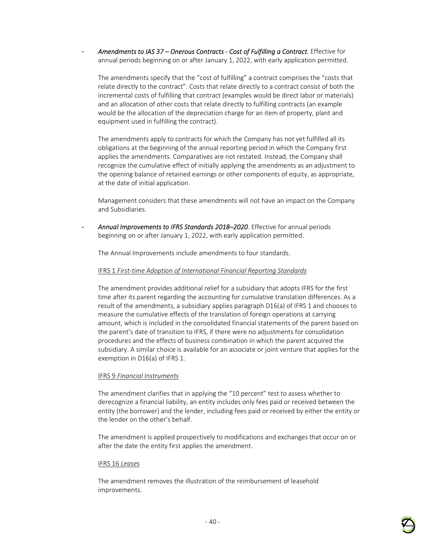Amendments to IAS 37 – Onerous Contracts - Cost of Fulfilling a Contract. Effective for annual periods beginning on or after January 1, 2022, with early application permitted.

The amendments specify that the "cost of fulfilling" a contract comprises the "costs that relate directly to the contract". Costs that relate directly to a contract consist of both the incremental costs of fulfilling that contract (examples would be direct labor or materials) and an allocation of other costs that relate directly to fulfilling contracts (an example would be the allocation of the depreciation charge for an item of property, plant and equipment used in fulfilling the contract).

The amendments apply to contracts for which the Company has not yet fulfilled all its obligations at the beginning of the annual reporting period in which the Company first applies the amendments. Comparatives are not restated. Instead, the Company shall recognize the cumulative effect of initially applying the amendments as an adjustment to the opening balance of retained earnings or other components of equity, as appropriate, at the date of initial application.

Management considers that these amendments will not have an impact on the Company and Subsidiaries.

- *Annual Improvements to IFRS Standards 2018–2020*. Effective for annual periods beginning on or after January 1, 2022, with early application permitted.

The Annual Improvements include amendments to four standards.

#### IFRS 1 *First-time Adoption of International Financial Reporting Standards*

The amendment provides additional relief for a subsidiary that adopts IFRS for the first time after its parent regarding the accounting for cumulative translation differences. As a result of the amendments, a subsidiary applies paragraph D16(a) of IFRS 1 and chooses to measure the cumulative effects of the translation of foreign operations at carrying amount, which is included in the consolidated financial statements of the parent based on the parent's date of transition to IFRS, if there were no adjustments for consolidation procedures and the effects of business combination in which the parent acquired the subsidiary. A similar choice is available for an associate or joint venture that applies for the exemption in D16(a) of IFRS 1.

#### IFRS 9 *Financial Instruments*

The amendment clarifies that in applying the "10 percent" test to assess whether to derecognize a financial liability, an entity includes only fees paid or received between the entity (the borrower) and the lender, including fees paid or received by either the entity or the lender on the other's behalf.

The amendment is applied prospectively to modifications and exchanges that occur on or after the date the entity first applies the amendment.

#### IFRS 16 *Leases*

The amendment removes the illustration of the reimbursement of leasehold improvements.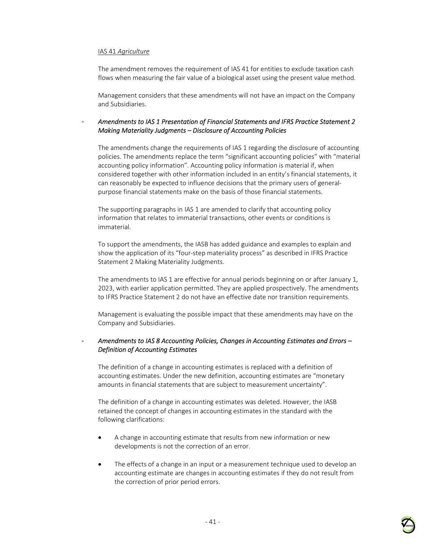#### IAS 41 *Agriculture*

The amendment removes the requirement of IAS 41 for entities to exclude taxation cash flows when measuring the fair value of a biological asset using the present value method.

Management considers that these amendments will not have an impact on the Company and Subsidiaries.

### - *Amendments to IAS 1 Presentation of Financial Statements and IFRS Practice Statement 2 Making Materiality Judgments – Disclosure of Accounting Policies*

The amendments change the requirements of IAS 1 regarding the disclosure of accounting policies. The amendments replace the term "significant accounting policies" with "material accounting policy information". Accounting policy information is material if, when considered together with other information included in an entity's financial statements, it can reasonably be expected to influence decisions that the primary users of generalpurpose financial statements make on the basis of those financial statements.

The supporting paragraphs in IAS 1 are amended to clarify that accounting policy information that relates to immaterial transactions, other events or conditions is immaterial.

To support the amendments, the IASB has added guidance and examples to explain and show the application of its "four-step materiality process" as described in IFRS Practice Statement 2 Making Materiality Judgments.

The amendments to IAS 1 are effective for annual periods beginning on or after January 1, 2023, with earlier application permitted. They are applied prospectively. The amendments to IFRS Practice Statement 2 do not have an effective date nor transition requirements.

Management is evaluating the possible impact that these amendments may have on the Company and Subsidiaries.

### - *Amendments to IAS 8 Accounting Policies, Changes in Accounting Estimates and Errors – Definition of Accounting Estimates*

The definition of a change in accounting estimates is replaced with a definition of accounting estimates. Under the new definition, accounting estimates are "monetary amounts in financial statements that are subject to measurement uncertainty".

The definition of a change in accounting estimates was deleted. However, the IASB retained the concept of changes in accounting estimates in the standard with the following clarifications:

- A change in accounting estimate that results from new information or new developments is not the correction of an error.
- The effects of a change in an input or a measurement technique used to develop an accounting estimate are changes in accounting estimates if they do not result from the correction of prior period errors.

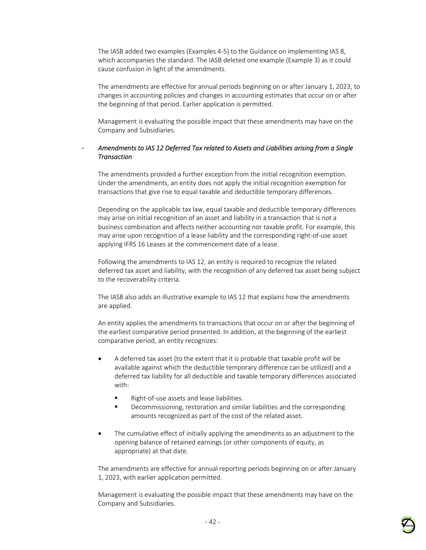The IASB added two examples (Examples 4-5) to the Guidance on implementing IAS 8, which accompanies the standard. The IASB deleted one example (Example 3) as it could cause confusion in light of the amendments.

The amendments are effective for annual periods beginning on or after January 1, 2023, to changes in accounting policies and changes in accounting estimates that occur on or after the beginning of that period. Earlier application is permitted.

Management is evaluating the possible impact that these amendments may have on the Company and Subsidiaries.

### - *Amendments to IAS 12 Deferred Tax related to Assets and Liabilities arising from a Single Transaction*

The amendments provided a further exception from the initial recognition exemption. Under the amendments, an entity does not apply the initial recognition exemption for transactions that give rise to equal taxable and deductible temporary differences.

Depending on the applicable tax law, equal taxable and deductible temporary differences may arise on initial recognition of an asset and liability in a transaction that is not a business combination and affects neither accounting nor taxable profit. For example, this may arise upon recognition of a lease liability and the corresponding right-of-use asset applying IFRS 16 Leases at the commencement date of a lease.

Following the amendments to IAS 12, an entity is required to recognize the related deferred tax asset and liability, with the recognition of any deferred tax asset being subject to the recoverability criteria.

The IASB also adds an illustrative example to IAS 12 that explains how the amendments are applied.

An entity applies the amendments to transactions that occur on or after the beginning of the earliest comparative period presented. In addition, at the beginning of the earliest comparative period, an entity recognizes:

- A deferred tax asset (to the extent that it is probable that taxable profit will be available against which the deductible temporary difference can be utilized) and a deferred tax liability for all deductible and taxable temporary differences associated with:
	- Right-of-use assets and lease liabilities.
	- Decommissioning, restoration and similar liabilities and the corresponding amounts recognized as part of the cost of the related asset.
- The cumulative effect of initially applying the amendments as an adjustment to the opening balance of retained earnings (or other components of equity, as appropriate) at that date.

The amendments are effective for annual reporting periods beginning on or after January 1, 2023, with earlier application permitted.

Management is evaluating the possible impact that these amendments may have on the Company and Subsidiaries.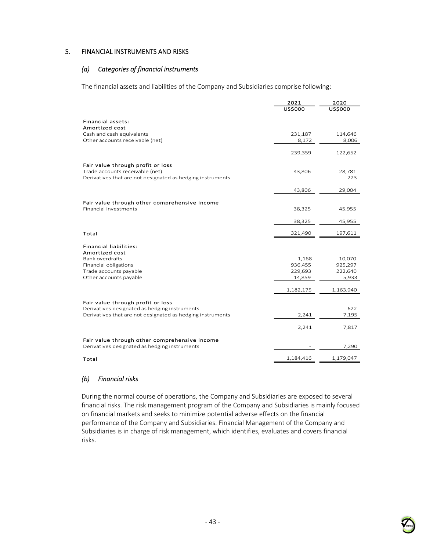#### 5. FINANCIAL INSTRUMENTS AND RISKS

### *(a) Categories of financial instruments*

The financial assets and liabilities of the Company and Subsidiaries comprise following:

|                                                                                    | 2021<br><b>US\$000</b> | 2020<br><b>US\$000</b> |
|------------------------------------------------------------------------------------|------------------------|------------------------|
|                                                                                    |                        |                        |
| Financial assets:                                                                  |                        |                        |
| Amortized cost<br>Cash and cash equivalents                                        | 231,187                | 114,646                |
| Other accounts receivable (net)                                                    | 8,172                  | 8,006                  |
|                                                                                    |                        |                        |
|                                                                                    | 239,359                | 122,652                |
| Fair value through profit or loss                                                  |                        |                        |
| Trade accounts receivable (net)                                                    | 43,806                 | 28,781                 |
| Derivatives that are not designated as hedging instruments                         |                        | 223                    |
|                                                                                    |                        |                        |
|                                                                                    | 43,806                 | 29,004                 |
| Fair value through other comprehensive income                                      |                        |                        |
| <b>Financial investments</b>                                                       | 38,325                 | 45,955                 |
|                                                                                    |                        |                        |
|                                                                                    | 38,325                 | 45,955                 |
| Total                                                                              | 321,490                | 197,611                |
| <b>Financial liabilities:</b>                                                      |                        |                        |
| <b>Amortized cost</b>                                                              |                        |                        |
| <b>Bank overdrafts</b>                                                             | 1,168                  | 10,070                 |
| Financial obligations                                                              | 936,455                | 925,297                |
| Trade accounts payable                                                             | 229,693                | 222,640                |
| Other accounts payable                                                             | 14,859                 | 5,933                  |
|                                                                                    | 1,182,175              | 1,163,940              |
|                                                                                    |                        |                        |
| Fair value through profit or loss<br>Derivatives designated as hedging instruments |                        | 622                    |
| Derivatives that are not designated as hedging instruments                         | 2,241                  | 7,195                  |
|                                                                                    |                        |                        |
|                                                                                    | 2,241                  | 7,817                  |
| Fair value through other comprehensive income                                      |                        |                        |
| Derivatives designated as hedging instruments                                      |                        | 7,290                  |
|                                                                                    | 1,184,416              | 1,179,047              |
| Total                                                                              |                        |                        |

## *(b) Financial risks*

During the normal course of operations, the Company and Subsidiaries are exposed to several financial risks. The risk management program of the Company and Subsidiaries is mainly focused on financial markets and seeks to minimize potential adverse effects on the financial performance of the Company and Subsidiaries. Financial Management of the Company and Subsidiaries is in charge of risk management, which identifies, evaluates and covers financial risks.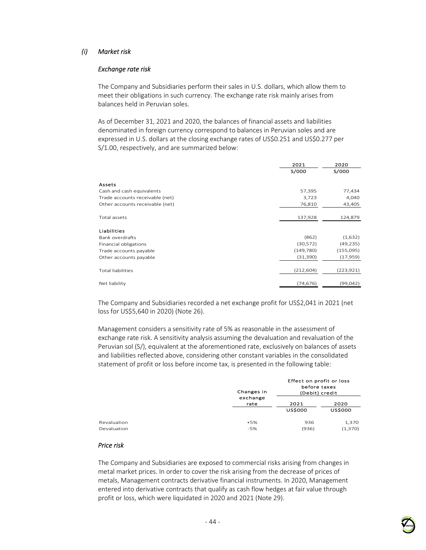## *(i) Market risk*

#### *Exchange rate risk*

The Company and Subsidiaries perform their sales in U.S. dollars, which allow them to meet their obligations in such currency. The exchange rate risk mainly arises from balances held in Peruvian soles.

As of December 31, 2021 and 2020, the balances of financial assets and liabilities denominated in foreign currency correspond to balances in Peruvian soles and are expressed in U.S. dollars at the closing exchange rates of US\$0.251 and US\$0.277 per S/1.00, respectively, and are summarized below:

|                                 | 2021       | 2020       |
|---------------------------------|------------|------------|
|                                 | S/000      | S/000      |
| Assets                          |            |            |
| Cash and cash equivalents       | 57,395     | 77,434     |
| Trade accounts receivable (net) | 3,723      | 4,040      |
| Other accounts receivable (net) | 76,810     | 43,405     |
| Total assets                    | 137,928    | 124,879    |
| Liabilities                     |            |            |
| <b>Bank overdrafts</b>          | (862)      | (1,632)    |
| Financial obligations           | (30, 572)  | (49, 235)  |
| Trade accounts payable          | (149,780)  | (155,095)  |
| Other accounts payable          | (31, 390)  | (17,959)   |
| <b>Total liabilities</b>        | (212, 604) | (223, 921) |
| Net liability                   | (74, 676)  | (99,042)   |

The Company and Subsidiaries recorded a net exchange profit for US\$2,041 in 2021 (net loss for US\$5,640 in 2020) (Note 26).

Management considers a sensitivity rate of 5% as reasonable in the assessment of exchange rate risk. A sensitivity analysis assuming the devaluation and revaluation of the Peruvian sol (S/), equivalent at the aforementioned rate, exclusively on balances of assets and liabilities reflected above, considering other constant variables in the consolidated statement of profit or loss before income tax, is presented in the following table:

|             | Changes in | Effect on profit or loss<br>before taxes<br>(Debit) credit |                |  |
|-------------|------------|------------------------------------------------------------|----------------|--|
|             | exchange   | 2021                                                       | 2020           |  |
|             | rate       | <b>USS000</b>                                              | <b>US\$000</b> |  |
| Revaluation | $+5%$      | 936                                                        | 1,370          |  |
| Devaluation | $-5%$      | (936)                                                      | (1,370)        |  |

### *Price risk*

The Company and Subsidiaries are exposed to commercial risks arising from changes in metal market prices. In order to cover the risk arising from the decrease of prices of metals, Management contracts derivative financial instruments. In 2020, Management entered into derivative contracts that qualify as cash flow hedges at fair value through profit or loss, which were liquidated in 2020 and 2021 (Note 29).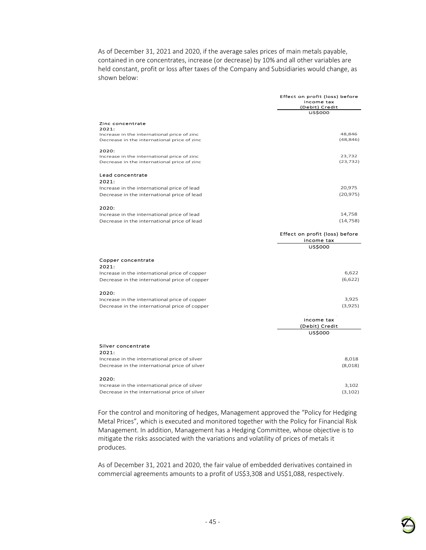As of December 31, 2021 and 2020, if the average sales prices of main metals payable, contained in ore concentrates, increase (or decrease) by 10% and all other variables are held constant, profit or loss after taxes of the Company and Subsidiaries would change, as shown below:

|                                               | Effect on profit (loss) before<br>income tax<br>(Debit) Credit<br>ussooo |  |
|-----------------------------------------------|--------------------------------------------------------------------------|--|
| Zinc concentrate                              |                                                                          |  |
| 2021:                                         |                                                                          |  |
| Increase in the international price of zinc   | 48,846                                                                   |  |
| Decrease in the international price of zinc   | (48, 846)                                                                |  |
| 2020:                                         |                                                                          |  |
| Increase in the international price of zinc   | 23,732                                                                   |  |
| Decrease in the international price of zinc   | (23, 732)                                                                |  |
| Lead concentrate                              |                                                                          |  |
| 2021:                                         |                                                                          |  |
| Increase in the international price of lead   | 20,975                                                                   |  |
| Decrease in the international price of lead   | (20, 975)                                                                |  |
|                                               |                                                                          |  |
| 2020:                                         |                                                                          |  |
| Increase in the international price of lead   | 14,758                                                                   |  |
| Decrease in the international price of lead   | (14, 758)                                                                |  |
|                                               | Effect on profit (loss) before                                           |  |
|                                               | income tax                                                               |  |
|                                               | <b>US\$000</b>                                                           |  |
|                                               |                                                                          |  |
| Copper concentrate                            |                                                                          |  |
| 2021:                                         | 6,622                                                                    |  |
| Increase in the international price of copper | (6,622)                                                                  |  |
| Decrease in the international price of copper |                                                                          |  |
| 2020:                                         |                                                                          |  |
| Increase in the international price of copper | 3,925                                                                    |  |
| Decrease in the international price of copper | (3,925)                                                                  |  |
|                                               |                                                                          |  |
|                                               | income tax                                                               |  |
|                                               | (Debit) Credit                                                           |  |
|                                               | <b>US\$000</b>                                                           |  |
| Silver concentrate                            |                                                                          |  |
| 2021:                                         |                                                                          |  |
| Increase in the international price of silver | 8,018                                                                    |  |
| Decrease in the international price of silver | (8,018)                                                                  |  |
|                                               |                                                                          |  |
| 2020.                                         |                                                                          |  |

#### 2020: Increase in the international price of silver 3,102 Decrease in the international price of silver (3,102) (3,102)

For the control and monitoring of hedges, Management approved the "Policy for Hedging Metal Prices", which is executed and monitored together with the Policy for Financial Risk Management. In addition, Management has a Hedging Committee, whose objective is to mitigate the risks associated with the variations and volatility of prices of metals it produces.

As of December 31, 2021 and 2020, the fair value of embedded derivatives contained in commercial agreements amounts to a profit of US\$3,308 and US\$1,088, respectively.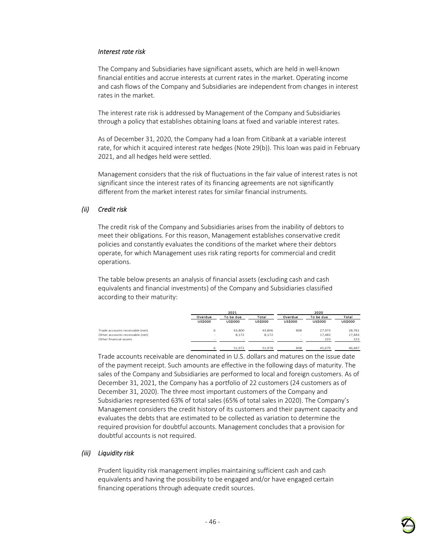#### *Interest rate risk*

The Company and Subsidiaries have significant assets, which are held in well-known financial entities and accrue interests at current rates in the market. Operating income and cash flows of the Company and Subsidiaries are independent from changes in interest rates in the market.

The interest rate risk is addressed by Management of the Company and Subsidiaries through a policy that establishes obtaining loans at fixed and variable interest rates.

As of December 31, 2020, the Company had a loan from Citibank at a variable interest rate, for which it acquired interest rate hedges (Note 29(b)). This loan was paid in February 2021, and all hedges held were settled.

Management considers that the risk of fluctuations in the fair value of interest rates is not significant since the interest rates of its financing agreements are not significantly different from the market interest rates for similar financial instruments.

#### *(ii) Credit risk*

The credit risk of the Company and Subsidiaries arises from the inability of debtors to meet their obligations. For this reason, Management establishes conservative credit policies and constantly evaluates the conditions of the market where their debtors operate, for which Management uses risk rating reports for commercial and credit operations.

The table below presents an analysis of financial assets (excluding cash and cash equivalents and financial investments) of the Company and Subsidiaries classified according to their maturity:

|                                 |                | 2021           |                | 2020           |                |                |
|---------------------------------|----------------|----------------|----------------|----------------|----------------|----------------|
|                                 | Overdue        | To be due      | Total          | Overdue        | To be due      | Total          |
|                                 | <b>US\$000</b> | <b>US\$000</b> | <b>US\$000</b> | <b>US\$000</b> | <b>US\$000</b> | <b>US\$000</b> |
| Trade accounts receivable (net) | 6              | 43,800         | 43.806         | 808            | 27.973         | 28.781         |
| Other accounts receivable (net) |                | 8,172          | 8,172          | $\sim$         | 17.483         | 17,483         |
| Other financial assets          |                |                |                |                | 223            | 223            |
|                                 | 6              | 51.972         | 51.978         | 808            | 45.679         | 46.487         |

Trade accounts receivable are denominated in U.S. dollars and matures on the issue date of the payment receipt. Such amounts are effective in the following days of maturity. The sales of the Company and Subsidiaries are performed to local and foreign customers. As of December 31, 2021, the Company has a portfolio of 22 customers (24 customers as of December 31, 2020). The three most important customers of the Company and Subsidiaries represented 63% of total sales (65% of total sales in 2020). The Company's Management considers the credit history of its customers and their payment capacity and evaluates the debts that are estimated to be collected as variation to determine the required provision for doubtful accounts. Management concludes that a provision for doubtful accounts is not required.

### *(iii) Liquidity risk*

Prudent liquidity risk management implies maintaining sufficient cash and cash equivalents and having the possibility to be engaged and/or have engaged certain financing operations through adequate credit sources.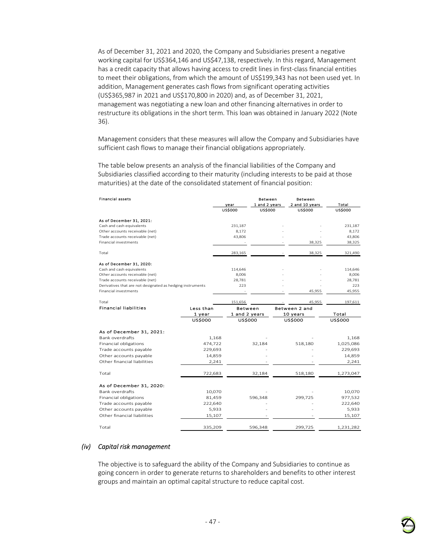As of December 31, 2021 and 2020, the Company and Subsidiaries present a negative working capital for US\$364,146 and US\$47,138, respectively. In this regard, Management has a credit capacity that allows having access to credit lines in first-class financial entities to meet their obligations, from which the amount of US\$199,343 has not been used yet. In addition, Management generates cash flows from significant operating activities (US\$365,987 in 2021 and US\$170,800 in 2020) and, as of December 31, 2021, management was negotiating a new loan and other financing alternatives in order to restructure its obligations in the short term. This loan was obtained in January 2022 (Note 36).

Management considers that these measures will allow the Company and Subsidiaries have sufficient cash flows to manage their financial obligations appropriately.

The table below presents an analysis of the financial liabilities of the Company and Subsidiaries classified according to their maturity (including interests to be paid at those maturities) at the date of the consolidated statement of financial position:

| <b>Financial assets</b>                                    |                | vear<br><b>US\$000</b> | <b>Between</b><br>1 and 2 years<br><b>US\$000</b> | <b>Between</b><br>2 and 10 years<br><b>US\$000</b> |                | Total<br><b>US\$000</b> |
|------------------------------------------------------------|----------------|------------------------|---------------------------------------------------|----------------------------------------------------|----------------|-------------------------|
| As of December 31, 2021:                                   |                |                        |                                                   |                                                    |                |                         |
| Cash and cash equivalents                                  |                | 231,187                |                                                   |                                                    |                | 231,187                 |
| Other accounts receivable (net)                            |                | 8.172                  |                                                   |                                                    |                | 8,172                   |
| Trade accounts receivable (net)                            |                | 43,806                 |                                                   |                                                    |                | 43,806                  |
| <b>Financial investments</b>                               |                |                        |                                                   |                                                    | 38,325         | 38,325                  |
| Total                                                      |                | 283,165                |                                                   |                                                    | 38,325         | 321,490                 |
| As of December 31, 2020:                                   |                |                        |                                                   |                                                    |                |                         |
| Cash and cash equivalents                                  |                | 114,646                |                                                   |                                                    |                | 114,646                 |
| Other accounts receivable (net)                            |                | 8.006                  |                                                   |                                                    |                | 8,006                   |
| Trade accounts receivable (net)                            |                | 28.781                 |                                                   |                                                    |                | 28,781                  |
| Derivatives that are not designated as hedging instruments |                | 223                    |                                                   |                                                    |                | 223                     |
| <b>Financial investments</b>                               |                |                        |                                                   |                                                    | 45,955         | 45,955                  |
| Total                                                      |                | 151,656                |                                                   |                                                    | 45,955         | 197,611                 |
| <b>Financial liabilities</b>                               | Less than      | <b>Between</b>         |                                                   | Between 2 and                                      |                |                         |
|                                                            | 1 year         | 1 and 2 years          |                                                   | 10 years                                           | Total          |                         |
|                                                            | <b>US\$000</b> | <b>US\$000</b>         |                                                   | <b>US\$000</b>                                     | <b>US\$000</b> |                         |
| As of December 31, 2021:                                   |                |                        |                                                   |                                                    |                |                         |
| Bank overdrafts                                            | 1,168          |                        |                                                   |                                                    |                | 1,168                   |
| Financial obligations                                      | 474,722        |                        | 32,184                                            | 518,180                                            |                | 1,025,086               |

#### Total 722,683 32,184 518,180 1,273,047 As of December 31, 2020: Bank overdrafts 10,070 - - 10,070 Financial obligations Trade accounts payable  $222,640$  -  $-$  222,640 Other accounts payable  $5.933$  -  $5.933$ Other financial liabilities 15,107 - 15,107 - 15,107 Total 335,209 596,348 299,725 1,231,282

Trade accounts payable **229,693** - 229,693 - 229,693 Other accounts payable 14,859 - - - - - 14,859<br>Other financial liabilities - - - 2,241 - - - - - - - 2,241

### *(iv) Capital risk management*

Other financial liabilities

The objective is to safeguard the ability of the Company and Subsidiaries to continue as going concern in order to generate returns to shareholders and benefits to other interest groups and maintain an optimal capital structure to reduce capital cost.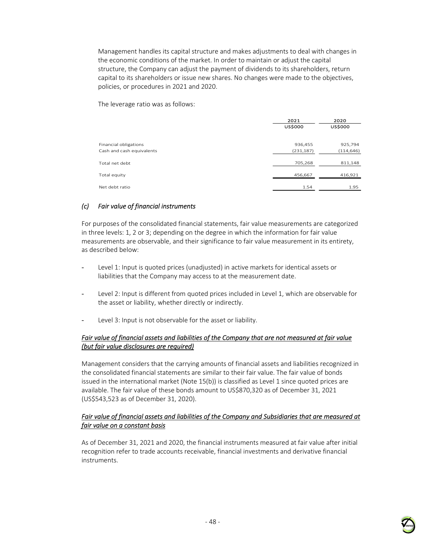Management handles its capital structure and makes adjustments to deal with changes in the economic conditions of the market. In order to maintain or adjust the capital structure, the Company can adjust the payment of dividends to its shareholders, return capital to its shareholders or issue new shares. No changes were made to the objectives, policies, or procedures in 2021 and 2020.

The leverage ratio was as follows:

|                                                    | 2021<br><b>US\$000</b> | 2020<br><b>US\$000</b> |
|----------------------------------------------------|------------------------|------------------------|
| Financial obligations<br>Cash and cash equivalents | 936,455<br>(231, 187)  | 925,794<br>(114, 646)  |
| Total net debt                                     | 705,268                | 811,148                |
| Total equity                                       | 456,667                | 416,921                |
| Net debt ratio                                     | 1.54                   | 1.95                   |

### *(c) Fair value of financial instruments*

For purposes of the consolidated financial statements, fair value measurements are categorized in three levels: 1, 2 or 3; depending on the degree in which the information for fair value measurements are observable, and their significance to fair value measurement in its entirety, as described below:

- Level 1: Input is quoted prices (unadjusted) in active markets for identical assets or liabilities that the Company may access to at the measurement date.
- Level 2: Input is different from quoted prices included in Level 1, which are observable for the asset or liability, whether directly or indirectly.
- Level 3: Input is not observable for the asset or liability.

### *Fair value of financial assets and liabilities of the Company that are not measured at fair value (but fair value disclosures are required)*

Management considers that the carrying amounts of financial assets and liabilities recognized in the consolidated financial statements are similar to their fair value. The fair value of bonds issued in the international market (Note 15(b)) is classified as Level 1 since quoted prices are available. The fair value of these bonds amount to US\$870,320 as of December 31, 2021 (US\$543,523 as of December 31, 2020).

### *Fair value of financial assets and liabilities of the Company and Subsidiaries that are measured at fair value on a constant basis*

As of December 31, 2021 and 2020, the financial instruments measured at fair value after initial recognition refer to trade accounts receivable, financial investments and derivative financial instruments.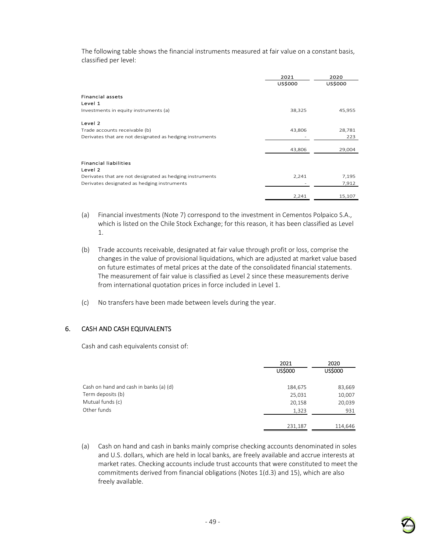The following table shows the financial instruments measured at fair value on a constant basis, classified per level:

|                                                                                                         | 2021<br><b>US\$000</b> | 2020<br>US\$000 |
|---------------------------------------------------------------------------------------------------------|------------------------|-----------------|
| <b>Financial assets</b><br>Level 1                                                                      |                        |                 |
| Investments in equity instruments (a)                                                                   | 38,325                 | 45,955          |
| Level 2                                                                                                 |                        |                 |
| Trade accounts receivable (b)<br>Derivates that are not designated as hedging instruments               | 43,806                 | 28,781<br>223   |
|                                                                                                         | 43,806                 | 29,004          |
| <b>Financial liabilities</b><br>Level 2                                                                 |                        |                 |
| Derivates that are not designated as hedging instruments<br>Derivates designated as hedging instruments | 2,241                  | 7,195<br>7,912  |
|                                                                                                         | 2,241                  | 15,107          |

- (a) Financial investments (Note 7) correspond to the investment in Cementos Polpaico S.A., which is listed on the Chile Stock Exchange; for this reason, it has been classified as Level 1.
- (b) Trade accounts receivable, designated at fair value through profit or loss, comprise the changes in the value of provisional liquidations, which are adjusted at market value based on future estimates of metal prices at the date of the consolidated financial statements. The measurement of fair value is classified as Level 2 since these measurements derive from international quotation prices in force included in Level 1.
- (c) No transfers have been made between levels during the year.

### 6. CASH AND CASH EQUIVALENTS

Cash and cash equivalents consist of:

|                                        | 2021           | 2020    |  |
|----------------------------------------|----------------|---------|--|
|                                        | <b>US\$000</b> | US\$000 |  |
| Cash on hand and cash in banks (a) (d) | 184,675        | 83,669  |  |
| Term deposits (b)                      | 25,031         | 10,007  |  |
| Mutual funds (c)                       | 20,158         | 20,039  |  |
| Other funds                            | 1,323          | 931     |  |
|                                        | 231,187        | 114,646 |  |

(a) Cash on hand and cash in banks mainly comprise checking accounts denominated in soles and U.S. dollars, which are held in local banks, are freely available and accrue interests at market rates. Checking accounts include trust accounts that were constituted to meet the commitments derived from financial obligations (Notes 1(d.3) and 15), which are also freely available.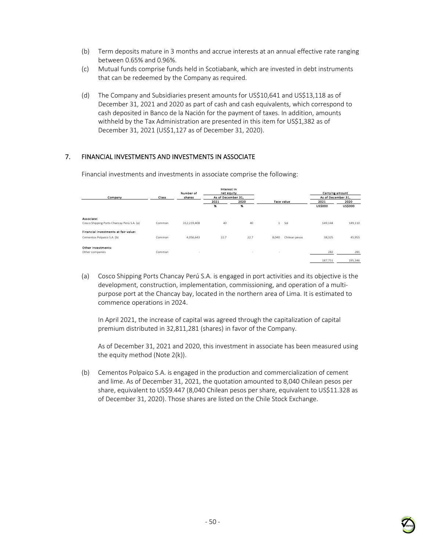- (b) Term deposits mature in 3 months and accrue interests at an annual effective rate ranging between 0.65% and 0.96%.
- (c) Mutual funds comprise funds held in Scotiabank, which are invested in debt instruments that can be redeemed by the Company as required.
- (d) The Company and Subsidiaries present amounts for US\$10,641 and US\$13,118 as of December 31, 2021 and 2020 as part of cash and cash equivalents, which correspond to cash deposited in Banco de la Nación for the payment of taxes. In addition, amounts withheld by the Tax Administration are presented in this item for US\$1,382 as of December 31, 2021 (US\$1,127 as of December 31, 2020).

## 7. FINANCIAL INVESTMENTS AND INVESTMENTS IN ASSOCIATE

| Company                                                  | Class  | Number of<br>shares | Interest in<br>net equity<br>As of December 31, |            |                        | <b>Carrying amount</b><br>As of December 31, |                        |
|----------------------------------------------------------|--------|---------------------|-------------------------------------------------|------------|------------------------|----------------------------------------------|------------------------|
|                                                          |        |                     | 2021<br>96                                      | 2020<br>96 | <b>Face value</b>      | 2021<br><b>US\$000</b>                       | 2020<br><b>US\$000</b> |
|                                                          |        |                     |                                                 |            |                        |                                              |                        |
| Associate:<br>Cosco Shipping Ports Chancay Perú S.A. (a) | Common | 312,219,408         | 40                                              | 40         | Sol<br>$\mathbf{1}$    | 149,144                                      | 149,110                |
| Financial investments at fair value:                     |        |                     |                                                 |            |                        |                                              |                        |
| Cementos Polpaico S.A. (b)                               | Common | 4,056,643           | 22.7                                            | 22.7       | Chilean pesos<br>8,040 | 38,325                                       | 45,955                 |
| Other investments:                                       |        |                     |                                                 |            |                        |                                              |                        |
| Other companies                                          | Common | $\sim$              |                                                 | $\sim$     | $\sim$                 | 282                                          | 281                    |
|                                                          |        |                     |                                                 |            |                        | 187,751                                      | 195,346                |

Financial investments and investments in associate comprise the following:

(a) Cosco Shipping Ports Chancay Perú S.A. is engaged in port activities and its objective is the development, construction, implementation, commissioning, and operation of a multipurpose port at the Chancay bay, located in the northern area of Lima. It is estimated to commence operations in 2024.

In April 2021, the increase of capital was agreed through the capitalization of capital premium distributed in 32,811,281 (shares) in favor of the Company.

As of December 31, 2021 and 2020, this investment in associate has been measured using the equity method (Note 2(k)).

(b) Cementos Polpaico S.A. is engaged in the production and commercialization of cement and lime. As of December 31, 2021, the quotation amounted to 8,040 Chilean pesos per share, equivalent to US\$9.447 (8,040 Chilean pesos per share, equivalent to US\$11.328 as of December 31, 2020). Those shares are listed on the Chile Stock Exchange.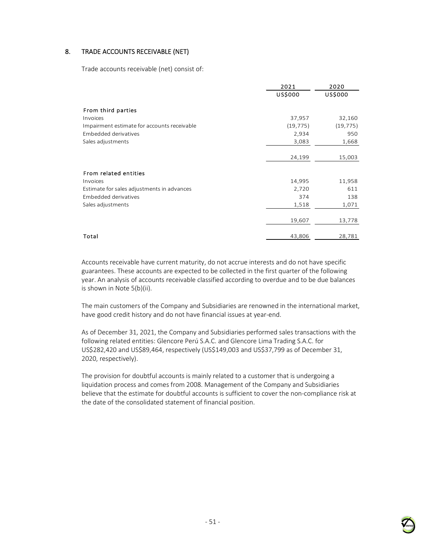## 8. TRADE ACCOUNTS RECEIVABLE (NET)

Trade accounts receivable (net) consist of:

|                                             | 2021      | 2020           |
|---------------------------------------------|-----------|----------------|
|                                             | US\$000   | <b>US\$000</b> |
| From third parties                          |           |                |
| Invoices                                    | 37,957    | 32,160         |
| Impairment estimate for accounts receivable | (19, 775) | (19, 775)      |
| <b>Embedded derivatives</b>                 | 2,934     | 950            |
| Sales adjustments                           | 3,083     | 1,668          |
|                                             |           |                |
|                                             | 24,199    | 15,003         |
|                                             |           |                |
| From related entities                       |           |                |
| Invoices                                    | 14,995    | 11,958         |
| Estimate for sales adjustments in advances  | 2,720     | 611            |
| <b>Embedded derivatives</b>                 | 374       | 138            |
| Sales adjustments                           | 1,518     | 1,071          |
|                                             |           |                |
|                                             | 19,607    | 13,778         |
|                                             |           |                |
| Total                                       | 43,806    | 28,781         |

Accounts receivable have current maturity, do not accrue interests and do not have specific guarantees. These accounts are expected to be collected in the first quarter of the following year. An analysis of accounts receivable classified according to overdue and to be due balances is shown in Note 5(b)(ii).

The main customers of the Company and Subsidiaries are renowned in the international market, have good credit history and do not have financial issues at year-end.

As of December 31, 2021, the Company and Subsidiaries performed sales transactions with the following related entities: Glencore Perú S.A.C. and Glencore Lima Trading S.A.C. for US\$282,420 and US\$89,464, respectively (US\$149,003 and US\$37,799 as of December 31, 2020, respectively).

The provision for doubtful accounts is mainly related to a customer that is undergoing a liquidation process and comes from 2008. Management of the Company and Subsidiaries believe that the estimate for doubtful accounts is sufficient to cover the non-compliance risk at the date of the consolidated statement of financial position.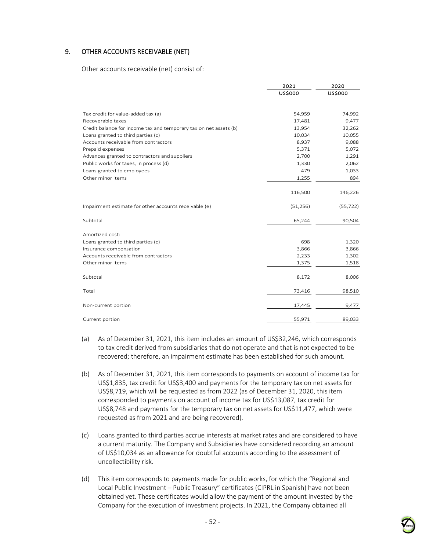## 9. OTHER ACCOUNTS RECEIVABLE (NET)

Other accounts receivable (net) consist of:

|                                                                   | 2021           | 2020           |
|-------------------------------------------------------------------|----------------|----------------|
|                                                                   | <b>US\$000</b> | <b>US\$000</b> |
|                                                                   |                |                |
| Tax credit for value-added tax (a)                                | 54,959         | 74,992         |
| Recoverable taxes                                                 | 17,481         | 9,477          |
| Credit balance for income tax and temporary tax on net assets (b) | 13,954         | 32,262         |
| Loans granted to third parties (c)                                | 10,034         | 10,055         |
| Accounts receivable from contractors                              | 8,937          | 9,088          |
| Prepaid expenses                                                  | 5,371          | 5,072          |
| Advances granted to contractors and suppliers                     | 2,700          | 1,291          |
| Public works for taxes, in process (d)                            | 1,330          | 2,062          |
| Loans granted to employees                                        | 479            | 1,033          |
| Other minor items                                                 | 1,255          | 894            |
|                                                                   |                |                |
|                                                                   | 116,500        | 146,226        |
| Impairment estimate for other accounts receivable (e)             | (51, 256)      | (55, 722)      |
| Subtotal                                                          | 65,244         | 90,504         |
| Amortized cost:                                                   |                |                |
| Loans granted to third parties (c)                                | 698            | 1,320          |
| Insurance compensation                                            | 3,866          | 3,866          |
| Accounts receivable from contractors                              | 2,233          | 1,302          |
| Other minor items                                                 | 1,375          | 1,518          |
|                                                                   |                |                |
| Subtotal                                                          | 8,172          | 8,006          |
| Total                                                             | 73,416         | 98,510         |
| Non-current portion                                               | 17,445         | 9,477          |
| Current portion                                                   | 55,971         | 89,033         |
|                                                                   |                |                |

- (a) As of December 31, 2021, this item includes an amount of US\$32,246, which corresponds to tax credit derived from subsidiaries that do not operate and that is not expected to be recovered; therefore, an impairment estimate has been established for such amount.
- (b) As of December 31, 2021, this item corresponds to payments on account of income tax for US\$1,835, tax credit for US\$3,400 and payments for the temporary tax on net assets for US\$8,719, which will be requested as from 2022 (as of December 31, 2020, this item corresponded to payments on account of income tax for US\$13,087, tax credit for US\$8,748 and payments for the temporary tax on net assets for US\$11,477, which were requested as from 2021 and are being recovered).
- (c) Loans granted to third parties accrue interests at market rates and are considered to have a current maturity. The Company and Subsidiaries have considered recording an amount of US\$10,034 as an allowance for doubtful accounts according to the assessment of uncollectibility risk.
- (d) This item corresponds to payments made for public works, for which the "Regional and Local Public Investment – Public Treasury" certificates (CIPRL in Spanish) have not been obtained yet. These certificates would allow the payment of the amount invested by the Company for the execution of investment projects. In 2021, the Company obtained all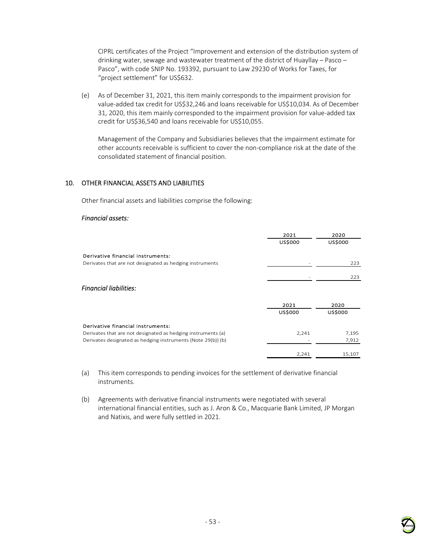CIPRL certificates of the Project "Improvement and extension of the distribution system of drinking water, sewage and wastewater treatment of the district of Huayllay – Pasco – Pasco", with code SNIP No. 193392, pursuant to Law 29230 of Works for Taxes, for "project settlement" for US\$632.

(e) As of December 31, 2021, this item mainly corresponds to the impairment provision for value-added tax credit for US\$32,246 and loans receivable for US\$10,034. As of December 31, 2020, this item mainly corresponded to the impairment provision for value-added tax credit for US\$36,540 and loans receivable for US\$10,055.

Management of the Company and Subsidiaries believes that the impairment estimate for other accounts receivable is sufficient to cover the non-compliance risk at the date of the consolidated statement of financial position.

### 10. OTHER FINANCIAL ASSETS AND LIABILITIES

Other financial assets and liabilities comprise the following:

#### *Financial assets:*

|                                                              | 2021<br>US\$000 | 2020<br><b>US\$000</b> |
|--------------------------------------------------------------|-----------------|------------------------|
| Derivative financial instruments:                            |                 |                        |
| Derivates that are not designated as hedging instruments     |                 | 223                    |
|                                                              |                 | 223                    |
| <b>Financial liabilities:</b>                                |                 |                        |
|                                                              | 2021            | 2020                   |
|                                                              | <b>US\$000</b>  | <b>US\$000</b>         |
| Derivative financial instruments:                            |                 |                        |
| Derivates that are not designated as hedging instruments (a) | 2,241           | 7,195                  |
| Derivates designated as hedging instruments (Note 29(b)) (b) |                 | 7,912                  |
|                                                              | 2,241           | 15,107                 |

(a) This item corresponds to pending invoices for the settlement of derivative financial instruments.

(b) Agreements with derivative financial instruments were negotiated with several international financial entities, such as J. Aron & Co., Macquarie Bank Limited, JP Morgan and Natixis, and were fully settled in 2021.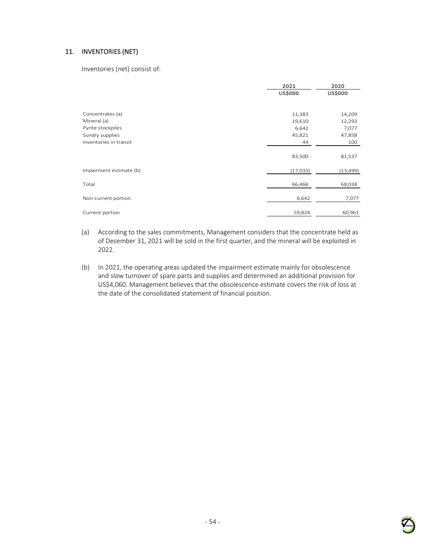## 11. INVENTORIES (NET)

Inventories (net) consist of:

|                         | 2021<br>US\$000 | 2020<br><b>US\$000</b> |
|-------------------------|-----------------|------------------------|
| Concentrates (a)        | 11,383          | 14,209                 |
| Mineral (a)             | 19,610          | 12,293                 |
| Pyrite stockpiles       | 6,642           | 7,077                  |
| Sundry supplies         | 45,821          | 47,858                 |
| Inventories in transit  | 44              | 100                    |
|                         | 83,500          | 81,537                 |
| Impairment estimate (b) | (17, 033)       | (13, 499)              |
| Total                   | 66,466          | 68,038                 |
| Non-current portion     | 6,642           | 7,077                  |
| Current portion         | 59,824          | 60,961                 |

- (a) According to the sales commitments, Management considers that the concentrate held as of December 31, 2021 will be sold in the first quarter, and the mineral will be exploited in 2022.
- (b) In 2021, the operating areas updated the impairment estimate mainly for obsolescence and slow turnover of spare parts and supplies and determined an additional provision for US\$4,060. Management believes that the obsolescence estimate covers the risk of loss at the date of the consolidated statement of financial position.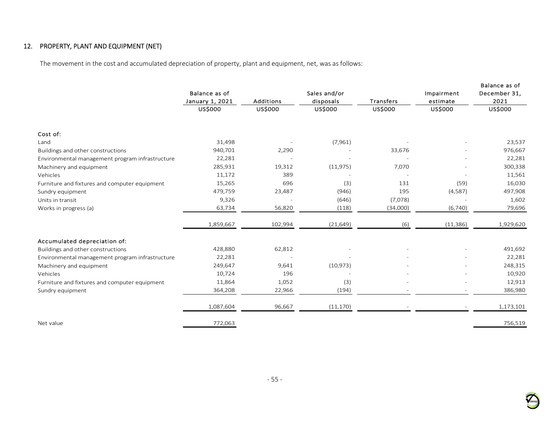# 12. PROPERTY, PLANT AND EQUIPMENT (NET)

The movement in the cost and accumulated depreciation of property, plant and equipment, net, was as follows:

|                                                 | Balance as of                     |                                    | Sales and/or         |                             | Impairment          | Balance as of<br>December 31, |
|-------------------------------------------------|-----------------------------------|------------------------------------|----------------------|-----------------------------|---------------------|-------------------------------|
|                                                 | January 1, 2021<br><b>US\$000</b> | <b>Additions</b><br><b>US\$000</b> | disposals<br>US\$000 | Transfers<br><b>US\$000</b> | estimate<br>US\$000 | 2021<br><b>US\$000</b>        |
|                                                 |                                   |                                    |                      |                             |                     |                               |
| Cost of:                                        |                                   |                                    |                      |                             |                     |                               |
| Land                                            | 31,498                            |                                    | (7,961)              |                             |                     | 23,537                        |
| Buildings and other constructions               | 940,701                           | 2,290                              |                      | 33,676                      |                     | 976,667                       |
| Environmental management program infrastructure | 22,281                            |                                    |                      |                             |                     | 22,281                        |
| Machinery and equipment                         | 285,931                           | 19,312                             | (11, 975)            | 7,070                       |                     | 300,338                       |
| Vehicles                                        | 11,172                            | 389                                |                      |                             |                     | 11,561                        |
| Furniture and fixtures and computer equipment   | 15,265                            | 696                                | (3)                  | 131                         | (59)                | 16,030                        |
| Sundry equipment                                | 479,759                           | 23,487                             | (946)                | 195                         | (4,587)             | 497,908                       |
| Units in transit                                | 9,326                             |                                    | (646)                | (7,078)                     |                     | 1,602                         |
| Works in progress (a)                           | 63,734                            | 56,820                             | (118)                | (34,000)                    | (6,740)             | 79,696                        |
|                                                 | 1,859,667                         | 102,994                            | (21, 649)            | (6)                         | (11, 386)           | 1,929,620                     |
| Accumulated depreciation of:                    |                                   |                                    |                      |                             |                     |                               |
| Buildings and other constructions               | 428,880                           | 62,812                             |                      |                             |                     | 491,692                       |
| Environmental management program infrastructure | 22,281                            |                                    |                      |                             |                     | 22,281                        |
| Machinery and equipment                         | 249,647                           | 9,641                              | (10, 973)            |                             |                     | 248,315                       |
| Vehicles                                        | 10,724                            | 196                                |                      |                             |                     | 10,920                        |
| Furniture and fixtures and computer equipment   | 11,864                            | 1,052                              | (3)                  |                             |                     | 12,913                        |
| Sundry equipment                                | 364,208                           | 22,966                             | (194)                |                             |                     | 386,980                       |
|                                                 | 1,087,604                         | 96,667                             | (11, 170)            |                             |                     | 1,173,101                     |
| Net value                                       | 772,063                           |                                    |                      |                             |                     | 756,519                       |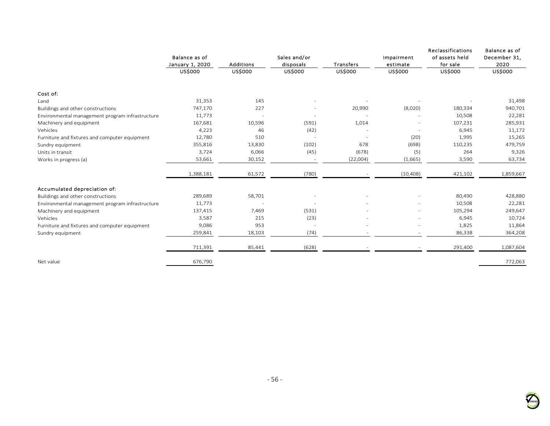|                                                 | Balance as of<br>January 1, 2020 | <b>Additions</b> | Sales and/or<br>disposals | Transfers      | Impairment<br>estimate   | Reclassifications<br>of assets held<br>for sale | Balance as of<br>December 31,<br>2020 |
|-------------------------------------------------|----------------------------------|------------------|---------------------------|----------------|--------------------------|-------------------------------------------------|---------------------------------------|
|                                                 | <b>US\$000</b>                   | <b>US\$000</b>   | <b>US\$000</b>            | <b>US\$000</b> | <b>US\$000</b>           | <b>US\$000</b>                                  | <b>US\$000</b>                        |
| Cost of:                                        |                                  |                  |                           |                |                          |                                                 |                                       |
| Land                                            | 31,353                           | 145              |                           |                |                          |                                                 | 31,498                                |
| Buildings and other constructions               | 747,170                          | 227              |                           | 20,990         | (8,020)                  | 180,334                                         | 940,701                               |
| Environmental management program infrastructure | 11,773                           |                  |                           |                |                          | 10,508                                          | 22,281                                |
| Machinery and equipment                         | 167,681                          | 10,596           | (591)                     | 1,014          |                          | 107,231                                         | 285,931                               |
| Vehicles                                        | 4,223                            | 46               | (42)                      |                | $\overline{\phantom{a}}$ | 6,945                                           | 11,172                                |
| Furniture and fixtures and computer equipment   | 12,780                           | 510              | $\overline{\phantom{a}}$  |                | (20)                     | 1,995                                           | 15,265                                |
| Sundry equipment                                | 355,816                          | 13,830           | (102)                     | 678            | (698)                    | 110,235                                         | 479,759                               |
| Units in transit                                | 3,724                            | 6,066            | (45)                      | (678)          | (5)                      | 264                                             | 9,326                                 |
| Works in progress (a)                           | 53,661                           | 30,152           |                           | (22,004)       | (1,665)                  | 3,590                                           | 63,734                                |
|                                                 | 1,388,181                        | 61,572           | (780)                     |                | (10, 408)                | 421,102                                         | 1,859,667                             |
| Accumulated depreciation of:                    |                                  |                  |                           |                |                          |                                                 |                                       |
| Buildings and other constructions               | 289,689                          | 58,701           |                           |                |                          | 80,490                                          | 428,880                               |
| Environmental management program infrastructure | 11,773                           |                  |                           |                |                          | 10,508                                          | 22,281                                |
| Machinery and equipment                         | 137,415                          | 7,469            | (531)                     |                |                          | 105,294                                         | 249,647                               |
| Vehicles                                        | 3,587                            | 215              | (23)                      |                |                          | 6,945                                           | 10,724                                |
| Furniture and fixtures and computer equipment   | 9,086                            | 953              |                           |                |                          | 1,825                                           | 11,864                                |
| Sundry equipment                                | 259,841                          | 18,103           | (74)                      |                |                          | 86,338                                          | 364,208                               |
|                                                 | 711,391                          | 85,441           | (628)                     |                |                          | 291,400                                         | 1,087,604                             |
| Net value                                       | 676,790                          |                  |                           |                |                          |                                                 | 772,063                               |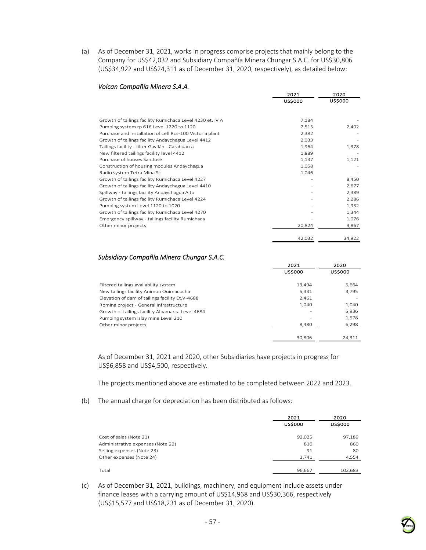(a) As of December 31, 2021, works in progress comprise projects that mainly belong to the Company for US\$42,032 and Subsidiary Compañía Minera Chungar S.A.C. for US\$30,806 (US\$34,922 and US\$24,311 as of December 31, 2020, respectively), as detailed below:

|                                                           | 2021           | 2020    |  |
|-----------------------------------------------------------|----------------|---------|--|
|                                                           | <b>US\$000</b> | US\$000 |  |
|                                                           |                |         |  |
| Growth of tailings facility Rumichaca Level 4230 et. IV A | 7,184          |         |  |
| Pumping system rp 616 Level 1220 to 1120                  | 2,515          | 2,402   |  |
| Purchase and installation of cell Rcs-100 Victoria plant  | 2,382          |         |  |
| Growth of tailings facility Andaychagua Level 4412        | 2,033          |         |  |
| Tailings facility - filter Gavilán - Carahuacra           | 1,964          | 1,378   |  |
| New filtered tailings facility level 4412                 | 1,889          |         |  |
| Purchase of houses San José                               | 1,137          | 1,121   |  |
| Construction of housing modules Andaychagua               | 1,058          |         |  |
| Radio system Tetra Mina Sc                                | 1,046          |         |  |
| Growth of tailings facility Rumichaca Level 4227          |                | 8,450   |  |
| Growth of tailings facility Andaychagua Level 4410        |                | 2,677   |  |
| Spillway - tailings facility Andaychagua Alto             |                | 2,389   |  |
| Growth of tailings facility Rumichaca Level 4224          |                | 2,286   |  |
| Pumping system Level 1120 to 1020                         |                | 1,932   |  |
| Growth of tailings facility Rumichaca Level 4270          |                | 1,344   |  |
| Emergency spillway - tailings facility Rumichaca          |                | 1,076   |  |
| Other minor projects                                      | 20,824         | 9,867   |  |
|                                                           | 42,032         | 34,922  |  |

#### *Volcan Compañía Minera S.A.A.*

#### *Subsidiary Compañía Minera Chungar S.A.C.*

|                                                  | 2021           | 2020           |  |
|--------------------------------------------------|----------------|----------------|--|
|                                                  | <b>US\$000</b> | <b>US\$000</b> |  |
| Filtered tailings availability system            | 13,494         | 5,664          |  |
| New tailings facility Animon Quimacocha          | 5,331          | 3,795          |  |
| Elevation of dam of tailings facility Et.V-4688  | 2.461          |                |  |
| Romina project - General infrastructure          | 1,040          | 1,040          |  |
| Growth of tailings facility Alpamarca Level 4684 |                | 5,936          |  |
| Pumping system Islay mine Level 210              |                | 1,578          |  |
| Other minor projects                             | 8,480          | 6,298          |  |
|                                                  | 30.806         | 24.311         |  |

As of December 31, 2021 and 2020, other Subsidiaries have projects in progress for US\$6,858 and US\$4,500, respectively.

The projects mentioned above are estimated to be completed between 2022 and 2023.

(b) The annual charge for depreciation has been distributed as follows:

|                                   | 2021<br><b>US\$000</b> | 2020<br><b>US\$000</b> |
|-----------------------------------|------------------------|------------------------|
| Cost of sales (Note 21)           | 92,025                 | 97,189                 |
| Administrative expenses (Note 22) | 810                    | 860                    |
| Selling expenses (Note 23)        | 91                     | 80                     |
| Other expenses (Note 24)          | 3,741                  | 4,554                  |
| Total                             | 96,667                 | 102.683                |

(c) As of December 31, 2021, buildings, machinery, and equipment include assets under finance leases with a carrying amount of US\$14,968 and US\$30,366, respectively (US\$15,577 and US\$18,231 as of December 31, 2020).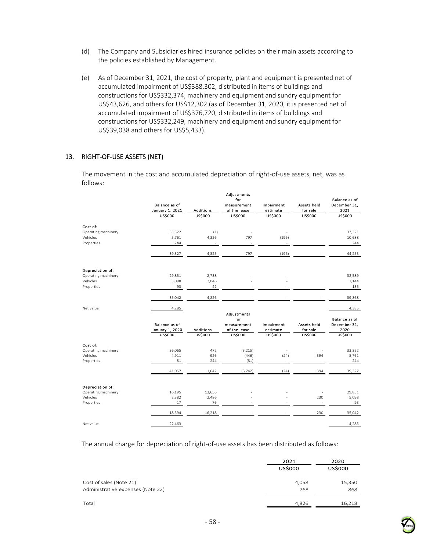- (d) The Company and Subsidiaries hired insurance policies on their main assets according to the policies established by Management.
- (e) As of December 31, 2021, the cost of property, plant and equipment is presented net of accumulated impairment of US\$388,302, distributed in items of buildings and constructions for US\$332,374, machinery and equipment and sundry equipment for US\$43,626, and others for US\$12,302 (as of December 31, 2020, it is presented net of accumulated impairment of US\$376,720, distributed in items of buildings and constructions for US\$332,249, machinery and equipment and sundry equipment for US\$39,038 and others for US\$5,433).

### 13. RIGHT-OF-USE ASSETS (NET)

The movement in the cost and accumulated depreciation of right-of-use assets, net, was as follows:

|                     | <b>Balance as of</b><br>January 1, 2021<br><b>US\$000</b> | <b>Additions</b><br><b>US\$000</b> | Adjustments<br>for<br>measurement<br>of the lease<br><b>US\$000</b> | Impairment<br>estimate<br><b>US\$000</b> | Assets held<br>for sale<br><b>US\$000</b> | Balance as of<br>December 31,<br>2021<br><b>US\$000</b> |
|---------------------|-----------------------------------------------------------|------------------------------------|---------------------------------------------------------------------|------------------------------------------|-------------------------------------------|---------------------------------------------------------|
|                     |                                                           |                                    |                                                                     |                                          |                                           |                                                         |
| Cost of:            |                                                           |                                    |                                                                     |                                          |                                           |                                                         |
| Operating machinery | 33,322                                                    | (1)                                |                                                                     |                                          |                                           | 33,321                                                  |
| Vehicles            | 5,761                                                     | 4,326                              | 797                                                                 | (196)                                    |                                           | 10,688                                                  |
| Properties          | 244                                                       |                                    |                                                                     |                                          |                                           | 244                                                     |
|                     | 39,327                                                    | 4,325                              | 797                                                                 | (196)                                    |                                           | 44,253                                                  |
| Depreciation of:    |                                                           |                                    |                                                                     |                                          |                                           |                                                         |
| Operating machinery | 29,851                                                    | 2,738                              |                                                                     |                                          |                                           | 32,589                                                  |
| Vehicles            | 5,098                                                     | 2,046                              |                                                                     |                                          |                                           | 7,144                                                   |
| Properties          | 93                                                        | 42                                 |                                                                     |                                          |                                           | 135                                                     |
|                     | 35,042                                                    | 4,826                              |                                                                     |                                          |                                           | 39,868                                                  |
| Net value           | 4,285                                                     |                                    |                                                                     |                                          |                                           | 4,385                                                   |
|                     |                                                           |                                    | Adjustments<br>for                                                  |                                          |                                           | Balance as of                                           |
|                     | <b>Balance as of</b><br>January 1, 2020                   | <b>Additions</b>                   | measurement<br>of the lease                                         | Impairment<br>estimate                   | Assets held<br>for sale                   | December 31,<br>2020                                    |
|                     | <b>US\$000</b>                                            | <b>US\$000</b>                     | <b>US\$000</b>                                                      | <b>US\$000</b>                           | <b>US\$000</b>                            | <b>US\$000</b>                                          |
| Cost of:            |                                                           |                                    |                                                                     |                                          |                                           |                                                         |
| Operating machinery | 36,065                                                    | 472                                | (3, 215)                                                            |                                          |                                           | 33,322                                                  |
| Vehicles            | 4,911                                                     | 926                                | (446)                                                               | (24)                                     | 394                                       | 5,761                                                   |
| Properties          | 81                                                        | 244                                | (81)                                                                |                                          |                                           | 244                                                     |
|                     | 41,057                                                    | 1,642                              | (3, 742)                                                            | (24)                                     | 394                                       | 39,327                                                  |
| Depreciation of:    |                                                           |                                    |                                                                     |                                          |                                           |                                                         |
| Operating machinery | 16,195                                                    | 13,656                             |                                                                     |                                          |                                           | 29,851                                                  |
| Vehicles            | 2,382                                                     | 2,486                              |                                                                     |                                          | 230                                       | 5,098                                                   |
| Properties          | 17                                                        | 76                                 |                                                                     |                                          | ÷.                                        | 93                                                      |
|                     | 18,594                                                    | 16,218                             |                                                                     |                                          | 230                                       | 35,042                                                  |
| Net value           | 22,463                                                    |                                    |                                                                     |                                          |                                           | 4,285                                                   |

The annual charge for depreciation of right-of-use assets has been distributed as follows:

|                                                              | 2021<br><b>US\$000</b> | 2020<br><b>US\$000</b> |
|--------------------------------------------------------------|------------------------|------------------------|
| Cost of sales (Note 21)<br>Administrative expenses (Note 22) | 4,058<br>768           | 15,350<br>868          |
| Total                                                        | 4,826                  | 16,218                 |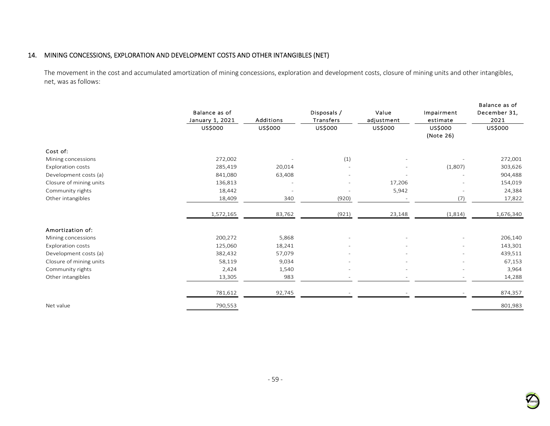## 14. MINING CONCESSIONS, EXPLORATION AND DEVELOPMENT COSTS AND OTHER INTANGIBLES (NET)

The movement in the cost and accumulated amortization of mining concessions, exploration and development costs, closure of mining units and other intangibles, net, was as follows:

|                          | Balance as of<br>January 1, 2021 | <b>Additions</b> | Disposals /<br>Transfers | Value<br>adjustment | Impairment<br>estimate   | Balance as of<br>December 31,<br>2021 |
|--------------------------|----------------------------------|------------------|--------------------------|---------------------|--------------------------|---------------------------------------|
|                          | US\$000                          | US\$000          | US\$000                  | US\$000             | US\$000<br>(Note 26)     | US\$000                               |
| Cost of:                 |                                  |                  |                          |                     |                          |                                       |
| Mining concessions       | 272,002                          |                  | (1)                      |                     |                          | 272,001                               |
| <b>Exploration costs</b> | 285,419                          | 20,014           |                          |                     | (1,807)                  | 303,626                               |
| Development costs (a)    | 841,080                          | 63,408           |                          |                     |                          | 904,488                               |
| Closure of mining units  | 136,813                          |                  |                          | 17,206              |                          | 154,019                               |
| Community rights         | 18,442                           |                  |                          | 5,942               | $\overline{\phantom{a}}$ | 24,384                                |
| Other intangibles        | 18,409                           | 340              | (920)                    |                     | (7)                      | 17,822                                |
|                          | 1,572,165                        | 83,762           | (921)                    | 23,148              | (1,814)                  | 1,676,340                             |
| Amortization of:         |                                  |                  |                          |                     |                          |                                       |
| Mining concessions       | 200,272                          | 5,868            |                          |                     |                          | 206,140                               |
| <b>Exploration costs</b> | 125,060                          | 18,241           |                          |                     |                          | 143,301                               |
| Development costs (a)    | 382,432                          | 57,079           |                          |                     |                          | 439,511                               |
| Closure of mining units  | 58,119                           | 9,034            |                          |                     | ٠                        | 67,153                                |
| Community rights         | 2,424                            | 1,540            |                          |                     | ٠                        | 3,964                                 |
| Other intangibles        | 13,305                           | 983              |                          |                     | $\overline{\phantom{a}}$ | 14,288                                |
|                          | 781,612                          | 92,745           |                          |                     |                          | 874,357                               |
| Net value                | 790,553                          |                  |                          |                     |                          | 801,983                               |

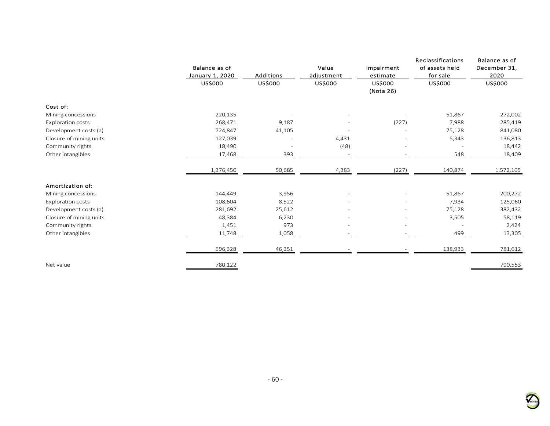|                          |                 |                          |                          |                          | Reclassifications | Balance as of |
|--------------------------|-----------------|--------------------------|--------------------------|--------------------------|-------------------|---------------|
|                          | Balance as of   |                          | Value                    | Impairment               | of assets held    | December 31,  |
|                          | January 1, 2020 | <b>Additions</b>         | adjustment               | estimate                 | for sale          | 2020          |
|                          | US\$000         | US\$000                  | US\$000                  | US\$000                  | US\$000           | US\$000       |
|                          |                 |                          |                          | (Nota 26)                |                   |               |
| Cost of:                 |                 |                          |                          |                          |                   |               |
| Mining concessions       | 220,135         |                          |                          |                          | 51,867            | 272,002       |
| Exploration costs        | 268,471         | 9,187                    |                          | (227)                    | 7,988             | 285,419       |
| Development costs (a)    | 724,847         | 41,105                   |                          |                          | 75,128            | 841,080       |
| Closure of mining units  | 127,039         | $\overline{\phantom{a}}$ | 4,431                    | $\overline{\phantom{a}}$ | 5,343             | 136,813       |
| Community rights         | 18,490          |                          | (48)                     |                          |                   | 18,442        |
| Other intangibles        | 17,468          | 393                      | $\overline{\phantom{m}}$ | $\overline{\phantom{a}}$ | 548               | 18,409        |
|                          | 1,376,450       | 50,685                   | 4,383                    | (227)                    | 140,874           | 1,572,165     |
| Amortization of:         |                 |                          |                          |                          |                   |               |
| Mining concessions       | 144,449         | 3,956                    |                          |                          | 51,867            | 200,272       |
| <b>Exploration costs</b> | 108,604         | 8,522                    |                          |                          | 7,934             | 125,060       |
| Development costs (a)    | 281,692         | 25,612                   |                          |                          | 75,128            | 382,432       |
| Closure of mining units  | 48,384          | 6,230                    | $\equiv$                 | $\overline{\phantom{a}}$ | 3,505             | 58,119        |
| Community rights         | 1,451           | 973                      |                          |                          |                   | 2,424         |
| Other intangibles        | 11,748          | 1,058                    |                          |                          | 499               | 13,305        |
|                          | 596,328         | 46,351                   |                          |                          | 138,933           | 781,612       |
| Net value                | 780,122         |                          |                          |                          |                   | 790,553       |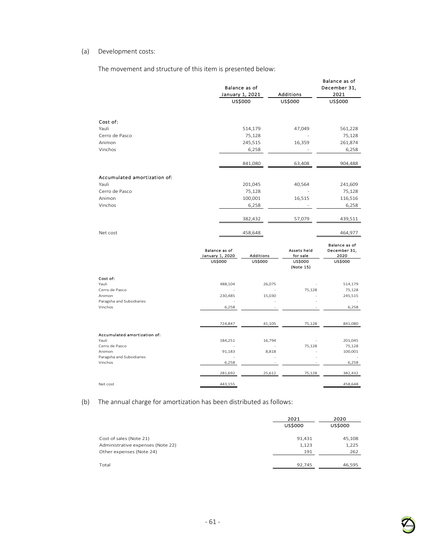#### (a) Development costs:

Accumulated amortization of:<br>Yauli

The movement and structure of this item is presented below:

|                                     | January 1, 2021                         | Balance as of  | Additions                   | Balance as of<br>December 31,<br>2021 |
|-------------------------------------|-----------------------------------------|----------------|-----------------------------|---------------------------------------|
|                                     |                                         | <b>USS000</b>  | <b>US\$000</b>              | <b>USS000</b>                         |
|                                     |                                         |                |                             |                                       |
| Cost of:                            |                                         |                |                             |                                       |
| Yauli                               |                                         | 514,179        | 47,049                      | 561,228                               |
| Cerro de Pasco                      |                                         | 75,128         |                             | 75,128                                |
| Animon                              |                                         | 245,515        | 16,359                      | 261,874                               |
| Vinchos                             |                                         | 6,258          |                             | 6,258                                 |
|                                     |                                         | 841,080        | 63,408                      | 904,488                               |
|                                     |                                         |                |                             |                                       |
| Accumulated amortization of:        |                                         |                |                             |                                       |
| Yauli                               |                                         | 201,045        | 40,564                      | 241,609                               |
| Cerro de Pasco                      |                                         | 75,128         |                             | 75,128                                |
| Animon                              |                                         | 100,001        | 16,515                      | 116,516                               |
| Vinchos                             |                                         | 6,258          |                             | 6,258                                 |
|                                     |                                         | 382,432        | 57,079                      | 439,511                               |
| Net cost                            |                                         | 458,648        |                             | 464,977                               |
|                                     |                                         |                |                             |                                       |
|                                     | <b>Balance as of</b><br>January 1, 2020 | Additions      | Assets held<br>for sale     | Balance as of<br>December 31,<br>2020 |
|                                     | <b>US\$000</b>                          | <b>US\$000</b> | <b>US\$000</b><br>(Note 15) | <b>US\$000</b>                        |
| Cost of:                            |                                         |                |                             |                                       |
| Yauli                               | 488,104                                 | 26,075         |                             | 514,179                               |
| Cerro de Pasco                      |                                         |                | 75,128                      | 75,128                                |
| Animon<br>Paragsha and Subsidiaries | 230,485                                 | 15,030         |                             | 245,515                               |
|                                     |                                         |                |                             |                                       |

Vinchos 6,258 - - 6,258

Yauli 184,251 16,794 - 201,045 184,251 16,794 201,045<br>
Cerro de Pasco 201,045 201,045 201,045 184,251 16,794 201,045 201,045 201,045 201,045 201,045 201,045 201,045<br>
21,183 8,818 200,001 200,001 200,001 201,183 8,818 200,001 201,000 201,183 201,183 201, Animon 91,183 8,818 - 100,001 Paragsha and Subsidiaries - - - -  $V$ inchos 6,258 - 6,258 - 6,258 - 6,258 - 6,258 - 6,258 - 6,258 - 6,258 - 6,258 - 6,258 - 6,258 - 6,258 - 6,258 - 6,258 - 6,258 - 6,258 - 6,258 - 6,258 - 6,258 - 6,258 - 6,258 - 6,258 - 6,258 - 6,258 - 6,258 - 6,258 - 6,2

Net cost  $443,155$   $458,648$ 

724,847 41,105 75,128 841,080

281,692 25,612 75,128 382,432

(b) The annual charge for amortization has been distributed as follows:

|                                   | 2021<br><b>USS000</b> | 2020<br><b>US\$000</b> |
|-----------------------------------|-----------------------|------------------------|
| Cost of sales (Note 21)           | 91,431                | 45,108                 |
| Administrative expenses (Note 22) | 1,123                 | 1,225                  |
| Other expenses (Note 24)          | 191                   | 262                    |
|                                   |                       |                        |
| Total                             | 92,745                | 46,595                 |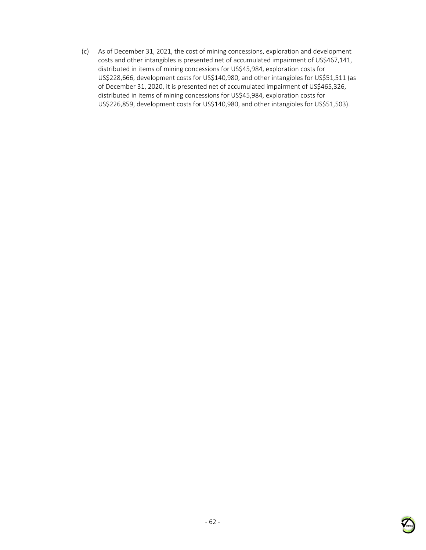(c) As of December 31, 2021, the cost of mining concessions, exploration and development costs and other intangibles is presented net of accumulated impairment of US\$467,141, distributed in items of mining concessions for US\$45,984, exploration costs for US\$228,666, development costs for US\$140,980, and other intangibles for US\$51,511 (as of December 31, 2020, it is presented net of accumulated impairment of US\$465,326, distributed in items of mining concessions for US\$45,984, exploration costs for US\$226,859, development costs for US\$140,980, and other intangibles for US\$51,503).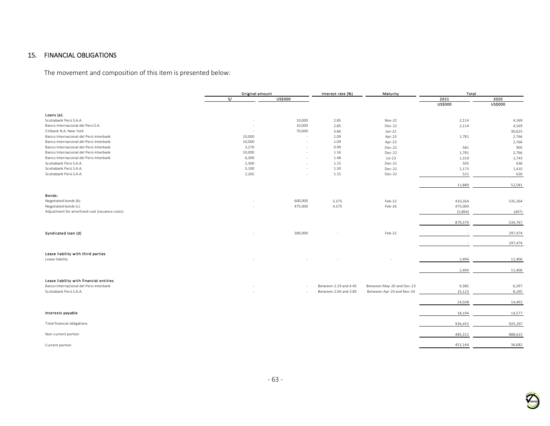## 15. FINANCIAL OBLIGATIONS

The movement and composition of this item is presented below:

|                                                | Original amount |                | Interest rate (%)     | Maturity                  | Total          |                |
|------------------------------------------------|-----------------|----------------|-----------------------|---------------------------|----------------|----------------|
|                                                | S/              | <b>US\$000</b> |                       |                           | 2021           | 2020           |
|                                                |                 |                |                       |                           | <b>US\$000</b> | <b>US\$000</b> |
|                                                |                 |                |                       |                           |                |                |
| Loans (a):                                     |                 |                |                       |                           |                |                |
| Scotiabank Perú S.A.A.                         |                 | 10,000         | 2.85                  | Nov-22                    | 2,114          | 4,169          |
| Banco Internacional del Perú S.A.              |                 | 10,000         | 2.85                  | Dec-22                    | 2,114          | 4,169          |
| Citibank N.A. New York                         |                 | 70,000         | 3.84                  | Jan-22                    | $\sim$         | 30,625         |
| Banco Internacional del Perú-Interbank         | 10,000          |                | 1.09                  | Apr-23                    | 1,781          | 2,766          |
| Banco Internacional del Perú-Interbank         | 10,000          | ×,             | 1.09                  | Apr-23                    | $\sim$         | 2,766          |
| Banco Internacional del Perú-Interbank         | 3,270           |                | 0.99                  | Dec-22                    | 581            | 905            |
| Banco Internacional del Perú-Interbank         | 10,000          |                | 1.16                  | Dec-22                    | 1,781          | 2,766          |
| Banco Internacional del Perú-Interbank         | 6,300           |                | 1.48                  | $Jul-23$                  | 1,319          | 1,743          |
| Scotiabank Perú S.A.A.                         | 2,300           | ×.             | 1.15                  | Dec-22                    | 505            | 636            |
| Scotiabank Perú S.A.A.                         | 5,100           |                | 1.30                  | Dec-22                    | 1,173          | 1,410          |
| Scotiabank Perú S.A.A.                         | 2,265           | ×.             | 1.15                  | Dec-22                    | 521            | 626            |
|                                                |                 |                |                       |                           | 11,889         | 52,581         |
| Bonds:                                         |                 |                |                       |                           |                |                |
| Negotiated bonds (b)                           |                 | 600,000        | 5.375                 | Feb-22                    | 410,264        |                |
| Negotiated bonds (c)                           |                 | 475,000        |                       |                           |                | 535,264        |
| Adjustment for amortized cost (issuance costs) |                 |                | 4.375                 | Feb-26                    | 475,000        |                |
|                                                |                 |                |                       |                           | (5,894)        | (497)          |
|                                                |                 |                |                       |                           | 879,370        | 534,767        |
| Syndicated loan (d)                            |                 | 300,000        |                       | Feb-22                    |                | 297,474        |
|                                                |                 |                |                       |                           |                |                |
|                                                |                 |                |                       |                           |                | 297,474        |
| Lease liability with third parties             |                 |                |                       |                           |                |                |
| Lease liability                                |                 |                |                       |                           | 2,494          | 11,406         |
|                                                |                 |                |                       |                           |                |                |
|                                                |                 |                |                       |                           | 2,494          | 11,406         |
| Lease liability with financial entities        |                 |                |                       |                           |                |                |
| Banco Internacional del Perú-Interbank         |                 |                | Between 2.19 and 4.45 | Between May-20 and Dec-23 | 9,385          | 6,297          |
| Scotiabank Perú S.A.A.                         |                 |                | Between 2.04 and 3.83 | Between Apr-20 and Nov-24 | 15,123         | 8,195          |
|                                                |                 |                |                       |                           |                |                |
|                                                |                 |                |                       |                           | 24,508         | 14,492         |
| Interests payable                              |                 |                |                       |                           | 18,194         | 14,577         |
| Total financial obligations                    |                 |                |                       |                           | 936,455        | 925,297        |
|                                                |                 |                |                       |                           |                |                |
| Non-current portion                            |                 |                |                       |                           | 485,311        | 888,615        |
| Current portion                                |                 |                |                       |                           | 451,144        | 36,682         |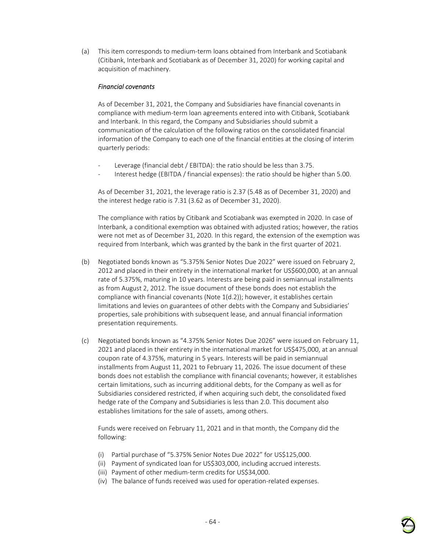(a) This item corresponds to medium-term loans obtained from Interbank and Scotiabank (Citibank, Interbank and Scotiabank as of December 31, 2020) for working capital and acquisition of machinery.

#### *Financial covenants*

As of December 31, 2021, the Company and Subsidiaries have financial covenants in compliance with medium-term loan agreements entered into with Citibank, Scotiabank and Interbank. In this regard, the Company and Subsidiaries should submit a communication of the calculation of the following ratios on the consolidated financial information of the Company to each one of the financial entities at the closing of interim quarterly periods:

- Leverage (financial debt / EBITDA): the ratio should be less than 3.75.
- Interest hedge (EBITDA / financial expenses): the ratio should be higher than 5.00.

As of December 31, 2021, the leverage ratio is 2.37 (5.48 as of December 31, 2020) and the interest hedge ratio is 7.31 (3.62 as of December 31, 2020).

The compliance with ratios by Citibank and Scotiabank was exempted in 2020. In case of Interbank, a conditional exemption was obtained with adjusted ratios; however, the ratios were not met as of December 31, 2020. In this regard, the extension of the exemption was required from Interbank, which was granted by the bank in the first quarter of 2021.

- (b) Negotiated bonds known as "5.375% Senior Notes Due 2022" were issued on February 2, 2012 and placed in their entirety in the international market for US\$600,000, at an annual rate of 5.375%, maturing in 10 years. Interests are being paid in semiannual installments as from August 2, 2012. The issue document of these bonds does not establish the compliance with financial covenants (Note 1(d.2)); however, it establishes certain limitations and levies on guarantees of other debts with the Company and Subsidiaries' properties, sale prohibitions with subsequent lease, and annual financial information presentation requirements.
- (c) Negotiated bonds known as "4.375% Senior Notes Due 2026" were issued on February 11, 2021 and placed in their entirety in the international market for US\$475,000, at an annual coupon rate of 4.375%, maturing in 5 years. Interests will be paid in semiannual installments from August 11, 2021 to February 11, 2026. The issue document of these bonds does not establish the compliance with financial covenants; however, it establishes certain limitations, such as incurring additional debts, for the Company as well as for Subsidiaries considered restricted, if when acquiring such debt, the consolidated fixed hedge rate of the Company and Subsidiaries is less than 2.0. This document also establishes limitations for the sale of assets, among others.

Funds were received on February 11, 2021 and in that month, the Company did the following:

- (i) Partial purchase of "5.375% Senior Notes Due 2022" for US\$125,000.
- (ii) Payment of syndicated loan for US\$303,000, including accrued interests.
- (iii) Payment of other medium-term credits for US\$34,000.
- (iv) The balance of funds received was used for operation-related expenses.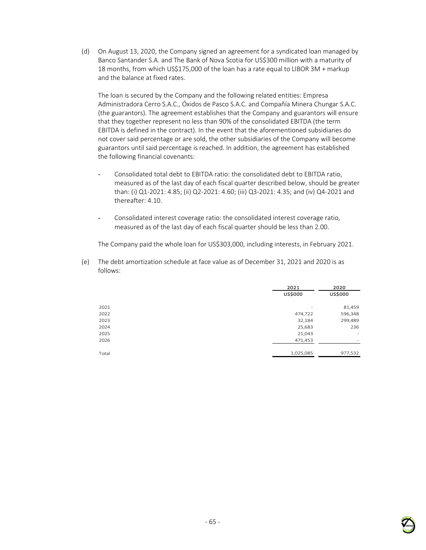(d) On August 13, 2020, the Company signed an agreement for a syndicated loan managed by Banco Santander S.A. and The Bank of Nova Scotia for US\$300 million with a maturity of 18 months, from which US\$175,000 of the loan has a rate equal to LIBOR 3M + markup and the balance at fixed rates.

The loan is secured by the Company and the following related entities: Empresa Administradora Cerro S.A.C., Óxidos de Pasco S.A.C. and Compañía Minera Chungar S.A.C. (the guarantors). The agreement establishes that the Company and guarantors will ensure that they together represent no less than 90% of the consolidated EBITDA (the term EBITDA is defined in the contract). In the event that the aforementioned subsidiaries do not cover said percentage or are sold, the other subsidiaries of the Company will become guarantors until said percentage is reached. In addition, the agreement has established the following financial covenants:

- Consolidated total debt to EBITDA ratio: the consolidated debt to EBITDA ratio, measured as of the last day of each fiscal quarter described below, should be greater than: (i) Q1-2021: 4.85; (ii) Q2-2021: 4.60; (iii) Q3-2021: 4.35; and (iv) Q4-2021 and thereafter: 4.10
- Consolidated interest coverage ratio: the consolidated interest coverage ratio, measured as of the last day of each fiscal quarter should be less than 2.00.

The Company paid the whole loan for US\$303,000, including interests, in February 2021.

(e) The debt amortization schedule at face value as of December 31, 2021 and 2020 is as follows:

|       | 2021                     | 2020                     |  |
|-------|--------------------------|--------------------------|--|
|       | <b>US\$000</b>           | US\$000                  |  |
|       |                          |                          |  |
| 2021  | $\overline{\phantom{a}}$ | 81,459                   |  |
| 2022  | 474,722                  | 596,348                  |  |
| 2023  | 32,184                   | 299,489                  |  |
| 2024  | 25,683                   | 236                      |  |
| 2025  | 21,043                   | -                        |  |
| 2026  | 471,453                  | $\overline{\phantom{a}}$ |  |
|       |                          |                          |  |
| Total | 1,025,085                | 977,532                  |  |
|       |                          |                          |  |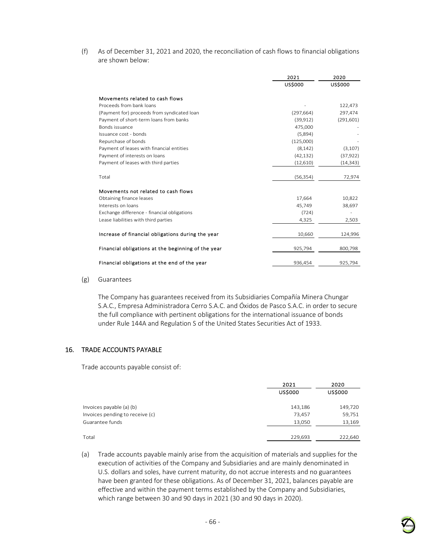(f) As of December 31, 2021 and 2020, the reconciliation of cash flows to financial obligations are shown below:

|                                                    | 2021           | 2020           |
|----------------------------------------------------|----------------|----------------|
|                                                    | <b>US\$000</b> | <b>US\$000</b> |
| Movements related to cash flows                    |                |                |
| Proceeds from bank loans                           |                | 122,473        |
| (Payment for) proceeds from syndicated loan        | (297, 664)     | 297,474        |
| Payment of short-term loans from banks             | (39, 912)      | (291, 601)     |
| Bonds issuance                                     | 475,000        |                |
| Issuance cost - bonds                              | (5,894)        |                |
| Repurchase of bonds                                | (125,000)      |                |
| Payment of leases with financial entities          | (8, 142)       | (3, 107)       |
| Payment of interests on loans                      | (42, 132)      | (37, 922)      |
| Payment of leases with third parties               | (12,610)       | (14, 343)      |
| Total                                              | (56, 354)      | 72,974         |
| Movements not related to cash flows                |                |                |
| Obtaining finance leases                           | 17,664         | 10,822         |
| Interests on loans                                 | 45,749         | 38,697         |
| Exchange difference - financial obligations        | (724)          |                |
| Lease liabilities with third parties               | 4,325          | 2,503          |
| Increase of financial obligations during the year  | 10,660         | 124,996        |
| Financial obligations at the beginning of the year | 925,794        | 800,798        |
| Financial obligations at the end of the year       | 936,454        | 925,794        |

#### (g) Guarantees

The Company has guarantees received from its Subsidiaries Compañía Minera Chungar S.A.C., Empresa Administradora Cerro S.A.C. and Óxidos de Pasco S.A.C. in order to secure the full compliance with pertinent obligations for the international issuance of bonds under Rule 144A and Regulation S of the United States Securities Act of 1933.

### 16. TRADE ACCOUNTS PAYABLE

Trade accounts payable consist of:

|                                 | 2021<br><b>US\$000</b> | 2020<br>US\$000 |
|---------------------------------|------------------------|-----------------|
| Invoices payable (a) (b)        | 143,186                | 149,720         |
| Invoices pending to receive (c) | 73,457                 | 59,751          |
| Guarantee funds                 | 13,050                 | 13,169          |
| Total                           | 229,693                | 222,640         |

(a) Trade accounts payable mainly arise from the acquisition of materials and supplies for the execution of activities of the Company and Subsidiaries and are mainly denominated in U.S. dollars and soles, have current maturity, do not accrue interests and no guarantees have been granted for these obligations. As of December 31, 2021, balances payable are effective and within the payment terms established by the Company and Subsidiaries, which range between 30 and 90 days in 2021 (30 and 90 days in 2020).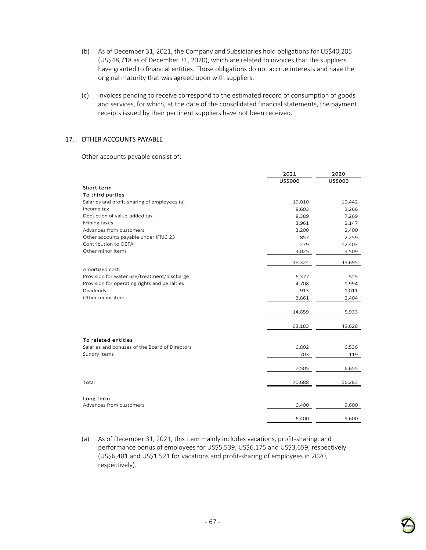- (b) As of December 31, 2021, the Company and Subsidiaries hold obligations for US\$40,205 (US\$48,718 as of December 31, 2020), which are related to invoices that the suppliers have granted to financial entities. Those obligations do not accrue interests and have the original maturity that was agreed upon with suppliers.
- (c) Invoices pending to receive correspond to the estimated record of consumption of goods and services, for which, at the date of the consolidated financial statements, the payment receipts issued by their pertinent suppliers have not been received.

## 17. OTHER ACCOUNTS PAYABLE

Other accounts payable consist of:

|                                                | 2021    | 2020    |
|------------------------------------------------|---------|---------|
|                                                | US\$000 | US\$000 |
| Short term                                     |         |         |
| To third parties                               |         |         |
| Salaries and profit-sharing of employees (a)   | 19,010  | 10,442  |
| Income tax                                     | 8,603   | 3,266   |
| Deduction of value-added tax                   | 8,389   | 7,269   |
| Mining taxes                                   | 3,961   | 2,147   |
| Advances from customers                        | 3,200   | 2,400   |
| Other accounts payable under IFRIC 23          | 857     | 2,259   |
| Contribution to OEFA                           | 279     | 12,403  |
| Other minor items                              | 4,025   | 3,509   |
|                                                | 48,324  | 43,695  |
| Amortized cost:                                |         |         |
| Provision for water use/treatment/discharge    | 6,377   | 525     |
| Provision for operating rights and penalties   | 4,708   | 1,994   |
| Dividends                                      | 913     | 1,011   |
| Other minor items                              | 2,861   | 2,404   |
|                                                | 14,859  | 5,933   |
|                                                |         |         |
|                                                | 63,183  | 49,628  |
| To related entities                            |         |         |
| Salaries and bonuses of the Board of Directors | 6,802   | 6,536   |
| Sundry items                                   | 703     | 119     |
|                                                |         |         |
|                                                | 7,505   | 6,655   |
|                                                |         |         |
| Total                                          | 70,688  | 56,283  |
| Long term                                      |         |         |
| Advances from customers                        | 6,400   | 9,600   |
|                                                | 6.400   | 9,600   |

(a) As of December 31, 2021, this item mainly includes vacations, profit-sharing, and performance bonus of employees for US\$5,539, US\$6,175 and US\$3,659, respectively (US\$6,481 and US\$1,521 for vacations and profit-sharing of employees in 2020, respectively).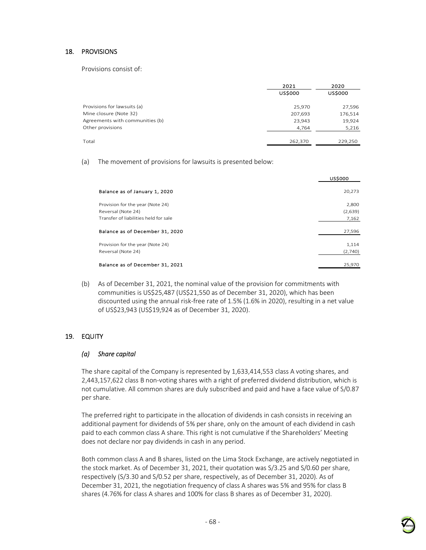### 18. PROVISIONS

Provisions consist of:

|                                 | 2021<br><b>US\$000</b> | 2020<br><b>US\$000</b> |
|---------------------------------|------------------------|------------------------|
| Provisions for lawsuits (a)     | 25,970                 | 27,596                 |
| Mine closure (Note 32)          | 207,693                | 176,514                |
| Agreements with communities (b) | 23,943                 | 19,924                 |
| Other provisions                | 4,764                  | 5,216                  |
|                                 |                        |                        |
| Total                           | 262,370                | 229,250                |

(a) The movement of provisions for lawsuits is presented below:

|                                       | <b>US\$000</b> |
|---------------------------------------|----------------|
| Balance as of January 1, 2020         | 20,273         |
| Provision for the year (Note 24)      | 2,800          |
| Reversal (Note 24)                    | (2,639)        |
| Transfer of liabilities held for sale | 7,162          |
| Balance as of December 31, 2020       | 27,596         |
| Provision for the year (Note 24)      | 1,114          |
| Reversal (Note 24)                    | (2,740)        |
|                                       |                |
| Balance as of December 31, 2021       | 25,970         |

(b) As of December 31, 2021, the nominal value of the provision for commitments with communities is US\$25,487 (US\$21,550 as of December 31, 2020), which has been discounted using the annual risk-free rate of 1.5% (1.6% in 2020), resulting in a net value of US\$23,943 (US\$19,924 as of December 31, 2020).

### 19. EQUITY

### *(a) Share capital*

The share capital of the Company is represented by 1,633,414,553 class A voting shares, and 2,443,157,622 class B non-voting shares with a right of preferred dividend distribution, which is not cumulative. All common shares are duly subscribed and paid and have a face value of S/0.87 per share.

The preferred right to participate in the allocation of dividends in cash consists in receiving an additional payment for dividends of 5% per share, only on the amount of each dividend in cash paid to each common class A share. This right is not cumulative if the Shareholders' Meeting does not declare nor pay dividends in cash in any period.

Both common class A and B shares, listed on the Lima Stock Exchange, are actively negotiated in the stock market. As of December 31, 2021, their quotation was S/3.25 and S/0.60 per share, respectively (S/3.30 and S/0.52 per share, respectively, as of December 31, 2020). As of December 31, 2021, the negotiation frequency of class A shares was 5% and 95% for class B shares (4.76% for class A shares and 100% for class B shares as of December 31, 2020).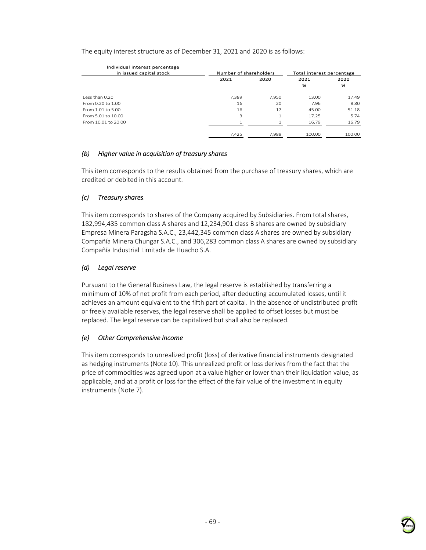The equity interest structure as of December 31, 2021 and 2020 is as follows:

| Individual interest percentage<br>in issued capital stock | Number of shareholders |       | Total interest percentage |        |
|-----------------------------------------------------------|------------------------|-------|---------------------------|--------|
|                                                           | 2021                   | 2020  | 2021                      | 2020   |
|                                                           |                        |       | %                         | %      |
| Less than 0.20                                            | 7.389                  | 7.950 | 13.00                     | 17.49  |
| From 0.20 to 1.00                                         | 16                     | 20    | 7.96                      | 8.80   |
| From 1.01 to 5.00                                         | 16                     | 17    | 45.00                     | 51.18  |
| From 5.01 to 10.00                                        | 3                      |       | 17.25                     | 5.74   |
| From 10.01 to 20.00                                       |                        |       | 16.79                     | 16.79  |
|                                                           | 7.425                  | 7.989 | 100.00                    | 100.00 |

## *(b) Higher value in acquisition of treasury shares*

This item corresponds to the results obtained from the purchase of treasury shares, which are credited or debited in this account.

## *(c) Treasury shares*

This item corresponds to shares of the Company acquired by Subsidiaries. From total shares, 182,994,435 common class A shares and 12,234,901 class B shares are owned by subsidiary Empresa Minera Paragsha S.A.C., 23,442,345 common class A shares are owned by subsidiary Compañía Minera Chungar S.A.C., and 306,283 common class A shares are owned by subsidiary Compañía Industrial Limitada de Huacho S.A.

## *(d) Legal reserve*

Pursuant to the General Business Law, the legal reserve is established by transferring a minimum of 10% of net profit from each period, after deducting accumulated losses, until it achieves an amount equivalent to the fifth part of capital. In the absence of undistributed profit or freely available reserves, the legal reserve shall be applied to offset losses but must be replaced. The legal reserve can be capitalized but shall also be replaced.

### *(e) Other Comprehensive Income*

This item corresponds to unrealized profit (loss) of derivative financial instruments designated as hedging instruments (Note 10). This unrealized profit or loss derives from the fact that the price of commodities was agreed upon at a value higher or lower than their liquidation value, as applicable, and at a profit or loss for the effect of the fair value of the investment in equity instruments (Note 7).

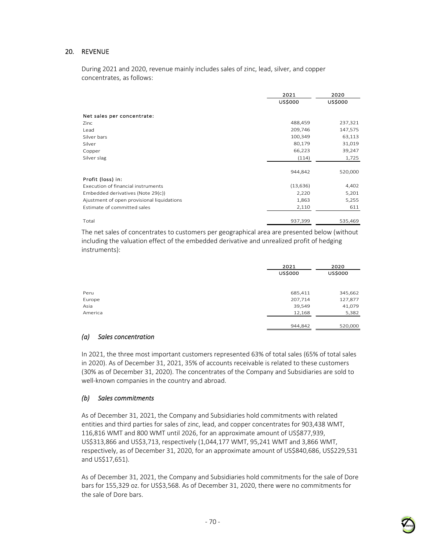## 20. REVENUE

During 2021 and 2020, revenue mainly includes sales of zinc, lead, silver, and copper concentrates, as follows:

|                                            | 2021           | 2020           |
|--------------------------------------------|----------------|----------------|
|                                            | <b>US\$000</b> | <b>US\$000</b> |
| Net sales per concentrate:                 |                |                |
| Zinc                                       | 488,459        | 237,321        |
| Lead                                       | 209,746        | 147,575        |
| Silver bars                                | 100,349        | 63,113         |
| Silver                                     | 80,179         | 31,019         |
| Copper                                     | 66,223         | 39,247         |
| Silver slag                                | (114)          | 1,725          |
|                                            | 944,842        | 520,000        |
| Profit (loss) in:                          |                |                |
| Execution of financial instruments         | (13, 636)      | 4,402          |
| Embedded derivatives (Note 29(c))          | 2,220          | 5,201          |
| Ajustment of open provisional liquidations | 1,863          | 5,255          |
| Estimate of committed sales                | 2,110          | 611            |
| Total                                      | 937,399        | 535,469        |

The net sales of concentrates to customers per geographical area are presented below (without including the valuation effect of the embedded derivative and unrealized profit of hedging instruments):

|         | 2021    | 2020           |  |
|---------|---------|----------------|--|
|         | US\$000 | <b>US\$000</b> |  |
|         |         |                |  |
|         |         |                |  |
| Peru    | 685,411 | 345,662        |  |
| Europe  | 207,714 | 127,877        |  |
| Asia    | 39,549  | 41,079         |  |
| America | 12,168  | 5,382          |  |
|         | 944,842 | 520,000        |  |

### *(a) Sales concentration*

In 2021, the three most important customers represented 63% of total sales (65% of total sales in 2020). As of December 31, 2021, 35% of accounts receivable is related to these customers (30% as of December 31, 2020). The concentrates of the Company and Subsidiaries are sold to well-known companies in the country and abroad.

### *(b) Sales commitments*

As of December 31, 2021, the Company and Subsidiaries hold commitments with related entities and third parties for sales of zinc, lead, and copper concentrates for 903,438 WMT, 116,816 WMT and 800 WMT until 2026, for an approximate amount of US\$877,939, US\$313,866 and US\$3,713, respectively (1,044,177 WMT, 95,241 WMT and 3,866 WMT, respectively, as of December 31, 2020, for an approximate amount of US\$840,686, US\$229,531 and US\$17,651).

As of December 31, 2021, the Company and Subsidiaries hold commitments for the sale of Dore bars for 155,329 oz. for US\$3,568. As of December 31, 2020, there were no commitments for the sale of Dore bars.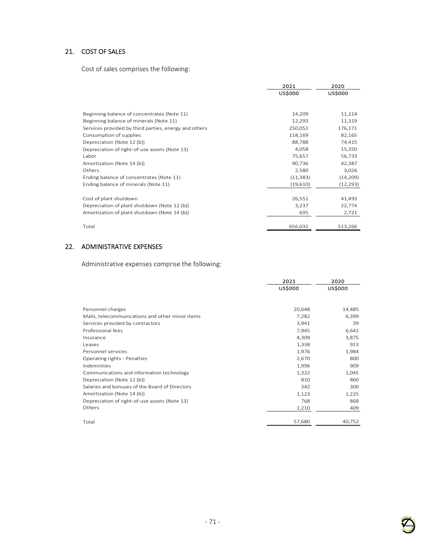# 21. COST OF SALES

Cost of sales comprises the following:

|                                                       | 2021<br><b>US\$000</b> | 2020<br><b>US\$000</b> |
|-------------------------------------------------------|------------------------|------------------------|
|                                                       |                        |                        |
| Beginning balance of concentrates (Note 11)           | 14,209                 | 11,214                 |
| Beginning balance of minerals (Note 11)               | 12,293                 | 11,319                 |
| Services provided by third parties, energy and others | 250,051                | 176,171                |
| Consumption of supplies                               | 118,169                | 82,165                 |
| Depreciation (Note 12 (b))                            | 88,788                 | 74,415                 |
| Depreciation of right-of-use assets (Note 13)         | 4,058                  | 15,350                 |
| Labor                                                 | 75,657                 | 56,733                 |
| Amortization (Note 14 (b))                            | 90,736                 | 42,387                 |
| Others                                                | 2,580                  | 3,026                  |
| Ending balance of concentrates (Note 11)              | (11, 383)              | (14, 209)              |
| Ending balance of minerals (Note 11)                  | (19,610)               | (12, 293)              |
|                                                       |                        |                        |
| Cost of plant shutdown                                | 26,551                 | 41,493                 |
| Depreciation of plant shutdown (Note 12 (b))          | 3,237                  | 22,774                 |
| Amortization of plant shutdown (Note 14 (b))          | 695                    | 2,721                  |
| Total                                                 | 656,031                | 513,266                |

# 22. ADMINISTRATIVE EXPENSES

Administrative expenses comprise the following:

|                                                 | 2021           | 2020           |
|-------------------------------------------------|----------------|----------------|
|                                                 | <b>US\$000</b> | <b>US\$000</b> |
|                                                 |                |                |
| Personnel charges                               | 20,648         | 14,485         |
| Mails, telecommunications and other minor items | 7,282          | 6,399          |
| Services provided by contractors                | 3,941          | 39             |
| Professional fees                               | 7,945          | 6,641          |
| Insurance                                       | 4,309          | 3,875          |
| Leases                                          | 1,338          | 913            |
| Personnel services                              | 1,976          | 1,984          |
| Operating rights - Penalties                    | 2,670          | 800            |
| Indemnities                                     | 1,996          | 909            |
| Communications and information technology       | 1,322          | 1,045          |
| Depreciation (Note 12 (b))                      | 810            | 860            |
| Salaries and bonuses of the Board of Directors  | 342            | 300            |
| Amortization (Note 14 (b))                      | 1,123          | 1,225          |
| Depreciation of right-of-use assets (Note 13)   | 768            | 868            |
| Others                                          | 1,210          | 409            |
|                                                 |                |                |
| Total                                           | 57,680         | 40,752         |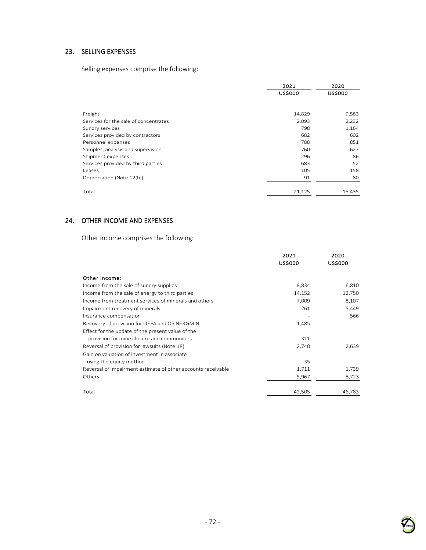# 23. SELLING EXPENSES

Selling expenses comprise the following:

|                                       | 2021<br><b>US\$000</b> | 2020<br><b>US\$000</b> |
|---------------------------------------|------------------------|------------------------|
|                                       |                        |                        |
| Freight                               | 14,829                 | 9,583                  |
| Services for the sale of concentrates | 2,093                  | 2,232                  |
| Sundry services                       | 798                    | 1,164                  |
| Services provided by contractors      | 682                    | 602                    |
| Personnel expenses                    | 788                    | 851                    |
| Samples, analysis and supervision     | 760                    | 627                    |
| Shipment expenses                     | 296                    | 86                     |
| Services provided by third parties    | 683                    | 52                     |
| Leases                                | 105                    | 158                    |
| Depreciation (Note 12(b))             | 91                     | 80                     |
|                                       |                        |                        |
| Total                                 | 21,125                 | 15,435                 |

# 24. OTHER INCOME AND EXPENSES

Other income comprises the following:

|                                                              | 2021    | 2020           |
|--------------------------------------------------------------|---------|----------------|
|                                                              | US\$000 | <b>US\$000</b> |
| Other income:                                                |         |                |
| Income from the sale of sundry supplies                      | 8,834   | 6,810          |
| Income from the sale of energy to third parties              | 14,152  | 12,750         |
| Income from treatment services of minerals and others        | 7,009   | 8,107          |
| Impairment recovery of minerals                              | 261     | 5,449          |
| Insurance compensation                                       |         | 566            |
| Recovery of provision for OEFA and OSINERGMIN                | 1,485   |                |
| Effect for the update of the present value of the            |         |                |
| provision for mine closure and communities                   | 311     |                |
| Reversal of provision for lawsuits (Note 18)                 | 2,740   | 2,639          |
| Gain on valuation of investment in associate                 |         |                |
| using the equity method                                      | 35      |                |
| Reversal of impairment estimate of other accounts receivable | 1,711   | 1,739          |
| Others                                                       | 5,967   | 8,723          |
|                                                              |         |                |
| Total                                                        | 42,505  | 46,783         |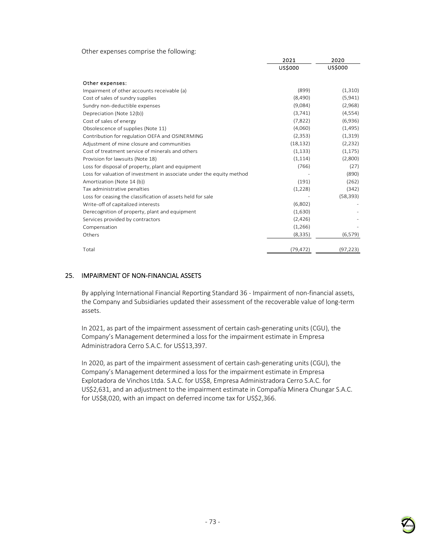Other expenses comprise the following:

|                                                                       | 2021      | 2020      |
|-----------------------------------------------------------------------|-----------|-----------|
|                                                                       | US\$000   | US\$000   |
| Other expenses:                                                       |           |           |
| Impairment of other accounts receivable (a)                           | (899)     | (1,310)   |
| Cost of sales of sundry supplies                                      | (8,490)   | (5,941)   |
| Sundry non-deductible expenses                                        | (9,084)   | (2,968)   |
| Depreciation (Note 12(b))                                             | (3,741)   | (4, 554)  |
| Cost of sales of energy                                               | (7,822)   | (6,936)   |
| Obsolescence of supplies (Note 11)                                    | (4,060)   | (1,495)   |
| Contribution for regulation OEFA and OSINERMING                       | (2, 353)  | (1,319)   |
| Adjustment of mine closure and communities                            | (18, 132) | (2, 232)  |
| Cost of treatment service of minerals and others                      | (1, 133)  | (1, 175)  |
| Provision for lawsuits (Note 18)                                      | (1, 114)  | (2,800)   |
| Loss for disposal of property, plant and equipment                    | (766)     | (27)      |
| Loss for valuation of investment in associate under the equity method |           | (890)     |
| Amortization (Note 14 (b))                                            | (191)     | (262)     |
| Tax administrative penalties                                          | (1,228)   | (342)     |
| Loss for ceasing the classification of assets held for sale           |           | (58, 393) |
| Write-off of capitalized interests                                    | (6,802)   |           |
| Derecognition of property, plant and equipment                        | (1,630)   |           |
| Services provided by contractors                                      | (2, 426)  |           |
| Compensation                                                          | (1,266)   |           |
| Others                                                                | (8, 335)  | (6, 579)  |
|                                                                       |           |           |
| Total                                                                 | (79, 472) | (97, 223) |

### 25. IMPAIRMENT OF NON-FINANCIAL ASSETS

By applying International Financial Reporting Standard 36 - Impairment of non-financial assets, the Company and Subsidiaries updated their assessment of the recoverable value of long-term assets.

In 2021, as part of the impairment assessment of certain cash-generating units (CGU), the Company's Management determined a loss for the impairment estimate in Empresa Administradora Cerro S.A.C. for US\$13,397.

In 2020, as part of the impairment assessment of certain cash-generating units (CGU), the Company's Management determined a loss for the impairment estimate in Empresa Explotadora de Vinchos Ltda. S.A.C. for US\$8, Empresa Administradora Cerro S.A.C. for US\$2,631, and an adjustment to the impairment estimate in Compañía Minera Chungar S.A.C. for US\$8,020, with an impact on deferred income tax for US\$2,366.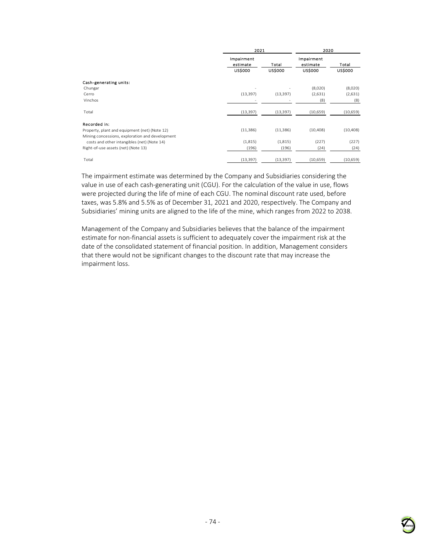|                                                 | 2021                   |                | 2020                   |                |
|-------------------------------------------------|------------------------|----------------|------------------------|----------------|
|                                                 | Impairment<br>estimate | Total          | Impairment<br>estimate | Total          |
|                                                 | <b>US\$000</b>         | <b>US\$000</b> | <b>US\$000</b>         | <b>US\$000</b> |
| Cash-generating units:                          |                        |                |                        |                |
| Chungar                                         |                        |                | (8,020)                | (8,020)        |
| Cerro                                           | (13, 397)              | (13, 397)      | (2,631)                | (2,631)        |
| Vinchos                                         |                        |                | (8)                    | (8)            |
| Total                                           | (13, 397)              | (13, 397)      | (10, 659)              | (10,659)       |
| Recorded in:                                    |                        |                |                        |                |
| Property, plant and equipment (net) (Note 12)   | (11, 386)              | (11, 386)      | (10, 408)              | (10, 408)      |
| Mining concessions, exploration and development |                        |                |                        |                |
| costs and other intangibles (net) (Note 14)     | (1,815)                | (1,815)        | (227)                  | (227)          |
| Right-of-use assets (net) (Note 13)             | (196)                  | (196)          | (24)                   | (24)           |
| Total                                           | (13, 397)              | (13, 397)      | (10, 659)              | (10, 659)      |

The impairment estimate was determined by the Company and Subsidiaries considering the value in use of each cash-generating unit (CGU). For the calculation of the value in use, flows were projected during the life of mine of each CGU. The nominal discount rate used, before taxes, was 5.8% and 5.5% as of December 31, 2021 and 2020, respectively. The Company and Subsidiaries' mining units are aligned to the life of the mine, which ranges from 2022 to 2038.

Management of the Company and Subsidiaries believes that the balance of the impairment estimate for non-financial assets is sufficient to adequately cover the impairment risk at the date of the consolidated statement of financial position. In addition, Management considers that there would not be significant changes to the discount rate that may increase the impairment loss.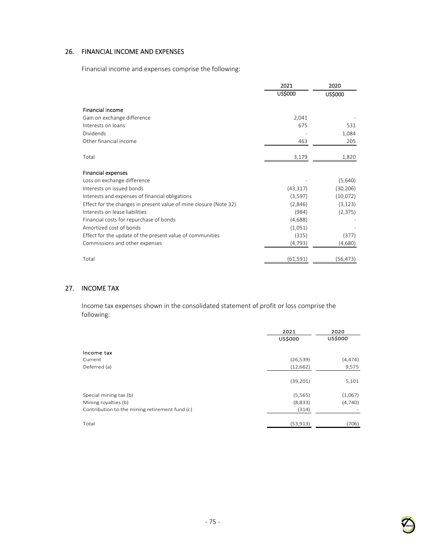# 26. FINANCIAL INCOME AND EXPENSES

Financial income and expenses comprise the following:

|                                                                   | 2021      | 2020      |
|-------------------------------------------------------------------|-----------|-----------|
|                                                                   | US\$000   | US\$000   |
| <b>Financial income</b>                                           |           |           |
| Gain on exchange difference                                       | 2,041     |           |
| Interests on loans                                                | 675       | 531       |
| Dividends                                                         |           | 1,084     |
| Other financial income                                            | 463       | 205       |
| Total                                                             | 3,179     | 1,820     |
| <b>Financial expenses</b>                                         |           |           |
| Loss on exchange difference                                       |           | (5,640)   |
| Interests on issued bonds                                         | (43, 317) | (30, 206) |
| Interests and expenses of financial obligations                   | (3,597)   | (10,072)  |
| Effect for the changes in present value of mine closure (Note 32) | (2,846)   | (3, 123)  |
| Interests on lease liabilities                                    | (984)     | (2, 375)  |
| Financial costs for repurchase of bonds                           | (4,688)   |           |
| Amortized cost of bonds                                           | (1,051)   |           |
| Effect for the update of the present value of communities         | (315)     | (377)     |
| Commissions and other expenses                                    | (4, 793)  | (4,680)   |
| Total                                                             | (61,591)  | (56,473)  |

# 27. INCOME TAX

Income tax expenses shown in the consolidated statement of profit or loss comprise the following:

|                                                | 2021      | 2020     |  |
|------------------------------------------------|-----------|----------|--|
|                                                | US\$000   | US\$000  |  |
| Income tax                                     |           |          |  |
| Current                                        | (26, 539) | (4, 474) |  |
| Deferred (a)                                   | (12, 662) | 9,575    |  |
|                                                | (39, 201) | 5,101    |  |
| Special mining tax (b)                         | (5, 565)  | (1,067)  |  |
| Mining royalties (b)                           | (8,833)   | (4,740)  |  |
| Contribution to the mining retirement fund (c) | (314)     |          |  |
| Total                                          | (53, 913) | (706)    |  |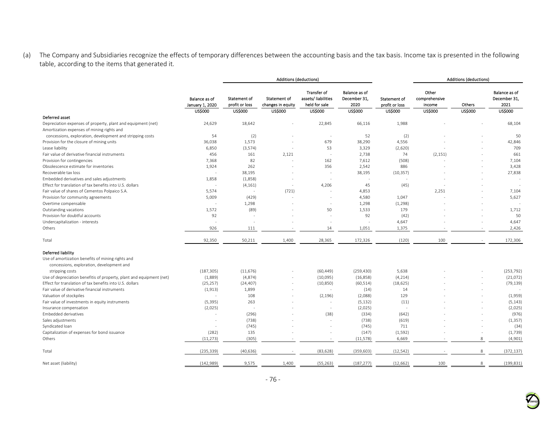(a) The Company and Subsidiaries recognize the effects of temporary differences between the accounting basis and the tax basis. Income tax is presented in the following table, according to the items that generated it.

|                                                                                                            |                                                           |                                                  | <b>Additions (deductions)</b>                              |                                                                             |                                                         |                                                  |                                                    | Additions (deductions)   |                                                         |
|------------------------------------------------------------------------------------------------------------|-----------------------------------------------------------|--------------------------------------------------|------------------------------------------------------------|-----------------------------------------------------------------------------|---------------------------------------------------------|--------------------------------------------------|----------------------------------------------------|--------------------------|---------------------------------------------------------|
|                                                                                                            | <b>Balance as of</b><br>January 1, 2020<br><b>US\$000</b> | Statement of<br>profit or loss<br><b>US\$000</b> | <b>Statement of</b><br>changes in equity<br><b>US\$000</b> | <b>Transfer of</b><br>assets/liabilities<br>held for sale<br><b>US\$000</b> | Balance as of<br>December 31,<br>2020<br><b>US\$000</b> | Statement of<br>profit or loss<br><b>US\$000</b> | Other<br>comprehensive<br>income<br><b>US\$000</b> | Others<br><b>US\$000</b> | Balance as of<br>December 31,<br>2021<br><b>US\$000</b> |
| Deferred asset                                                                                             |                                                           |                                                  |                                                            |                                                                             |                                                         |                                                  |                                                    |                          |                                                         |
| Depreciation expenses of property, plant and equipment (net)<br>Amortization expenses of mining rights and | 24,629                                                    | 18,642                                           |                                                            | 22,845                                                                      | 66,116                                                  | 1,988                                            |                                                    |                          | 68,104                                                  |
| concessions, exploration, development and stripping costs                                                  | 54                                                        | (2)                                              |                                                            | ۰.                                                                          | 52                                                      | (2)                                              |                                                    |                          | 50                                                      |
| Provision for the closure of mining units                                                                  | 36,038                                                    | 1,573                                            |                                                            | 679                                                                         | 38,290                                                  | 4,556                                            |                                                    |                          | 42,846                                                  |
| Lease liability                                                                                            | 6,850                                                     | (3, 574)                                         |                                                            | 53                                                                          | 3,329                                                   | (2,620)                                          |                                                    |                          | 709                                                     |
| Fair value of derivative financial instruments                                                             | 456                                                       | 161                                              | 2,121                                                      | ۰.                                                                          | 2,738                                                   | 74                                               | (2, 151)                                           |                          | 661                                                     |
| Provision for contingencies                                                                                | 7,368                                                     | 82                                               |                                                            | 162                                                                         | 7,612                                                   | (508)                                            |                                                    |                          | 7,104                                                   |
| Obsolescence estimate for inventories                                                                      | 1,924                                                     | 262                                              |                                                            | 356                                                                         | 2,542                                                   | 886                                              |                                                    |                          | 3,428                                                   |
| Recoverable tax loss                                                                                       | $\sim$                                                    | 38,195                                           |                                                            |                                                                             | 38,195                                                  | (10, 357)                                        |                                                    |                          | 27,838                                                  |
| Embedded derivatives and sales adjustments                                                                 | 1,858                                                     | (1,858)                                          |                                                            |                                                                             | ÷,                                                      | $\sim$                                           |                                                    |                          | ÷,                                                      |
| Effect for translation of tax benefits into U.S. dollars                                                   |                                                           | (4, 161)                                         |                                                            | 4,206                                                                       | 45                                                      | (45)                                             |                                                    |                          |                                                         |
| Fair value of shares of Cementos Polpaico S.A.                                                             | 5,574                                                     | $\overline{\phantom{a}}$                         | (721)                                                      | $\overline{\phantom{a}}$                                                    | 4,853                                                   |                                                  | 2,251                                              |                          | 7,104                                                   |
| Provision for community agreements                                                                         | 5,009                                                     | (429)                                            |                                                            |                                                                             | 4,580                                                   | 1,047                                            |                                                    |                          | 5,627                                                   |
| Overtime compensable                                                                                       |                                                           | 1,298                                            |                                                            |                                                                             | 1,298                                                   | (1, 298)                                         |                                                    |                          |                                                         |
| Outstanding vacations                                                                                      | 1,572                                                     | (89)                                             |                                                            | 50                                                                          | 1,533                                                   | 179                                              |                                                    |                          | 1,712                                                   |
| Provision for doubtful accounts                                                                            | 92                                                        | ÷,                                               |                                                            |                                                                             | 92                                                      | (42)                                             |                                                    |                          | 50                                                      |
| Undercapitalization - interests                                                                            | ÷,                                                        | ä,                                               |                                                            |                                                                             |                                                         | 4,647                                            |                                                    |                          | 4,647                                                   |
| Others                                                                                                     | 926                                                       | 111                                              |                                                            | 14                                                                          | 1,051                                                   | 1,375                                            |                                                    |                          | 2,426                                                   |
|                                                                                                            |                                                           |                                                  |                                                            |                                                                             |                                                         |                                                  |                                                    |                          |                                                         |
| Total                                                                                                      | 92,350                                                    | 50,211                                           | 1,400                                                      | 28,365                                                                      | 172,326                                                 | (120)                                            | 100                                                |                          | 172,306                                                 |
| Deferred liability                                                                                         |                                                           |                                                  |                                                            |                                                                             |                                                         |                                                  |                                                    |                          |                                                         |
| Use of amortization benefits of mining rights and<br>concessions, exploration, development and             |                                                           |                                                  |                                                            |                                                                             |                                                         |                                                  |                                                    |                          |                                                         |
| stripping costs                                                                                            | (187, 305)                                                | (11, 676)                                        |                                                            | (60, 449)                                                                   | (259, 430)                                              | 5,638                                            |                                                    |                          | (253, 792)                                              |
| Use of depreciation benefitis of property, plant and equipment (net)                                       | (1,889)                                                   | (4,874)                                          |                                                            | (10,095)                                                                    | (16, 858)                                               | (4, 214)                                         |                                                    |                          | (21,072)                                                |
| Effect for translation of tax benefits into U.S. dollars                                                   | (25, 257)                                                 | (24, 407)                                        |                                                            | (10, 850)                                                                   | (60, 514)                                               | (18, 625)                                        |                                                    |                          | (79, 139)                                               |
| Fair value of derivative financial instruments                                                             | (1, 913)                                                  | 1,899                                            |                                                            |                                                                             | (14)                                                    | 14                                               |                                                    |                          |                                                         |
| Valuation of stockpiles                                                                                    | $\sim$                                                    | 108                                              |                                                            | (2, 196)                                                                    | (2,088)                                                 | 129                                              |                                                    |                          | (1,959)                                                 |
| Fair value of investments in equity instruments                                                            | (5, 395)                                                  | 263                                              |                                                            |                                                                             | (5, 132)                                                | (11)                                             |                                                    |                          | (5, 143)                                                |
| Insurance compensation                                                                                     | (2,025)                                                   | $\sim$                                           |                                                            |                                                                             | (2,025)                                                 | $\sim$                                           |                                                    |                          | (2,025)                                                 |
| <b>Embedded derivatives</b>                                                                                |                                                           | (296)                                            |                                                            | (38)                                                                        | (334)                                                   | (642)                                            |                                                    |                          | (976)                                                   |
| Sales adjustments                                                                                          | $\sim$                                                    | (738)                                            |                                                            |                                                                             | (738)                                                   | (619)                                            |                                                    |                          | (1, 357)                                                |
| Syndicated loan                                                                                            | $\overline{\phantom{a}}$                                  | (745)                                            |                                                            |                                                                             | (745)                                                   | 711                                              |                                                    |                          | (34)                                                    |
| Capitalization of expenses for bond issuance                                                               | (282)                                                     | 135                                              |                                                            |                                                                             | (147)                                                   | (1, 592)                                         |                                                    | $\sim$                   | (1,739)                                                 |
| Others                                                                                                     | (11, 273)                                                 | (305)                                            |                                                            |                                                                             | (11, 578)                                               | 6,669                                            |                                                    | 8                        | (4,901)                                                 |
| Total                                                                                                      | (235, 339)                                                | (40, 636)                                        |                                                            | (83, 628)                                                                   | (359, 603)                                              | (12, 542)                                        |                                                    | 8                        | (372, 137)                                              |
| Net asset (liability)                                                                                      | (142, 989)                                                | 9,575                                            | 1,400                                                      | (55, 263)                                                                   | (187, 277)                                              | (12, 662)                                        | 100                                                | 8                        | (199, 831)                                              |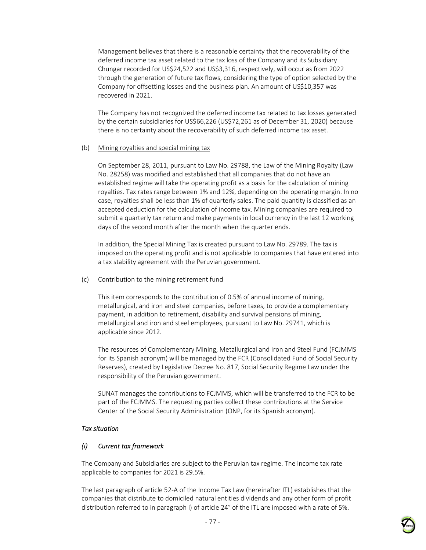Management believes that there is a reasonable certainty that the recoverability of the deferred income tax asset related to the tax loss of the Company and its Subsidiary Chungar recorded for US\$24,522 and US\$3,316, respectively, will occur as from 2022 through the generation of future tax flows, considering the type of option selected by the Company for offsetting losses and the business plan. An amount of US\$10,357 was recovered in 2021.

The Company has not recognized the deferred income tax related to tax losses generated by the certain subsidiaries for US\$66,226 (US\$72,261 as of December 31, 2020) because there is no certainty about the recoverability of such deferred income tax asset.

#### (b) Mining royalties and special mining tax

On September 28, 2011, pursuant to Law No. 29788, the Law of the Mining Royalty (Law No. 28258) was modified and established that all companies that do not have an established regime will take the operating profit as a basis for the calculation of mining royalties. Tax rates range between 1% and 12%, depending on the operating margin. In no case, royalties shall be less than 1% of quarterly sales. The paid quantity is classified as an accepted deduction for the calculation of income tax. Mining companies are required to submit a quarterly tax return and make payments in local currency in the last 12 working days of the second month after the month when the quarter ends.

In addition, the Special Mining Tax is created pursuant to Law No. 29789. The tax is imposed on the operating profit and is not applicable to companies that have entered into a tax stability agreement with the Peruvian government.

### (c) Contribution to the mining retirement fund

This item corresponds to the contribution of 0.5% of annual income of mining, metallurgical, and iron and steel companies, before taxes, to provide a complementary payment, in addition to retirement, disability and survival pensions of mining, metallurgical and iron and steel employees, pursuant to Law No. 29741, which is applicable since 2012.

The resources of Complementary Mining, Metallurgical and Iron and Steel Fund (FCJMMS for its Spanish acronym) will be managed by the FCR (Consolidated Fund of Social Security Reserves), created by Legislative Decree No. 817, Social Security Regime Law under the responsibility of the Peruvian government.

SUNAT manages the contributions to FCJMMS, which will be transferred to the FCR to be part of the FCJMMS. The requesting parties collect these contributions at the Service Center of the Social Security Administration (ONP, for its Spanish acronym).

### *Tax situation*

# *(i) Current tax framework*

The Company and Subsidiaries are subject to the Peruvian tax regime. The income tax rate applicable to companies for 2021 is 29.5%.

The last paragraph of article 52-A of the Income Tax Law (hereinafter ITL) establishes that the companies that distribute to domiciled natural entities dividends and any other form of profit distribution referred to in paragraph i) of article 24° of the ITL are imposed with a rate of 5%.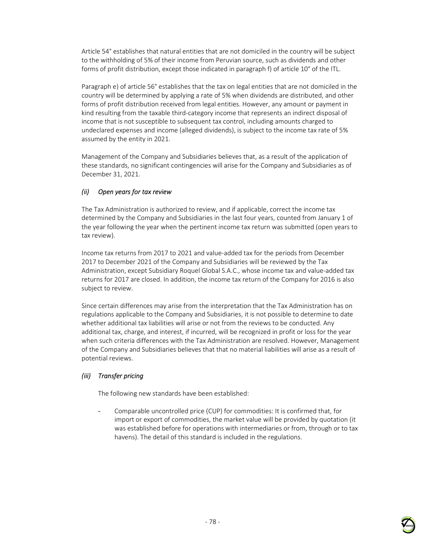Article 54° establishes that natural entities that are not domiciled in the country will be subject to the withholding of 5% of their income from Peruvian source, such as dividends and other forms of profit distribution, except those indicated in paragraph f) of article 10° of the ITL.

Paragraph e) of article 56° establishes that the tax on legal entities that are not domiciled in the country will be determined by applying a rate of 5% when dividends are distributed, and other forms of profit distribution received from legal entities. However, any amount or payment in kind resulting from the taxable third-category income that represents an indirect disposal of income that is not susceptible to subsequent tax control, including amounts charged to undeclared expenses and income (alleged dividends), is subject to the income tax rate of 5% assumed by the entity in 2021.

Management of the Company and Subsidiaries believes that, as a result of the application of these standards, no significant contingencies will arise for the Company and Subsidiaries as of December 31, 2021.

# *(ii) Open years for tax review*

The Tax Administration is authorized to review, and if applicable, correct the income tax determined by the Company and Subsidiaries in the last four years, counted from January 1 of the year following the year when the pertinent income tax return was submitted (open years to tax review).

Income tax returns from 2017 to 2021 and value-added tax for the periods from December 2017 to December 2021 of the Company and Subsidiaries will be reviewed by the Tax Administration, except Subsidiary Roquel Global S.A.C., whose income tax and value-added tax returns for 2017 are closed. In addition, the income tax return of the Company for 2016 is also subject to review.

Since certain differences may arise from the interpretation that the Tax Administration has on regulations applicable to the Company and Subsidiaries, it is not possible to determine to date whether additional tax liabilities will arise or not from the reviews to be conducted. Any additional tax, charge, and interest, if incurred, will be recognized in profit or loss for the year when such criteria differences with the Tax Administration are resolved. However, Management of the Company and Subsidiaries believes that that no material liabilities will arise as a result of potential reviews.

# *(iii) Transfer pricing*

The following new standards have been established:

- Comparable uncontrolled price (CUP) for commodities: It is confirmed that, for import or export of commodities, the market value will be provided by quotation (it was established before for operations with intermediaries or from, through or to tax havens). The detail of this standard is included in the regulations.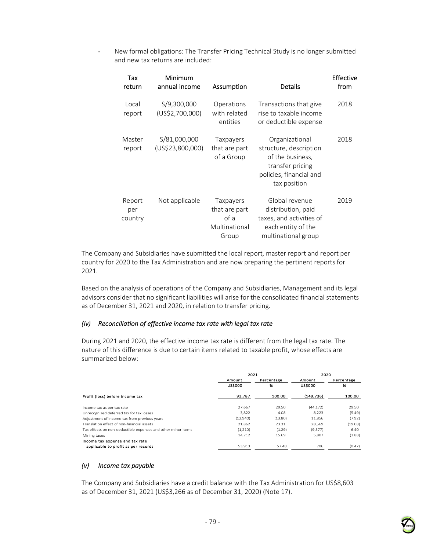- New formal obligations: The Transfer Pricing Technical Study is no longer submitted and new tax returns are included:

| Tax<br>return            | Minimum<br>annual income         | Assumption                                                   | <b>Details</b>                                                                                                              | <b>Effective</b><br>from |
|--------------------------|----------------------------------|--------------------------------------------------------------|-----------------------------------------------------------------------------------------------------------------------------|--------------------------|
| Local<br>report          | S/9,300,000<br>(US\$2,700,000)   | Operations<br>with related<br>entities                       | Transactions that give<br>rise to taxable income<br>or deductible expense                                                   | 2018                     |
| Master<br>report         | S/81,000,000<br>(US\$23,800,000) | Taxpayers<br>that are part<br>of a Group                     | Organizational<br>structure, description<br>of the business,<br>transfer pricing<br>policies, financial and<br>tax position | 2018                     |
| Report<br>per<br>country | Not applicable                   | Taxpayers<br>that are part<br>of a<br>Multinational<br>Group | Global revenue<br>distribution, paid<br>taxes, and activities of<br>each entity of the<br>multinational group               | 2019                     |

The Company and Subsidiaries have submitted the local report, master report and report per country for 2020 to the Tax Administration and are now preparing the pertinent reports for 2021.

Based on the analysis of operations of the Company and Subsidiaries, Management and its legal advisors consider that no significant liabilities will arise for the consolidated financial statements as of December 31, 2021 and 2020, in relation to transfer pricing.

### *(iv) Reconciliation of effective income tax rate with legal tax rate*

During 2021 and 2020, the effective income tax rate is different from the legal tax rate. The nature of this difference is due to certain items related to taxable profit, whose effects are summarized below:

|                                                              | 2021           |            | 2020           |            |  |
|--------------------------------------------------------------|----------------|------------|----------------|------------|--|
|                                                              | Amount         | Percentage | Amount         | Percentage |  |
|                                                              | <b>US\$000</b> | 96         | <b>US\$000</b> | %          |  |
| Profit (loss) before income tax                              | 93,787         | 100.00     | (149, 736)     | 100.00     |  |
| Income tax as per tax rate                                   | 27.667         | 29.50      | (44, 172)      | 29.50      |  |
| Unrecognized deferred tax for tax losses                     | 3.822          | 4.08       | 8.223          | (5.49)     |  |
| Adjustment of income tax from previous years                 | (12,940)       | (13.80)    | 11.856         | (7.92)     |  |
| Translation effect of non-financial assets                   | 21.862         | 23.31      | 28.569         | (19.08)    |  |
| Tax effects on non-deductible expenses and other minor items | (1,210)        | (1.29)     | (9,577)        | 6.40       |  |
| Mining taxes                                                 | 14,712         | 15.69      | 5,807          | (3.88)     |  |
| Income tax expense and tax rate                              |                |            |                |            |  |
| applicable to profit as per records                          | 53.913         | 57.48      | 706            | (0.47)     |  |

### *(v) Income tax payable*

The Company and Subsidiaries have a credit balance with the Tax Administration for US\$8,603 as of December 31, 2021 (US\$3,266 as of December 31, 2020) (Note 17).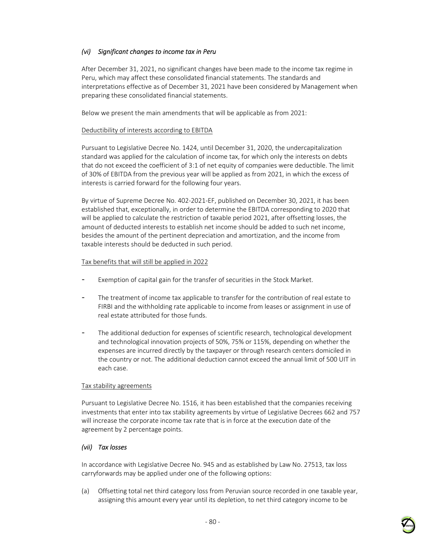# *(vi) Significant changes to income tax in Peru*

After December 31, 2021, no significant changes have been made to the income tax regime in Peru, which may affect these consolidated financial statements. The standards and interpretations effective as of December 31, 2021 have been considered by Management when preparing these consolidated financial statements.

Below we present the main amendments that will be applicable as from 2021:

#### Deductibility of interests according to EBITDA

Pursuant to Legislative Decree No. 1424, until December 31, 2020, the undercapitalization standard was applied for the calculation of income tax, for which only the interests on debts that do not exceed the coefficient of 3:1 of net equity of companies were deductible. The limit of 30% of EBITDA from the previous year will be applied as from 2021, in which the excess of interests is carried forward for the following four years.

By virtue of Supreme Decree No. 402-2021-EF, published on December 30, 2021, it has been established that, exceptionally, in order to determine the EBITDA corresponding to 2020 that will be applied to calculate the restriction of taxable period 2021, after offsetting losses, the amount of deducted interests to establish net income should be added to such net income, besides the amount of the pertinent depreciation and amortization, and the income from taxable interests should be deducted in such period.

### Tax benefits that will still be applied in 2022

- Exemption of capital gain for the transfer of securities in the Stock Market.
- The treatment of income tax applicable to transfer for the contribution of real estate to FIRBI and the withholding rate applicable to income from leases or assignment in use of real estate attributed for those funds.
- The additional deduction for expenses of scientific research, technological development and technological innovation projects of 50%, 75% or 115%, depending on whether the expenses are incurred directly by the taxpayer or through research centers domiciled in the country or not. The additional deduction cannot exceed the annual limit of 500 UIT in each case.

### Tax stability agreements

Pursuant to Legislative Decree No. 1516, it has been established that the companies receiving investments that enter into tax stability agreements by virtue of Legislative Decrees 662 and 757 will increase the corporate income tax rate that is in force at the execution date of the agreement by 2 percentage points.

### *(vii) Tax losses*

In accordance with Legislative Decree No. 945 and as established by Law No. 27513, tax loss carryforwards may be applied under one of the following options:

(a) Offsetting total net third category loss from Peruvian source recorded in one taxable year, assigning this amount every year until its depletion, to net third category income to be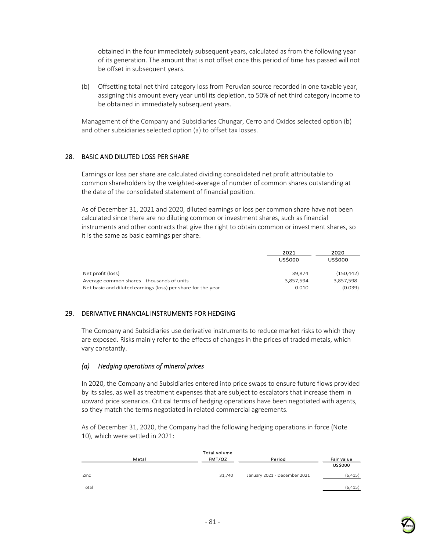obtained in the four immediately subsequent years, calculated as from the following year of its generation. The amount that is not offset once this period of time has passed will not be offset in subsequent years.

(b) Offsetting total net third category loss from Peruvian source recorded in one taxable year, assigning this amount every year until its depletion, to 50% of net third category income to be obtained in immediately subsequent years.

Management of the Company and Subsidiaries Chungar, Cerro and Oxidos selected option (b) and other subsidiaries selected option (a) to offset tax losses.

## 28. BASIC AND DILUTED LOSS PER SHARE

Earnings or loss per share are calculated dividing consolidated net profit attributable to common shareholders by the weighted-average of number of common shares outstanding at the date of the consolidated statement of financial position.

As of December 31, 2021 and 2020, diluted earnings or loss per common share have not been calculated since there are no diluting common or investment shares, such as financial instruments and other contracts that give the right to obtain common or investment shares, so it is the same as basic earnings per share.

|                                                              | 2021           | 2020           |
|--------------------------------------------------------------|----------------|----------------|
|                                                              | <b>US\$000</b> | <b>US\$000</b> |
| Net profit (loss)                                            | 39.874         | (150, 442)     |
| Average common shares - thousands of units                   | 3,857,594      | 3,857,598      |
| Net basic and diluted earnings (loss) per share for the year | 0.010          | (0.039)        |

# 29. DERIVATIVE FINANCIAL INSTRUMENTS FOR HEDGING

The Company and Subsidiaries use derivative instruments to reduce market risks to which they are exposed. Risks mainly refer to the effects of changes in the prices of traded metals, which vary constantly.

### *(a) Hedging operations of mineral prices*

In 2020, the Company and Subsidiaries entered into price swaps to ensure future flows provided by its sales, as well as treatment expenses that are subject to escalators that increase them in upward price scenarios. Critical terms of hedging operations have been negotiated with agents, so they match the terms negotiated in related commercial agreements.

As of December 31, 2020, the Company had the following hedging operations in force (Note 10), which were settled in 2021:

|       |       | Total volume |                              |                |
|-------|-------|--------------|------------------------------|----------------|
|       | Metal | FMT/OZ       | Period                       | Fair value     |
|       |       |              |                              | <b>US\$000</b> |
| Zinc  |       | 31,740       | January 2021 - December 2021 | (6, 415)       |
| Total |       |              |                              | (6, 415)       |

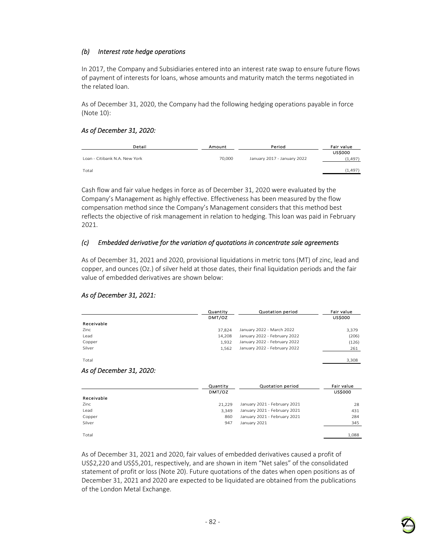## *(b) Interest rate hedge operations*

In 2017, the Company and Subsidiaries entered into an interest rate swap to ensure future flows of payment of interests for loans, whose amounts and maturity match the terms negotiated in the related loan.

As of December 31, 2020, the Company had the following hedging operations payable in force (Note 10):

### *As of December 31, 2020:*

| Detail                        | Amount | Period                      | Fair value                 |
|-------------------------------|--------|-----------------------------|----------------------------|
| Loan - Citibank N.A. New York | 70,000 | January 2017 - January 2022 | <b>US\$000</b><br>(1, 497) |
| Total                         |        |                             | (1, 497)                   |

Cash flow and fair value hedges in force as of December 31, 2020 were evaluated by the Company's Management as highly effective. Effectiveness has been measured by the flow compensation method since the Company's Management considers that this method best reflects the objective of risk management in relation to hedging. This loan was paid in February 2021.

### *(c) Embedded derivative for the variation of quotations in concentrate sale agreements*

As of December 31, 2021 and 2020, provisional liquidations in metric tons (MT) of zinc, lead and copper, and ounces (Oz.) of silver held at those dates, their final liquidation periods and the fair value of embedded derivatives are shown below:

|                          | Quantity | Quotation period             | Fair value     |
|--------------------------|----------|------------------------------|----------------|
|                          | DMT/OZ   |                              | <b>US\$000</b> |
| Receivable               |          |                              |                |
| Zinc                     | 37,824   | January 2022 - March 2022    | 3,379          |
| Lead                     | 14,208   | January 2022 - February 2022 | (206)          |
| Copper                   | 1,932    | January 2022 - February 2022 | (126)          |
| Silver                   | 1,562    | January 2022 - February 2022 | 261            |
| Total                    |          |                              | 3,308          |
| As of December 31, 2020: |          |                              |                |
|                          | Quantity | <b>Quotation period</b>      | Fair value     |
|                          | DMT/OZ   |                              | <b>US\$000</b> |
| Receivable               |          |                              |                |
| Zinc                     | 21,229   | January 2021 - February 2021 |                |
| Lead                     |          |                              | 28             |
|                          | 3,349    | January 2021 - February 2021 | 431            |
| Copper                   | 860      | January 2021 - February 2021 | 284            |
| Silver                   | 947      | January 2021                 | 345            |

*As of December 31, 2021:* 

As of December 31, 2021 and 2020, fair values of embedded derivatives caused a profit of US\$2,220 and US\$5,201, respectively, and are shown in item "Net sales" of the consolidated statement of profit or loss (Note 20). Future quotations of the dates when open positions as of December 31, 2021 and 2020 are expected to be liquidated are obtained from the publications of the London Metal Exchange.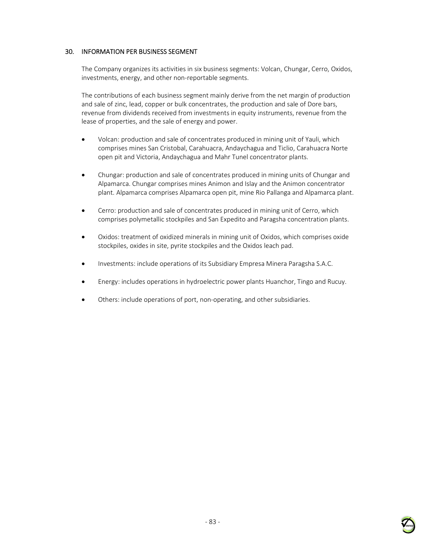## 30. INFORMATION PER BUSINESS SEGMENT

The Company organizes its activities in six business segments: Volcan, Chungar, Cerro, Oxidos, investments, energy, and other non-reportable segments.

The contributions of each business segment mainly derive from the net margin of production and sale of zinc, lead, copper or bulk concentrates, the production and sale of Dore bars, revenue from dividends received from investments in equity instruments, revenue from the lease of properties, and the sale of energy and power.

- Volcan: production and sale of concentrates produced in mining unit of Yauli, which comprises mines San Cristobal, Carahuacra, Andaychagua and Ticlio, Carahuacra Norte open pit and Victoria, Andaychagua and Mahr Tunel concentrator plants.
- Chungar: production and sale of concentrates produced in mining units of Chungar and Alpamarca. Chungar comprises mines Animon and Islay and the Animon concentrator plant. Alpamarca comprises Alpamarca open pit, mine Rio Pallanga and Alpamarca plant.
- Cerro: production and sale of concentrates produced in mining unit of Cerro, which comprises polymetallic stockpiles and San Expedito and Paragsha concentration plants.
- Oxidos: treatment of oxidized minerals in mining unit of Oxidos, which comprises oxide stockpiles, oxides in site, pyrite stockpiles and the Oxidos leach pad.
- Investments: include operations of its Subsidiary Empresa Minera Paragsha S.A.C.
- Energy: includes operations in hydroelectric power plants Huanchor, Tingo and Rucuy.
- Others: include operations of port, non-operating, and other subsidiaries.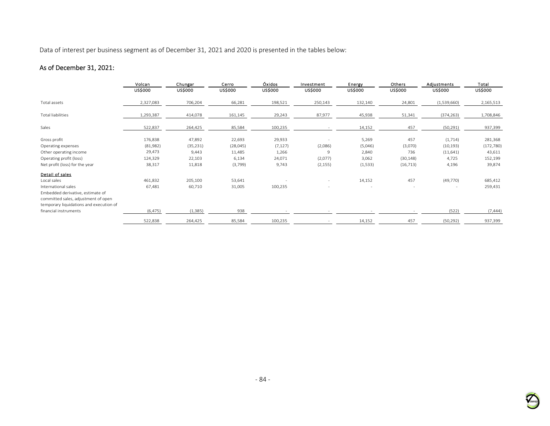Data of interest per business segment as of December 31, 2021 and 2020 is presented in the tables below:

# As of December 31, 2021:

|                                         | Volcan         | Chungar        | Cerro          | Óxidos         | Investment     | Energy         | Others         | Adjustments    | Total      |
|-----------------------------------------|----------------|----------------|----------------|----------------|----------------|----------------|----------------|----------------|------------|
|                                         | <b>US\$000</b> | <b>US\$000</b> | <b>US\$000</b> | <b>US\$000</b> | <b>US\$000</b> | <b>US\$000</b> | <b>US\$000</b> | <b>US\$000</b> | US\$000    |
| Total assets                            | 2,327,083      | 706,204        | 66,281         | 198,521        | 250,143        | 132,140        | 24,801         | (1,539,660)    | 2,165,513  |
| Total liabilities                       | 1,293,387      | 414,078        | 161,145        | 29,243         | 87,977         | 45,938         | 51,341         | (374, 263)     | 1,708,846  |
| Sales                                   | 522,837        | 264,425        | 85,584         | 100,235        |                | 14,152         | 457            | (50, 291)      | 937,399    |
| Gross profit                            | 176,838        | 47,892         | 22,693         | 29,933         |                | 5,269          | 457            | (1,714)        | 281,368    |
| Operating expenses                      | (81,982)       | (35, 231)      | (28, 045)      | (7, 127)       | (2,086)        | (5,046)        | (3,070)        | (10, 193)      | (172, 780) |
| Other operating income                  | 29,473         | 9,443          | 11,485         | 1,266          | 9              | 2,840          | 736            | (11,641)       | 43,611     |
| Operating profit (loss)                 | 124,329        | 22,103         | 6,134          | 24,071         | (2,077)        | 3,062          | (30, 148)      | 4,725          | 152,199    |
| Net profit (loss) for the year          | 38,317         | 11,818         | (3,799)        | 9,743          | (2, 155)       | (1,533)        | (16, 713)      | 4,196          | 39,874     |
| Detail of sales                         |                |                |                |                |                |                |                |                |            |
| Local sales                             | 461,832        | 205,100        | 53,641         |                | $\sim$         | 14,152         | 457            | (49, 770)      | 685,412    |
| International sales                     | 67,481         | 60,710         | 31,005         | 100,235        |                |                |                |                | 259,431    |
| Embedded derivative, estimate of        |                |                |                |                |                |                |                |                |            |
| committed sales, adjustment of open     |                |                |                |                |                |                |                |                |            |
| temporary liquidations and execution of |                |                |                |                |                |                |                |                |            |
| financial instruments                   | (6, 475)       | (1, 385)       | 938            |                |                |                |                | (522)          | (7, 444)   |
|                                         | 522,838        | 264,425        | 85,584         | 100,235        |                | 14,152         | 457            | (50, 292)      | 937,399    |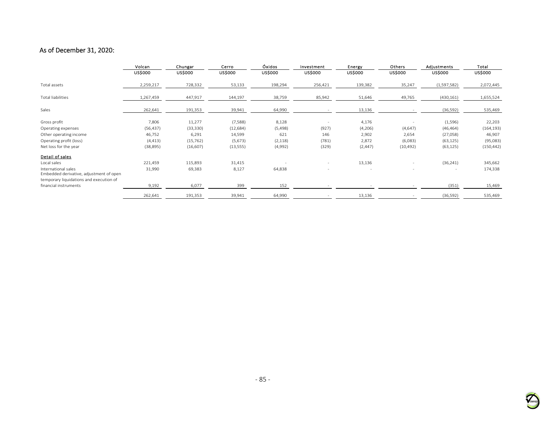# As of December 31, 2020:

|                                                                | Volcan<br><b>US\$000</b> | Chungar<br><b>US\$000</b> | Cerro<br><b>US\$000</b> | Óxidos<br><b>US\$000</b> | Investment<br><b>US\$000</b> | Energy<br><b>US\$000</b> | Others<br><b>US\$000</b> | Adjustments<br><b>US\$000</b> | Total<br><b>US\$000</b> |
|----------------------------------------------------------------|--------------------------|---------------------------|-------------------------|--------------------------|------------------------------|--------------------------|--------------------------|-------------------------------|-------------------------|
| Total assets                                                   | 2,259,217                | 728,332                   | 53,133                  | 198,294                  | 256,421                      | 139,382                  | 35,247                   | (1,597,582)                   | 2,072,445               |
| Total liabilities                                              | 1,267,459                | 447,917                   | 144,197                 | 38,759                   | 85,942                       | 51,646                   | 49,765                   | (430, 161)                    | 1,655,524               |
| Sales                                                          | 262,641                  | 191,353                   | 39,941                  | 64,990                   |                              | 13,136                   |                          | (36, 592)                     | 535,469                 |
| Gross profit                                                   | 7,806                    | 11,277                    | (7,588)                 | 8,128                    |                              | 4,176                    |                          | (1,596)                       | 22,203                  |
| Operating expenses                                             | (56, 437)                | (33, 330)                 | (12, 684)               | (5, 498)                 | (927)                        | (4,206)                  | (4,647)                  | (46, 464)                     | (164, 193)              |
| Other operating income                                         | 46,752                   | 6,291                     | 14,599                  | 621                      | 146                          | 2,902                    | 2,654                    | (27,058)                      | 46,907                  |
| Operating profit (loss)                                        | (4, 413)                 | (15, 762)                 | (5,673)                 | (2, 118)                 | (781)                        | 2,872                    | (6,083)                  | (63, 125)                     | (95,083)                |
| Net loss for the year                                          | (38, 895)                | (16,607)                  | (13, 555)               | (4,992)                  | (329)                        | (2, 447)                 | (10, 492)                | (63, 125)                     | (150, 442)              |
| Detail of sales                                                |                          |                           |                         |                          |                              |                          |                          |                               |                         |
| Local sales                                                    | 221,459                  | 115,893                   | 31,415                  |                          |                              | 13,136                   |                          | (36, 241)                     | 345,662                 |
| International sales<br>Embedded derivative, adjustment of open | 31,990                   | 69,383                    | 8,127                   | 64,838                   |                              |                          |                          |                               | 174,338                 |
| temporary liquidations and execution of                        |                          |                           |                         |                          |                              |                          |                          |                               |                         |
| financial instruments                                          | 9,192                    | 6,077                     | 399                     | 152                      |                              |                          |                          | (351)                         | 15,469                  |
|                                                                | 262,641                  | 191,353                   | 39,941                  | 64,990                   |                              | 13,136                   |                          | (36, 592)                     | 535,469                 |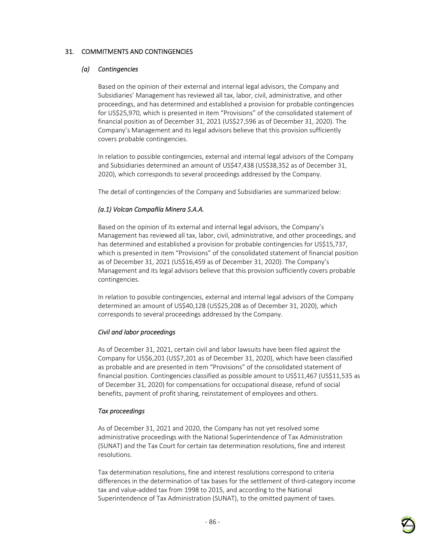# 31. COMMITMENTS AND CONTINGENCIES

### *(a) Contingencies*

Based on the opinion of their external and internal legal advisors, the Company and Subsidiaries' Management has reviewed all tax, labor, civil, administrative, and other proceedings, and has determined and established a provision for probable contingencies for US\$25,970, which is presented in item "Provisions" of the consolidated statement of financial position as of December 31, 2021 (US\$27,596 as of December 31, 2020). The Company's Management and its legal advisors believe that this provision sufficiently covers probable contingencies.

In relation to possible contingencies, external and internal legal advisors of the Company and Subsidiaries determined an amount of US\$47,438 (US\$38,352 as of December 31, 2020), which corresponds to several proceedings addressed by the Company.

The detail of contingencies of the Company and Subsidiaries are summarized below:

### *(a.1) Volcan Compañía Minera S.A.A.*

Based on the opinion of its external and internal legal advisors, the Company's Management has reviewed all tax, labor, civil, administrative, and other proceedings, and has determined and established a provision for probable contingencies for US\$15,737, which is presented in item "Provisions" of the consolidated statement of financial position as of December 31, 2021 (US\$16,459 as of December 31, 2020). The Company's Management and its legal advisors believe that this provision sufficiently covers probable contingencies.

In relation to possible contingencies, external and internal legal advisors of the Company determined an amount of US\$40,128 (US\$25,208 as of December 31, 2020), which corresponds to several proceedings addressed by the Company.

#### *Civil and labor proceedings*

As of December 31, 2021, certain civil and labor lawsuits have been filed against the Company for US\$6,201 (US\$7,201 as of December 31, 2020), which have been classified as probable and are presented in item "Provisions" of the consolidated statement of financial position. Contingencies classified as possible amount to US\$11,467 (US\$11,535 as of December 31, 2020) for compensations for occupational disease, refund of social benefits, payment of profit sharing, reinstatement of employees and others.

### *Tax proceedings*

As of December 31, 2021 and 2020, the Company has not yet resolved some administrative proceedings with the National Superintendence of Tax Administration (SUNAT) and the Tax Court for certain tax determination resolutions, fine and interest resolutions.

Tax determination resolutions, fine and interest resolutions correspond to criteria differences in the determination of tax bases for the settlement of third-category income tax and value-added tax from 1998 to 2015, and according to the National Superintendence of Tax Administration (SUNAT), to the omitted payment of taxes.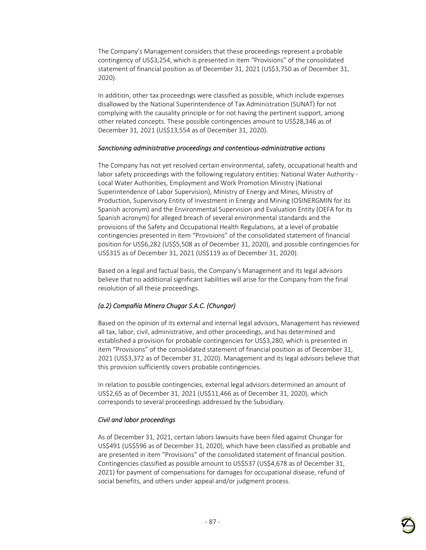The Company's Management considers that these proceedings represent a probable contingency of US\$3,254, which is presented in item "Provisions" of the consolidated statement of financial position as of December 31, 2021 (US\$3,750 as of December 31, 2020).

In addition, other tax proceedings were classified as possible, which include expenses disallowed by the National Superintendence of Tax Administration (SUNAT) for not complying with the causality principle or for not having the pertinent support, among other related concepts. These possible contingencies amount to US\$28,346 as of December 31, 2021 (US\$13,554 as of December 31, 2020).

#### *Sanctioning administrative proceedings and contentious-administrative actions*

The Company has not yet resolved certain environmental, safety, occupational health and labor safety proceedings with the following regulatory entities: National Water Authority - Local Water Authorities, Employment and Work Promotion Ministry (National Superintendence of Labor Supervision), Ministry of Energy and Mines, Ministry of Production, Supervisory Entity of Investment in Energy and Mining (OSINERGMIN for its Spanish acronym) and the Environmental Supervision and Evaluation Entity (OEFA for its Spanish acronym) for alleged breach of several environmental standards and the provisions of the Safety and Occupational Health Regulations, at a level of probable contingencies presented in item "Provisions" of the consolidated statement of financial position for US\$6,282 (US\$5,508 as of December 31, 2020), and possible contingencies for US\$315 as of December 31, 2021 (US\$119 as of December 31, 2020).

Based on a legal and factual basis, the Company's Management and its legal advisors believe that no additional significant liabilities will arise for the Company from the final resolution of all these proceedings.

# *(a.2) Compañía Minera Chugar S.A.C. (Chungar)*

Based on the opinion of its external and internal legal advisors, Management has reviewed all tax, labor, civil, administrative, and other proceedings, and has determined and established a provision for probable contingencies for US\$3,280, which is presented in item "Provisions" of the consolidated statement of financial position as of December 31, 2021 (US\$3,372 as of December 31, 2020). Management and its legal advisors believe that this provision sufficiently covers probable contingencies.

In relation to possible contingencies, external legal advisors determined an amount of US\$2,65 as of December 31, 2021 (US\$11,466 as of December 31, 2020), which corresponds to several proceedings addressed by the Subsidiary.

# *Civil and labor proceedings*

As of December 31, 2021, certain labors lawsuits have been filed against Chungar for US\$491 (US\$596 as of December 31, 2020), which have been classified as probable and are presented in item "Provisions" of the consolidated statement of financial position. Contingencies classified as possible amount to US\$537 (US\$4,678 as of December 31, 2021) for payment of compensations for damages for occupational disease, refund of social benefits, and others under appeal and/or judgment process.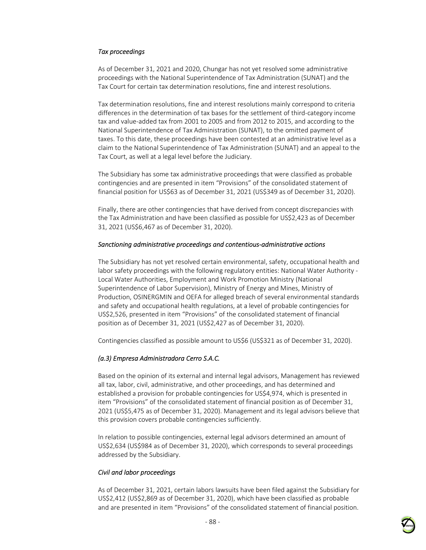### *Tax proceedings*

As of December 31, 2021 and 2020, Chungar has not yet resolved some administrative proceedings with the National Superintendence of Tax Administration (SUNAT) and the Tax Court for certain tax determination resolutions, fine and interest resolutions.

Tax determination resolutions, fine and interest resolutions mainly correspond to criteria differences in the determination of tax bases for the settlement of third-category income tax and value-added tax from 2001 to 2005 and from 2012 to 2015, and according to the National Superintendence of Tax Administration (SUNAT), to the omitted payment of taxes. To this date, these proceedings have been contested at an administrative level as a claim to the National Superintendence of Tax Administration (SUNAT) and an appeal to the Tax Court, as well at a legal level before the Judiciary.

The Subsidiary has some tax administrative proceedings that were classified as probable contingencies and are presented in item "Provisions" of the consolidated statement of financial position for US\$63 as of December 31, 2021 (US\$349 as of December 31, 2020).

Finally, there are other contingencies that have derived from concept discrepancies with the Tax Administration and have been classified as possible for US\$2,423 as of December 31, 2021 (US\$6,467 as of December 31, 2020).

#### *Sanctioning administrative proceedings and contentious-administrative actions*

The Subsidiary has not yet resolved certain environmental, safety, occupational health and labor safety proceedings with the following regulatory entities: National Water Authority - Local Water Authorities, Employment and Work Promotion Ministry (National Superintendence of Labor Supervision), Ministry of Energy and Mines, Ministry of Production, OSINERGMIN and OEFA for alleged breach of several environmental standards and safety and occupational health regulations, at a level of probable contingencies for US\$2,526, presented in item "Provisions" of the consolidated statement of financial position as of December 31, 2021 (US\$2,427 as of December 31, 2020).

Contingencies classified as possible amount to US\$6 (US\$321 as of December 31, 2020).

#### *(a.3) Empresa Administradora Cerro S.A.C.*

Based on the opinion of its external and internal legal advisors, Management has reviewed all tax, labor, civil, administrative, and other proceedings, and has determined and established a provision for probable contingencies for US\$4,974, which is presented in item "Provisions" of the consolidated statement of financial position as of December 31, 2021 (US\$5,475 as of December 31, 2020). Management and its legal advisors believe that this provision covers probable contingencies sufficiently.

In relation to possible contingencies, external legal advisors determined an amount of US\$2,634 (US\$984 as of December 31, 2020), which corresponds to several proceedings addressed by the Subsidiary.

#### *Civil and labor proceedings*

As of December 31, 2021, certain labors lawsuits have been filed against the Subsidiary for US\$2,412 (US\$2,869 as of December 31, 2020), which have been classified as probable and are presented in item "Provisions" of the consolidated statement of financial position.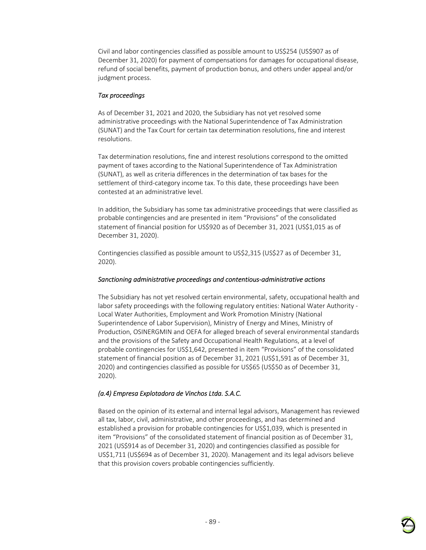Civil and labor contingencies classified as possible amount to US\$254 (US\$907 as of December 31, 2020) for payment of compensations for damages for occupational disease, refund of social benefits, payment of production bonus, and others under appeal and/or judgment process.

### *Tax proceedings*

As of December 31, 2021 and 2020, the Subsidiary has not yet resolved some administrative proceedings with the National Superintendence of Tax Administration (SUNAT) and the Tax Court for certain tax determination resolutions, fine and interest resolutions.

Tax determination resolutions, fine and interest resolutions correspond to the omitted payment of taxes according to the National Superintendence of Tax Administration (SUNAT), as well as criteria differences in the determination of tax bases for the settlement of third-category income tax. To this date, these proceedings have been contested at an administrative level.

In addition, the Subsidiary has some tax administrative proceedings that were classified as probable contingencies and are presented in item "Provisions" of the consolidated statement of financial position for US\$920 as of December 31, 2021 (US\$1,015 as of December 31, 2020).

Contingencies classified as possible amount to US\$2,315 (US\$27 as of December 31, 2020).

### *Sanctioning administrative proceedings and contentious-administrative actions*

The Subsidiary has not yet resolved certain environmental, safety, occupational health and labor safety proceedings with the following regulatory entities: National Water Authority - Local Water Authorities, Employment and Work Promotion Ministry (National Superintendence of Labor Supervision), Ministry of Energy and Mines, Ministry of Production, OSINERGMIN and OEFA for alleged breach of several environmental standards and the provisions of the Safety and Occupational Health Regulations, at a level of probable contingencies for US\$1,642, presented in item "Provisions" of the consolidated statement of financial position as of December 31, 2021 (US\$1,591 as of December 31, 2020) and contingencies classified as possible for US\$65 (US\$50 as of December 31, 2020).

# *(a.4) Empresa Explotadora de Vinchos Ltda. S.A.C.*

Based on the opinion of its external and internal legal advisors, Management has reviewed all tax, labor, civil, administrative, and other proceedings, and has determined and established a provision for probable contingencies for US\$1,039, which is presented in item "Provisions" of the consolidated statement of financial position as of December 31, 2021 (US\$914 as of December 31, 2020) and contingencies classified as possible for US\$1,711 (US\$694 as of December 31, 2020). Management and its legal advisors believe that this provision covers probable contingencies sufficiently.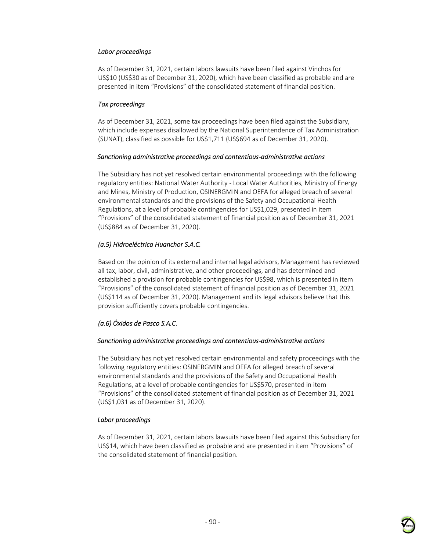## *Labor proceedings*

As of December 31, 2021, certain labors lawsuits have been filed against Vinchos for US\$10 (US\$30 as of December 31, 2020), which have been classified as probable and are presented in item "Provisions" of the consolidated statement of financial position.

### *Tax proceedings*

As of December 31, 2021, some tax proceedings have been filed against the Subsidiary, which include expenses disallowed by the National Superintendence of Tax Administration (SUNAT), classified as possible for US\$1,711 (US\$694 as of December 31, 2020).

### *Sanctioning administrative proceedings and contentious-administrative actions*

The Subsidiary has not yet resolved certain environmental proceedings with the following regulatory entities: National Water Authority - Local Water Authorities, Ministry of Energy and Mines, Ministry of Production, OSINERGMIN and OEFA for alleged breach of several environmental standards and the provisions of the Safety and Occupational Health Regulations, at a level of probable contingencies for US\$1,029, presented in item "Provisions" of the consolidated statement of financial position as of December 31, 2021 (US\$884 as of December 31, 2020).

# *(a.5) Hidroeléctrica Huanchor S.A.C.*

Based on the opinion of its external and internal legal advisors, Management has reviewed all tax, labor, civil, administrative, and other proceedings, and has determined and established a provision for probable contingencies for US\$98, which is presented in item "Provisions" of the consolidated statement of financial position as of December 31, 2021 (US\$114 as of December 31, 2020). Management and its legal advisors believe that this provision sufficiently covers probable contingencies.

# *(a.6) Óxidos de Pasco S.A.C.*

### *Sanctioning administrative proceedings and contentious-administrative actions*

The Subsidiary has not yet resolved certain environmental and safety proceedings with the following regulatory entities: OSINERGMIN and OEFA for alleged breach of several environmental standards and the provisions of the Safety and Occupational Health Regulations, at a level of probable contingencies for US\$570, presented in item "Provisions" of the consolidated statement of financial position as of December 31, 2021 (US\$1,031 as of December 31, 2020).

### *Labor proceedings*

As of December 31, 2021, certain labors lawsuits have been filed against this Subsidiary for US\$14, which have been classified as probable and are presented in item "Provisions" of the consolidated statement of financial position.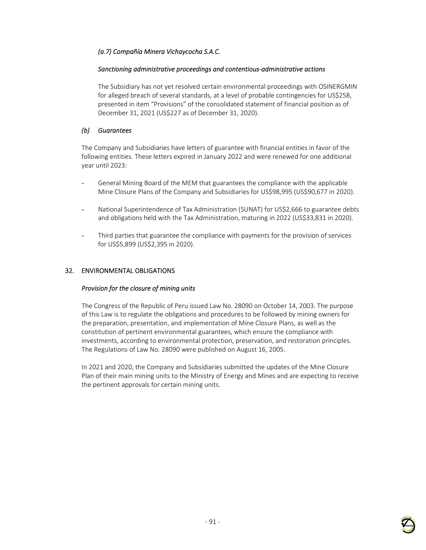# *(a.7) Compañía Minera Vichaycocha S.A.C.*

### *Sanctioning administrative proceedings and contentious-administrative actions*

The Subsidiary has not yet resolved certain environmental proceedings with OSINERGMIN for alleged breach of several standards, at a level of probable contingencies for US\$258, presented in item "Provisions" of the consolidated statement of financial position as of December 31, 2021 (US\$227 as of December 31, 2020).

# *(b) Guarantees*

The Company and Subsidiaries have letters of guarantee with financial entities in favor of the following entities. These letters expired in January 2022 and were renewed for one additional year until 2023:

- General Mining Board of the MEM that guarantees the compliance with the applicable Mine Closure Plans of the Company and Subsidiaries for US\$98,995 (US\$90,677 in 2020).
- National Superintendence of Tax Administration (SUNAT) for US\$2,666 to guarantee debts and obligations held with the Tax Administration, maturing in 2022 (US\$33,831 in 2020).
- Third parties that guarantee the compliance with payments for the provision of services for US\$5,899 (US\$2,395 in 2020).

## 32. ENVIRONMENTAL OBLIGATIONS

### *Provision for the closure of mining units*

The Congress of the Republic of Peru issued Law No. 28090 on October 14, 2003. The purpose of this Law is to regulate the obligations and procedures to be followed by mining owners for the preparation, presentation, and implementation of Mine Closure Plans, as well as the constitution of pertinent environmental guarantees, which ensure the compliance with investments, according to environmental protection, preservation, and restoration principles. The Regulations of Law No. 28090 were published on August 16, 2005.

In 2021 and 2020, the Company and Subsidiaries submitted the updates of the Mine Closure Plan of their main mining units to the Ministry of Energy and Mines and are expecting to receive the pertinent approvals for certain mining units.

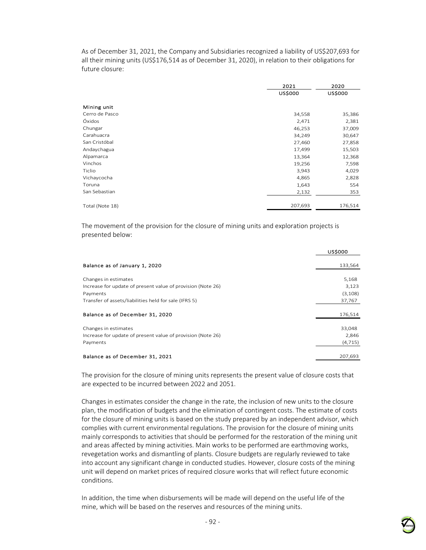As of December 31, 2021, the Company and Subsidiaries recognized a liability of US\$207,693 for all their mining units (US\$176,514 as of December 31, 2020), in relation to their obligations for future closure:

|                 | 2021           | 2020           |  |
|-----------------|----------------|----------------|--|
|                 | <b>US\$000</b> | <b>US\$000</b> |  |
| Mining unit     |                |                |  |
| Cerro de Pasco  | 34,558         | 35,386         |  |
| Óxidos          | 2,471          | 2,381          |  |
| Chungar         | 46,253         | 37,009         |  |
| Carahuacra      | 34,249         | 30,647         |  |
| San Cristóbal   | 27,460         | 27,858         |  |
| Andaychagua     | 17,499         | 15,503         |  |
| Alpamarca       | 13,364         | 12,368         |  |
| Vinchos         | 19,256         | 7,598          |  |
| Ticlio          | 3,943          | 4,029          |  |
| Vichaycocha     | 4,865          | 2,828          |  |
| Toruna          | 1,643          | 554            |  |
| San Sebastian   | 2,132          | 353            |  |
| Total (Note 18) | 207,693        | 176,514        |  |

The movement of the provision for the closure of mining units and exploration projects is presented below:

|                                                             | <b>US\$000</b> |
|-------------------------------------------------------------|----------------|
| Balance as of January 1, 2020                               | 133,564        |
| Changes in estimates                                        | 5,168          |
| Increase for update of present value of provision (Note 26) | 3,123          |
| Payments                                                    | (3,108)        |
| Transfer of assets/liabilities held for sale (IFRS 5)       | 37,767         |
| Balance as of December 31, 2020                             | 176,514        |
| Changes in estimates                                        | 33,048         |
| Increase for update of present value of provision (Note 26) | 2,846          |
| Payments                                                    | (4, 715)       |
| Balance as of December 31, 2021                             | 207,693        |

The provision for the closure of mining units represents the present value of closure costs that are expected to be incurred between 2022 and 2051.

Changes in estimates consider the change in the rate, the inclusion of new units to the closure plan, the modification of budgets and the elimination of contingent costs. The estimate of costs for the closure of mining units is based on the study prepared by an independent advisor, which complies with current environmental regulations. The provision for the closure of mining units mainly corresponds to activities that should be performed for the restoration of the mining unit and areas affected by mining activities. Main works to be performed are earthmoving works, revegetation works and dismantling of plants. Closure budgets are regularly reviewed to take into account any significant change in conducted studies. However, closure costs of the mining unit will depend on market prices of required closure works that will reflect future economic conditions.

In addition, the time when disbursements will be made will depend on the useful life of the mine, which will be based on the reserves and resources of the mining units.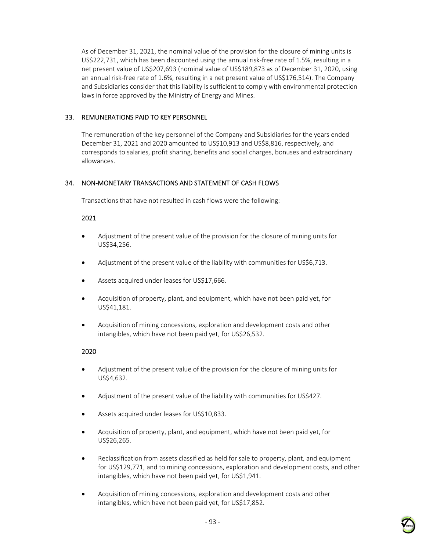As of December 31, 2021, the nominal value of the provision for the closure of mining units is US\$222,731, which has been discounted using the annual risk-free rate of 1.5%, resulting in a net present value of US\$207,693 (nominal value of US\$189,873 as of December 31, 2020, using an annual risk-free rate of 1.6%, resulting in a net present value of US\$176,514). The Company and Subsidiaries consider that this liability is sufficient to comply with environmental protection laws in force approved by the Ministry of Energy and Mines.

## 33. REMUNERATIONS PAID TO KEY PERSONNEL

The remuneration of the key personnel of the Company and Subsidiaries for the years ended December 31, 2021 and 2020 amounted to US\$10,913 and US\$8,816, respectively, and corresponds to salaries, profit sharing, benefits and social charges, bonuses and extraordinary allowances.

# 34. NON-MONETARY TRANSACTIONS AND STATEMENT OF CASH FLOWS

Transactions that have not resulted in cash flows were the following:

### 2021

- Adjustment of the present value of the provision for the closure of mining units for US\$34,256.
- Adjustment of the present value of the liability with communities for US\$6,713.
- Assets acquired under leases for US\$17,666.
- Acquisition of property, plant, and equipment, which have not been paid yet, for US\$41,181.
- Acquisition of mining concessions, exploration and development costs and other intangibles, which have not been paid yet, for US\$26,532.

### 2020

- Adjustment of the present value of the provision for the closure of mining units for US\$4,632.
- Adjustment of the present value of the liability with communities for US\$427.
- Assets acquired under leases for US\$10,833.
- Acquisition of property, plant, and equipment, which have not been paid yet, for US\$26,265.
- Reclassification from assets classified as held for sale to property, plant, and equipment for US\$129,771, and to mining concessions, exploration and development costs, and other intangibles, which have not been paid yet, for US\$1,941.
- Acquisition of mining concessions, exploration and development costs and other intangibles, which have not been paid yet, for US\$17,852.